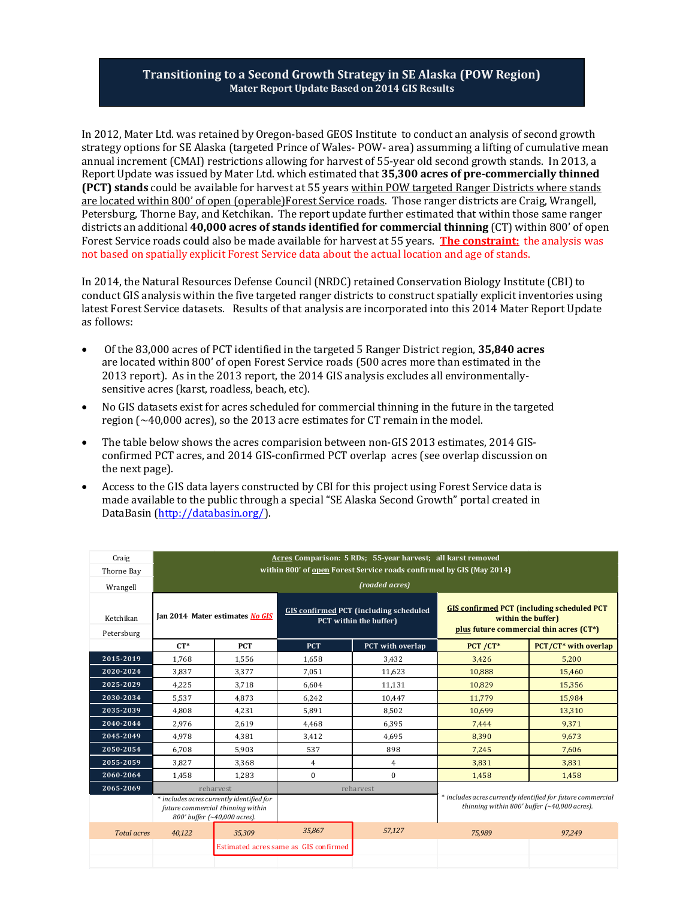## **Transitioning to a Second Growth Strategy in SE Alaska (POW Region) Mater Report Update Based on 2014 GIS Results**

In 2012, Mater Ltd. was retained by Oregon-based GEOS Institute to conduct an analysis of second growth strategy options for SE Alaska (targeted Prince of Wales- POW- area) assumming a lifting of cumulative mean annual increment (CMAI) restrictions allowing for harvest of 55-year old second growth stands. In 2013, a Report Update was issued by Mater Ltd. which estimated that **35,300 acres of pre-commercially thinned (PCT) stands** could be available for harvest at 55 years within POW targeted Ranger Districts where stands are located within 800' of open (operable)Forest Service roads. Those ranger districts are Craig, Wrangell, Petersburg, Thorne Bay, and Ketchikan. The report update further estimated that within those same ranger districts an additional **40,000 acres of stands identified for commercial thinning** (CT) within 800' of open Forest Service roads could also be made available for harvest at 55 years. **The constraint:** the analysis was not based on spatially explicit Forest Service data about the actual location and age of stands.

In 2014, the Natural Resources Defense Council (NRDC) retained Conservation Biology Institute (CBI) to conduct GIS analysis within the five targeted ranger districts to construct spatially explicit inventories using latest Forest Service datasets. Results of that analysis are incorporated into this 2014 Mater Report Update as follows:

- Of the 83,000 acres of PCT identified in the targeted 5 Ranger District region, **35,840 acres**  are located within 800' of open Forest Service roads (500 acres more than estimated in the 2013 report). As in the 2013 report, the 2014 GIS analysis excludes all environmentallysensitive acres (karst, roadless, beach, etc).
- No GIS datasets exist for acres scheduled for commercial thinning in the future in the targeted region (~40,000 acres), so the 2013 acre estimates for CT remain in the model.
- The table below shows the acres comparision between non-GIS 2013 estimates, 2014 GISconfirmed PCT acres, and 2014 GIS-confirmed PCT overlap acres (see overlap discussion on the next page).
- Access to the GIS data layers constructed by CBI for this project using Forest Service data is made available to the public through a special "SE Alaska Second Growth" portal created in DataBasin [\(http://databasin.org/\)](http://databasin.org/).

| Craig                   | Acres Comparison: 5 RDs; 55-year harvest; all karst removed                                                                 |            |                                       |                                                                         |                                                                                                                    |                      |  |  |
|-------------------------|-----------------------------------------------------------------------------------------------------------------------------|------------|---------------------------------------|-------------------------------------------------------------------------|--------------------------------------------------------------------------------------------------------------------|----------------------|--|--|
| Thorne Bay              | within 800' of open Forest Service roads confirmed by GIS (May 2014)                                                        |            |                                       |                                                                         |                                                                                                                    |                      |  |  |
| Wrangell                |                                                                                                                             |            |                                       | (roaded acres)                                                          |                                                                                                                    |                      |  |  |
| Ketchikan<br>Petersburg | Ian 2014 Mater estimates No GIS                                                                                             |            |                                       | <b>GIS confirmed PCT (including scheduled</b><br>PCT within the buffer) | <b>GIS confirmed PCT (including scheduled PCT</b><br>within the buffer)<br>plus future commercial thin acres (CT*) |                      |  |  |
|                         | $CT*$                                                                                                                       | <b>PCT</b> | <b>PCT</b>                            | PCT with overlap                                                        | PCT /CT*                                                                                                           | PCT/CT* with overlap |  |  |
| 2015-2019               | 1.768                                                                                                                       | 1,556      | 1.658                                 | 3,432                                                                   | 3,426                                                                                                              | 5.200                |  |  |
| 2020-2024               | 3,837                                                                                                                       | 3.377      | 7,051                                 | 11,623                                                                  | 10,888                                                                                                             | 15,460               |  |  |
| 2025-2029               | 4,225                                                                                                                       | 3,718      | 6,604                                 | 11,131                                                                  | 10,829                                                                                                             | 15,356               |  |  |
| 2030-2034               | 5,537                                                                                                                       | 4,873      | 6,242                                 | 10,447                                                                  | 11,779                                                                                                             | 15,984               |  |  |
| 2035-2039               | 4,808                                                                                                                       | 4,231      | 5,891                                 | 8,502                                                                   | 10,699                                                                                                             | 13,310               |  |  |
| 2040-2044               | 2,976                                                                                                                       | 2,619      | 4,468                                 | 6,395                                                                   | 7,444                                                                                                              | 9,371                |  |  |
| 2045-2049               | 4,978                                                                                                                       | 4,381      | 3,412                                 | 4,695                                                                   | 8,390                                                                                                              | 9.673                |  |  |
| 2050-2054               | 6.708                                                                                                                       | 5.903      | 537                                   | 898                                                                     | 7.245                                                                                                              | 7.606                |  |  |
| 2055-2059               | 3.827                                                                                                                       | 3,368      | 4                                     | $\overline{4}$                                                          | 3.831                                                                                                              | 3.831                |  |  |
| 2060-2064               | 1,458                                                                                                                       | 1.283      | $\boldsymbol{0}$                      | $\mathbf{0}$                                                            | 1.458                                                                                                              | 1.458                |  |  |
| 2065-2069               | reharvest<br>* includes acres currently identified for<br>future commercial thinning within<br>800' buffer (~40,000 acres). |            |                                       | reharvest                                                               |                                                                                                                    |                      |  |  |
|                         |                                                                                                                             |            |                                       |                                                                         | * includes acres currently identified for future commercial<br>thinning within 800' buffer $(~40,000$ acres).      |                      |  |  |
| <b>Total acres</b>      | 40,122                                                                                                                      | 35,309     | 35,867                                | 57,127                                                                  | 75,989                                                                                                             | 97,249               |  |  |
|                         |                                                                                                                             |            | Estimated acres same as GIS confirmed |                                                                         |                                                                                                                    |                      |  |  |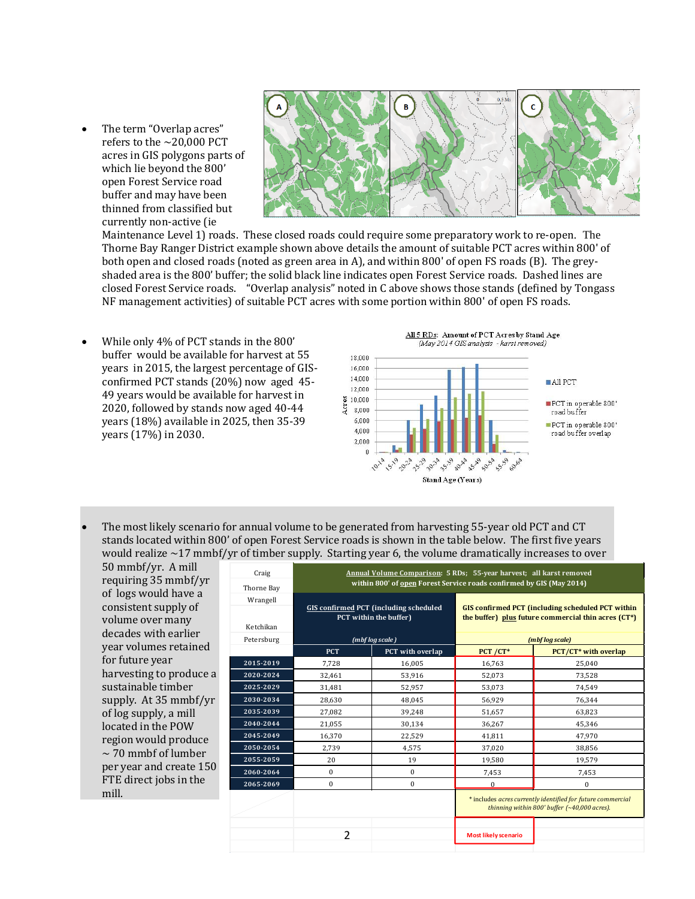• The term "Overlap acres" refers to the  $\sim$  20,000 PCT acres in GIS polygons parts of which lie beyond the 800' open Forest Service road buffer and may have been thinned from classified but currently non-active (ie



Maintenance Level 1) roads. These closed roads could require some preparatory work to re-open. The Thorne Bay Ranger District example shown above details the amount of suitable PCT acres within 800' of both open and closed roads (noted as green area in A), and within 800' of open FS roads (B). The greyshaded area is the 800' buffer; the solid black line indicates open Forest Service roads. Dashed lines are closed Forest Service roads. "Overlap analysis" noted in C above shows those stands (defined by Tongass NF management activities) of suitable PCT acres with some portion within 800' of open FS roads.

• While only 4% of PCT stands in the 800' buffer would be available for harvest at 55 years in 2015, the largest percentage of GISconfirmed PCT stands (20%) now aged 45- 49 years would be available for harvest in 2020, followed by stands now aged 40-44 years (18%) available in 2025, then 35-39 years (17%) in 2030.



• The most likely scenario for annual volume to be generated from harvesting 55-year old PCT and CT stands located within 800' of open Forest Service roads is shown in the table below. The first five years would realize  $\sim$ 17 mmbf/yr of timber supply. Starting year 6, the volume dramatically increases to over

50 mmbf/yr. A mill requiring 35 mmbf/yr of logs would have a consistent supply of volume over many decades with earlier year volumes retained for future year harvesting to produce a sustainable timber supply. At 35 mmbf/yr of log supply, a mill located in the POW region would produce  $\sim$  70 mmbf of lumber per year and create 150 FTE direct jobs in the mill.

| Craig      | Annual Volume Comparison: 5 RDs; 55-year harvest; all karst removed  |                                                                         |                                                                                                                 |                                                                                                               |  |  |  |  |
|------------|----------------------------------------------------------------------|-------------------------------------------------------------------------|-----------------------------------------------------------------------------------------------------------------|---------------------------------------------------------------------------------------------------------------|--|--|--|--|
| Thorne Bay | within 800' of open Forest Service roads confirmed by GIS (May 2014) |                                                                         |                                                                                                                 |                                                                                                               |  |  |  |  |
| Wrangell   |                                                                      |                                                                         |                                                                                                                 |                                                                                                               |  |  |  |  |
| Ketchikan  |                                                                      | <b>GIS confirmed PCT</b> (including scheduled<br>PCT within the buffer) | <b>GIS confirmed PCT (including scheduled PCT within</b><br>the buffer) plus future commercial thin acres (CT*) |                                                                                                               |  |  |  |  |
| Petersburg |                                                                      | (mbf log scale)                                                         |                                                                                                                 | (mbf log scale)                                                                                               |  |  |  |  |
|            | <b>PCT</b>                                                           | PCT with overlap                                                        | $PCT / CT*$                                                                                                     | PCT/CT* with overlap                                                                                          |  |  |  |  |
| 2015-2019  | 7,728                                                                | 16,005                                                                  | 16,763                                                                                                          | 25,040                                                                                                        |  |  |  |  |
| 2020-2024  | 32,461                                                               | 53,916                                                                  | 52,073                                                                                                          | 73,528                                                                                                        |  |  |  |  |
| 2025-2029  | 31,481                                                               | 52.957                                                                  | 53,073                                                                                                          | 74.549                                                                                                        |  |  |  |  |
| 2030-2034  | 28,630                                                               | 48.045                                                                  | 56,929                                                                                                          | 76,344                                                                                                        |  |  |  |  |
| 2035-2039  | 27,082                                                               | 39,248                                                                  | 51,657                                                                                                          | 63,823                                                                                                        |  |  |  |  |
| 2040-2044  | 21,055                                                               | 30,134                                                                  | 36,267                                                                                                          | 45,346                                                                                                        |  |  |  |  |
| 2045-2049  | 16,370                                                               | 22,529                                                                  | 41,811                                                                                                          | 47,970                                                                                                        |  |  |  |  |
| 2050-2054  | 2.739                                                                | 4.575                                                                   | 37,020                                                                                                          | 38.856                                                                                                        |  |  |  |  |
| 2055-2059  | 20                                                                   | 19                                                                      | 19,580                                                                                                          | 19,579                                                                                                        |  |  |  |  |
| 2060-2064  | $\mathbf{0}$                                                         | $\mathbf{0}$                                                            | 7,453                                                                                                           | 7,453                                                                                                         |  |  |  |  |
| 2065-2069  | $\mathbf{0}$                                                         | $\mathbf{0}$                                                            | $\Omega$                                                                                                        | $\mathbf{0}$                                                                                                  |  |  |  |  |
|            |                                                                      |                                                                         |                                                                                                                 | * includes acres currently identified for future commercial<br>thinning within 800' buffer $(*40,000$ acres). |  |  |  |  |
|            | $\overline{2}$                                                       |                                                                         | <b>Most likely scenario</b>                                                                                     |                                                                                                               |  |  |  |  |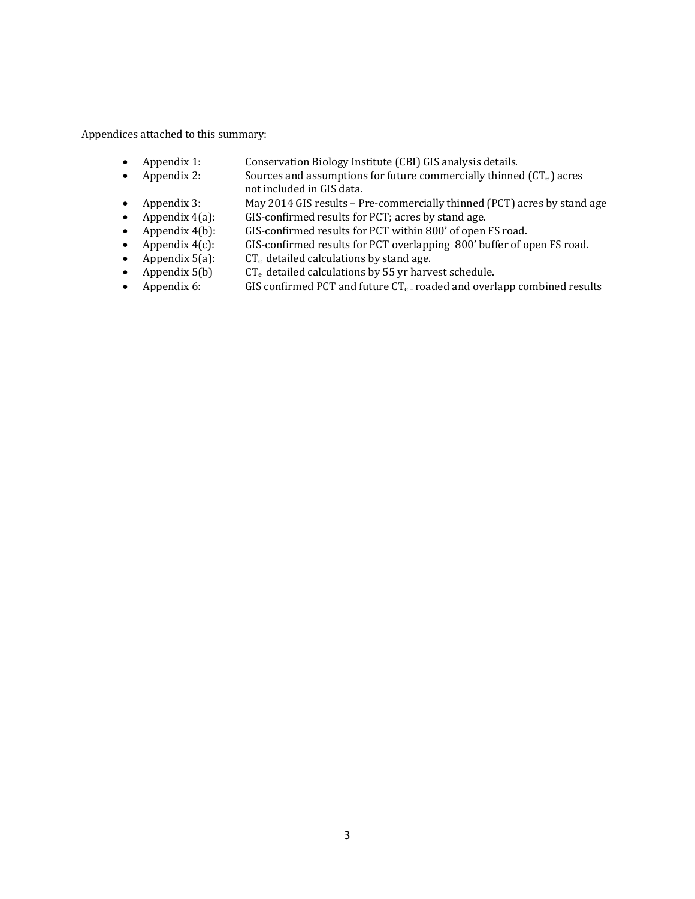Appendices attached to this summary:

- Appendix 1: Conservation Biology Institute (CBI) GIS analysis details.<br>• Appendix 2: Sources and assumptions for future commercially thinned
	- Sources and assumptions for future commercially thinned  $(CT_e)$  acres not included in GIS data.
- Appendix 3: May 2014 GIS results Pre-commercially thinned (PCT) acres by stand age<br>• Appendix 4(a): GIS-confirmed results for PCT; acres by stand age.
- Appendix 4(a): GIS-confirmed results for PCT; acres by stand age.<br>• Appendix 4(b): GIS-confirmed results for PCT within 800' of open
- Appendix 4(b): GIS-confirmed results for PCT within 800' of open FS road.<br>• Appendix 4(c): GIS-confirmed results for PCT overlapping 800' buffer of open
- Appendix  $4(c)$ : GIS-confirmed results for PCT overlapping 800' buffer of open FS road.<br>• Appendix  $5(a)$ : CT<sub>e</sub> detailed calculations by stand age.
- Appendix 5(a):  $CT_e$  detailed calculations by stand age.<br>• Appendix 5(b)  $CT_e$  detailed calculations by 55 yr harve
	-
- Appendix 5(b)  $CT_e$  detailed calculations by 55 yr harvest schedule.<br>• Appendix 6: GIS confirmed PCT and future  $CT_e$ -roaded and overl GIS confirmed PCT and future  $CT_{e}$ -roaded and overlapp combined results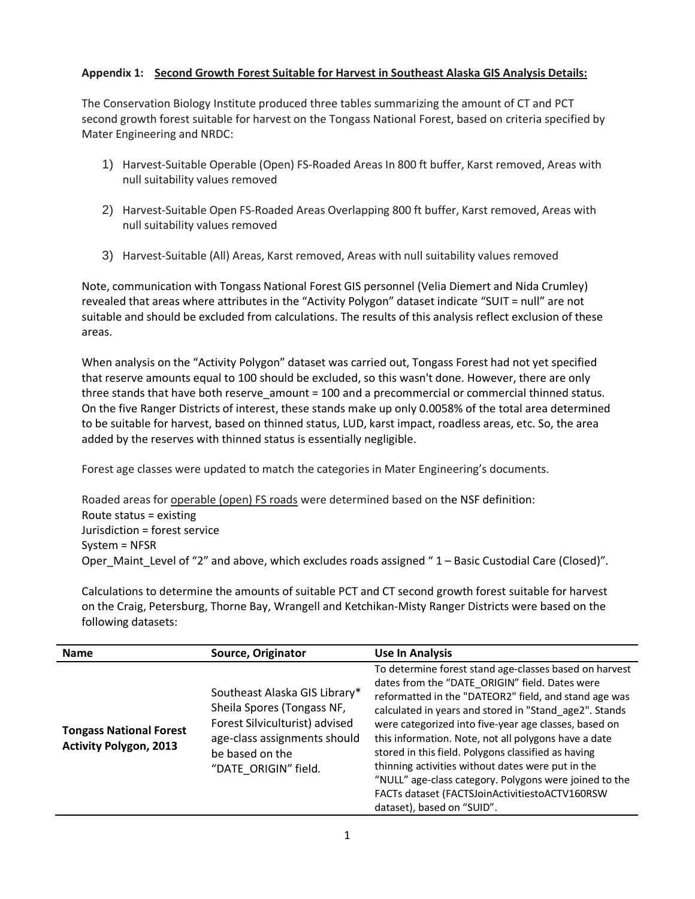## **Appendix 1: Second Growth Forest Suitable for Harvest in Southeast Alaska GIS Analysis Details:**

The Conservation Biology Institute produced three tables summarizing the amount of CT and PCT second growth forest suitable for harvest on the Tongass National Forest, based on criteria specified by Mater Engineering and NRDC:

- 1) Harvest-Suitable Operable (Open) FS-Roaded Areas In 800 ft buffer, Karst removed, Areas with null suitability values removed
- 2) Harvest-Suitable Open FS-Roaded Areas Overlapping 800 ft buffer, Karst removed, Areas with null suitability values removed
- 3) Harvest-Suitable (All) Areas, Karst removed, Areas with null suitability values removed

Note, communication with Tongass National Forest GIS personnel (Velia Diemert and Nida Crumley) revealed that areas where attributes in the "Activity Polygon" dataset indicate "SUIT = null" are not suitable and should be excluded from calculations. The results of this analysis reflect exclusion of these areas.

When analysis on the "Activity Polygon" dataset was carried out, Tongass Forest had not yet specified that reserve amounts equal to 100 should be excluded, so this wasn't done. However, there are only three stands that have both reserve\_amount = 100 and a precommercial or commercial thinned status. On the five Ranger Districts of interest, these stands make up only 0.0058% of the total area determined to be suitable for harvest, based on thinned status, LUD, karst impact, roadless areas, etc. So, the area added by the reserves with thinned status is essentially negligible.

Forest age classes were updated to match the categories in Mater Engineering's documents.

Roaded areas for operable (open) FS roads were determined based on the NSF definition: Route status = existing Jurisdiction = forest service System = NFSR Oper Maint Level of "2" and above, which excludes roads assigned " 1 – Basic Custodial Care (Closed)".

Calculations to determine the amounts of suitable PCT and CT second growth forest suitable for harvest on the Craig, Petersburg, Thorne Bay, Wrangell and Ketchikan-Misty Ranger Districts were based on the following datasets:

| <b>Name</b>                                                     | Source, Originator                                                                                                                                                       | <b>Use In Analysis</b>                                                                                                                                                                                                                                                                                                                                                                                                                                                                                                                                                                             |
|-----------------------------------------------------------------|--------------------------------------------------------------------------------------------------------------------------------------------------------------------------|----------------------------------------------------------------------------------------------------------------------------------------------------------------------------------------------------------------------------------------------------------------------------------------------------------------------------------------------------------------------------------------------------------------------------------------------------------------------------------------------------------------------------------------------------------------------------------------------------|
| <b>Tongass National Forest</b><br><b>Activity Polygon, 2013</b> | Southeast Alaska GIS Library*<br>Sheila Spores (Tongass NF,<br>Forest Silviculturist) advised<br>age-class assignments should<br>be based on the<br>"DATE ORIGIN" field. | To determine forest stand age-classes based on harvest<br>dates from the "DATE ORIGIN" field. Dates were<br>reformatted in the "DATEOR2" field, and stand age was<br>calculated in years and stored in "Stand age2". Stands<br>were categorized into five-year age classes, based on<br>this information. Note, not all polygons have a date<br>stored in this field. Polygons classified as having<br>thinning activities without dates were put in the<br>"NULL" age-class category. Polygons were joined to the<br>FACTs dataset (FACTSJoinActivitiestoACTV160RSW<br>dataset), based on "SUID". |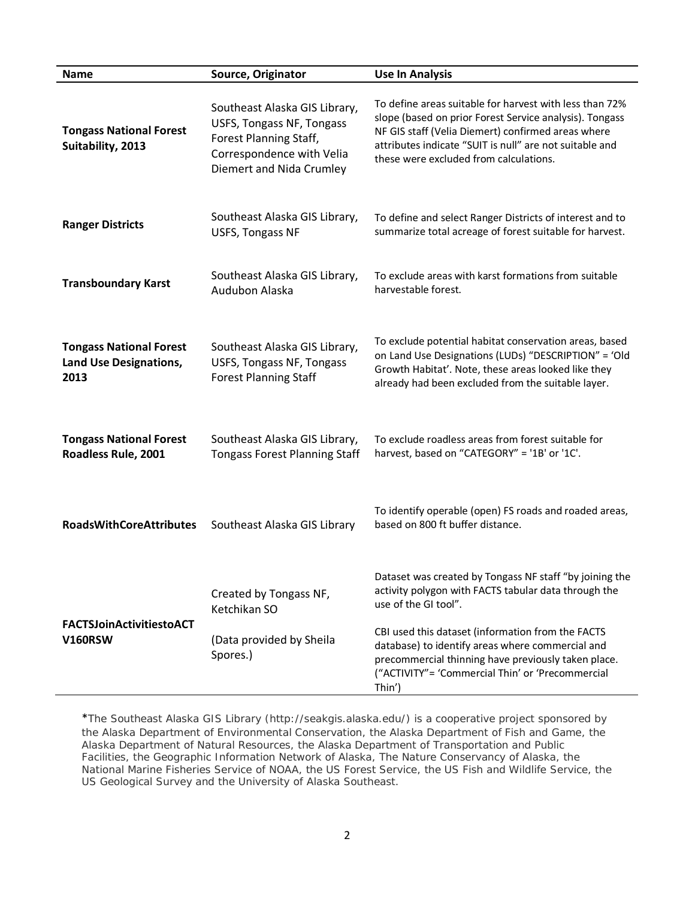| <b>Name</b>                                                             | Source, Originator                                                                                                                            | <b>Use In Analysis</b>                                                                                                                                                                                                                                                                                                                                                |
|-------------------------------------------------------------------------|-----------------------------------------------------------------------------------------------------------------------------------------------|-----------------------------------------------------------------------------------------------------------------------------------------------------------------------------------------------------------------------------------------------------------------------------------------------------------------------------------------------------------------------|
| <b>Tongass National Forest</b><br>Suitability, 2013                     | Southeast Alaska GIS Library,<br>USFS, Tongass NF, Tongass<br>Forest Planning Staff,<br>Correspondence with Velia<br>Diemert and Nida Crumley | To define areas suitable for harvest with less than 72%<br>slope (based on prior Forest Service analysis). Tongass<br>NF GIS staff (Velia Diemert) confirmed areas where<br>attributes indicate "SUIT is null" are not suitable and<br>these were excluded from calculations.                                                                                         |
| <b>Ranger Districts</b>                                                 | Southeast Alaska GIS Library,<br><b>USFS, Tongass NF</b>                                                                                      | To define and select Ranger Districts of interest and to<br>summarize total acreage of forest suitable for harvest.                                                                                                                                                                                                                                                   |
| <b>Transboundary Karst</b>                                              | Southeast Alaska GIS Library,<br>Audubon Alaska                                                                                               | To exclude areas with karst formations from suitable<br>harvestable forest.                                                                                                                                                                                                                                                                                           |
| <b>Tongass National Forest</b><br><b>Land Use Designations,</b><br>2013 | Southeast Alaska GIS Library,<br><b>USFS, Tongass NF, Tongass</b><br><b>Forest Planning Staff</b>                                             | To exclude potential habitat conservation areas, based<br>on Land Use Designations (LUDs) "DESCRIPTION" = 'Old<br>Growth Habitat'. Note, these areas looked like they<br>already had been excluded from the suitable layer.                                                                                                                                           |
| <b>Tongass National Forest</b><br>Roadless Rule, 2001                   | Southeast Alaska GIS Library,<br><b>Tongass Forest Planning Staff</b>                                                                         | To exclude roadless areas from forest suitable for<br>harvest, based on "CATEGORY" = '1B' or '1C'.                                                                                                                                                                                                                                                                    |
| <b>RoadsWithCoreAttributes</b>                                          | Southeast Alaska GIS Library                                                                                                                  | To identify operable (open) FS roads and roaded areas,<br>based on 800 ft buffer distance.                                                                                                                                                                                                                                                                            |
| <b>FACTSJoinActivitiestoACT</b><br><b>V160RSW</b>                       | Created by Tongass NF,<br>Ketchikan SO<br>(Data provided by Sheila<br>Spores.)                                                                | Dataset was created by Tongass NF staff "by joining the<br>activity polygon with FACTS tabular data through the<br>use of the GI tool".<br>CBI used this dataset (information from the FACTS<br>database) to identify areas where commercial and<br>precommercial thinning have previously taken place.<br>("ACTIVITY"= 'Commercial Thin' or 'Precommercial<br>Thin') |

\*The Southeast Alaska GIS Library (http://seakgis.alaska.edu/) is a cooperative project sponsored by the Alaska Department of Environmental Conservation, the Alaska Department of Fish and Game, the Alaska Department of Natural Resources, the Alaska Department of Transportation and Public Facilities, the Geographic Information Network of Alaska, The Nature Conservancy of Alaska, the National Marine Fisheries Service of NOAA, the US Forest Service, the US Fish and Wildlife Service, the US Geological Survey and the University of Alaska Southeast.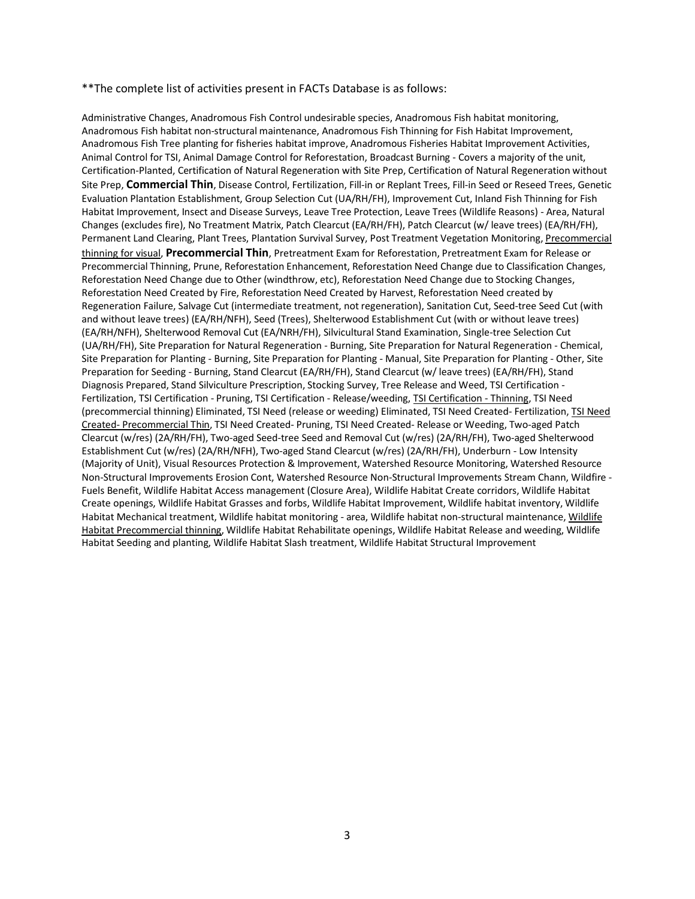### \*\*The complete list of activities present in FACTs Database is as follows:

Administrative Changes, Anadromous Fish Control undesirable species, Anadromous Fish habitat monitoring, Anadromous Fish habitat non-structural maintenance, Anadromous Fish Thinning for Fish Habitat Improvement, Anadromous Fish Tree planting for fisheries habitat improve, Anadromous Fisheries Habitat Improvement Activities, Animal Control for TSI, Animal Damage Control for Reforestation, Broadcast Burning - Covers a majority of the unit, Certification-Planted, Certification of Natural Regeneration with Site Prep, Certification of Natural Regeneration without Site Prep, **Commercial Thin**, Disease Control, Fertilization, Fill-in or Replant Trees, Fill-in Seed or Reseed Trees, Genetic Evaluation Plantation Establishment, Group Selection Cut (UA/RH/FH), Improvement Cut, Inland Fish Thinning for Fish Habitat Improvement, Insect and Disease Surveys, Leave Tree Protection, Leave Trees (Wildlife Reasons) - Area, Natural Changes (excludes fire), No Treatment Matrix, Patch Clearcut (EA/RH/FH), Patch Clearcut (w/ leave trees) (EA/RH/FH), Permanent Land Clearing, Plant Trees, Plantation Survival Survey, Post Treatment Vegetation Monitoring, Precommercial thinning for visual, **Precommercial Thin**, Pretreatment Exam for Reforestation, Pretreatment Exam for Release or Precommercial Thinning, Prune, Reforestation Enhancement, Reforestation Need Change due to Classification Changes, Reforestation Need Change due to Other (windthrow, etc), Reforestation Need Change due to Stocking Changes, Reforestation Need Created by Fire, Reforestation Need Created by Harvest, Reforestation Need created by Regeneration Failure, Salvage Cut (intermediate treatment, not regeneration), Sanitation Cut, Seed-tree Seed Cut (with and without leave trees) (EA/RH/NFH), Seed (Trees), Shelterwood Establishment Cut (with or without leave trees) (EA/RH/NFH), Shelterwood Removal Cut (EA/NRH/FH), Silvicultural Stand Examination, Single-tree Selection Cut (UA/RH/FH), Site Preparation for Natural Regeneration - Burning, Site Preparation for Natural Regeneration - Chemical, Site Preparation for Planting - Burning, Site Preparation for Planting - Manual, Site Preparation for Planting - Other, Site Preparation for Seeding - Burning, Stand Clearcut (EA/RH/FH), Stand Clearcut (w/ leave trees) (EA/RH/FH), Stand Diagnosis Prepared, Stand Silviculture Prescription, Stocking Survey, Tree Release and Weed, TSI Certification - Fertilization, TSI Certification - Pruning, TSI Certification - Release/weeding, TSI Certification - Thinning, TSI Need (precommercial thinning) Eliminated, TSI Need (release or weeding) Eliminated, TSI Need Created- Fertilization, TSI Need Created- Precommercial Thin, TSI Need Created- Pruning, TSI Need Created- Release or Weeding, Two-aged Patch Clearcut (w/res) (2A/RH/FH), Two-aged Seed-tree Seed and Removal Cut (w/res) (2A/RH/FH), Two-aged Shelterwood Establishment Cut (w/res) (2A/RH/NFH), Two-aged Stand Clearcut (w/res) (2A/RH/FH), Underburn - Low Intensity (Majority of Unit), Visual Resources Protection & Improvement, Watershed Resource Monitoring, Watershed Resource Non-Structural Improvements Erosion Cont, Watershed Resource Non-Structural Improvements Stream Chann, Wildfire - Fuels Benefit, Wildlife Habitat Access management (Closure Area), Wildlife Habitat Create corridors, Wildlife Habitat Create openings, Wildlife Habitat Grasses and forbs, Wildlife Habitat Improvement, Wildlife habitat inventory, Wildlife Habitat Mechanical treatment, Wildlife habitat monitoring - area, Wildlife habitat non-structural maintenance, Wildlife Habitat Precommercial thinning, Wildlife Habitat Rehabilitate openings, Wildlife Habitat Release and weeding, Wildlife Habitat Seeding and planting, Wildlife Habitat Slash treatment, Wildlife Habitat Structural Improvement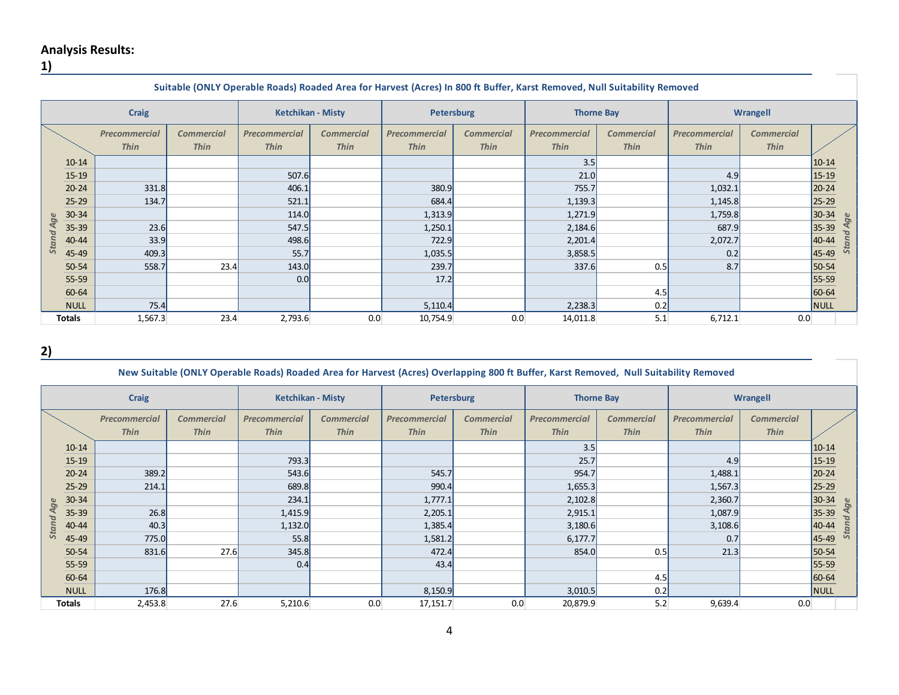# **Analysis Results:**

# **1)**

|                  | Suitable (ONLY Operable Roads) Roaded Area for Harvest (Acres) In 800 ft Buffer, Karst Removed, Null Suitability Removed |                                     |                                  |                                     |                                  |                                     |                                  |                              |                                  |                              |                                  |                      |
|------------------|--------------------------------------------------------------------------------------------------------------------------|-------------------------------------|----------------------------------|-------------------------------------|----------------------------------|-------------------------------------|----------------------------------|------------------------------|----------------------------------|------------------------------|----------------------------------|----------------------|
|                  |                                                                                                                          | <b>Craig</b>                        |                                  | <b>Ketchikan - Misty</b>            |                                  | <b>Petersburg</b>                   |                                  | <b>Thorne Bay</b>            |                                  | Wrangell                     |                                  |                      |
|                  |                                                                                                                          | <b>Precommercial</b><br><b>Thin</b> | <b>Commercial</b><br><b>Thin</b> | <b>Precommercial</b><br><b>Thin</b> | <b>Commercial</b><br><b>Thin</b> | <b>Precommercial</b><br><b>Thin</b> | <b>Commercial</b><br><b>Thin</b> | Precommercial<br><b>Thin</b> | <b>Commercial</b><br><b>Thin</b> | Precommercial<br><b>Thin</b> | <b>Commercial</b><br><b>Thin</b> |                      |
|                  | $10 - 14$                                                                                                                |                                     |                                  |                                     |                                  |                                     |                                  | 3.5                          |                                  |                              |                                  | $10 - 14$            |
|                  | $15 - 19$                                                                                                                |                                     |                                  | 507.6                               |                                  |                                     |                                  | 21.0                         |                                  | 4.9                          |                                  | $15 - 19$            |
|                  | $20 - 24$                                                                                                                | 331.8                               |                                  | 406.1                               |                                  | 380.9                               |                                  | 755.7                        |                                  | 1,032.1                      |                                  | $20 - 24$            |
|                  | $25 - 29$                                                                                                                | 134.7                               |                                  | 521.1                               |                                  | 684.4                               |                                  | 1,139.3                      |                                  | 1,145.8                      |                                  | $25 - 29$            |
|                  | $30 - 34$                                                                                                                |                                     |                                  | 114.0                               |                                  | 1,313.9                             |                                  | 1,271.9                      |                                  | 1,759.8                      |                                  | 30-34                |
| <b>Stand Age</b> | $35 - 39$                                                                                                                | 23.6                                |                                  | 547.5                               |                                  | 1,250.1                             |                                  | 2,184.6                      |                                  | 687.9                        |                                  | d Age<br>35-39       |
|                  | 40-44                                                                                                                    | 33.9                                |                                  | 498.6                               |                                  | 722.9                               |                                  | 2,201.4                      |                                  | 2,072.7                      |                                  | <b>Stan</b><br>40-44 |
|                  | 45-49                                                                                                                    | 409.3                               |                                  | 55.7                                |                                  | 1,035.5                             |                                  | 3,858.5                      |                                  | 0.2                          |                                  | 45-49                |
|                  | 50-54                                                                                                                    | 558.7                               | 23.4                             | 143.0                               |                                  | 239.7                               |                                  | 337.6                        | 0.5                              | 8.7                          |                                  | 50-54                |
|                  | $55 - 59$                                                                                                                |                                     |                                  | 0.0                                 |                                  | 17.2                                |                                  |                              |                                  |                              |                                  | 55-59                |
|                  | 60-64                                                                                                                    |                                     |                                  |                                     |                                  |                                     |                                  |                              | 4.5                              |                              |                                  | 60-64                |
|                  | <b>NULL</b>                                                                                                              | 75.4                                |                                  |                                     |                                  | 5,110.4                             |                                  | 2,238.3                      | 0.2                              |                              |                                  | NULL                 |
|                  | Totals                                                                                                                   | 1,567.3                             | 23.4                             | 2,793.6                             | 0.0                              | 10,754.9                            | 0.0                              | 14,011.8                     | 5.1                              | 6,712.1                      | 0.0                              |                      |

**2)** 

## **New Suitable (ONLY Operable Roads) Roaded Area for Harvest (Acres) Overlapping 800 ft Buffer, Karst Removed, Null Suitability Removed**

| <b>Craig</b> |             | <b>Ketchikan - Misty</b>     |                                  | <b>Petersburg</b>                   |                                  | <b>Thorne Bay</b>                   |                                  | Wrangell                            |                                  |                              |                                  |                |
|--------------|-------------|------------------------------|----------------------------------|-------------------------------------|----------------------------------|-------------------------------------|----------------------------------|-------------------------------------|----------------------------------|------------------------------|----------------------------------|----------------|
|              |             | Precommercial<br><b>Thin</b> | <b>Commercial</b><br><b>Thin</b> | <b>Precommercial</b><br><b>Thin</b> | <b>Commercial</b><br><b>Thin</b> | <b>Precommercial</b><br><b>Thin</b> | <b>Commercial</b><br><b>Thin</b> | <b>Precommercial</b><br><b>Thin</b> | <b>Commercial</b><br><b>Thin</b> | Precommercial<br><b>Thin</b> | <b>Commercial</b><br><b>Thin</b> |                |
|              | $10 - 14$   |                              |                                  |                                     |                                  |                                     |                                  | 3.5                                 |                                  |                              |                                  | $10 - 14$      |
|              | $15 - 19$   |                              |                                  | 793.3                               |                                  |                                     |                                  | 25.7                                |                                  | 4.9                          |                                  | $15 - 19$      |
|              | $20 - 24$   | 389.2                        |                                  | 543.6                               |                                  | 545.7                               |                                  | 954.7                               |                                  | 1,488.1                      |                                  | 20-24          |
|              | $25 - 29$   | 214.1                        |                                  | 689.8                               |                                  | 990.4                               |                                  | 1,655.3                             |                                  | 1,567.3                      |                                  | $25 - 29$      |
| Age          | $30 - 34$   |                              |                                  | 234.1                               |                                  | 1,777.1                             |                                  | 2,102.8                             |                                  | 2,360.7                      |                                  | 30-34<br>ge    |
|              | $35 - 39$   | 26.8                         |                                  | 1,415.9                             |                                  | 2,205.1                             |                                  | 2,915.1                             |                                  | 1,087.9                      |                                  | 35-39<br>4     |
| Stand        | 40-44       | 40.3                         |                                  | 1,132.0                             |                                  | 1,385.4                             |                                  | 3,180.6                             |                                  | 3,108.6                      |                                  | Stand<br>40-44 |
|              | 45-49       | 775.0                        |                                  | 55.8                                |                                  | 1,581.2                             |                                  | 6, 177.7                            |                                  | 0.7                          |                                  | 45-49          |
|              | $50 - 54$   | 831.6                        | 27.6                             | 345.8                               |                                  | 472.4                               |                                  | 854.0                               | 0.5                              | 21.3                         |                                  | 50-54          |
|              | $55 - 59$   |                              |                                  | 0.4                                 |                                  | 43.4                                |                                  |                                     |                                  |                              |                                  | 55-59          |
|              | 60-64       |                              |                                  |                                     |                                  |                                     |                                  |                                     | 4.5                              |                              |                                  | 60-64          |
|              | <b>NULL</b> | 176.8                        |                                  |                                     |                                  | 8,150.9                             |                                  | 3,010.5                             | 0.2                              |                              |                                  | <b>NULL</b>    |
|              | Totals      | 2,453.8                      | 27.6                             | 5,210.6                             | 0.0                              | 17,151.7                            | 0.0                              | 20,879.9                            | 5.2                              | 9,639.4                      | 0.0                              |                |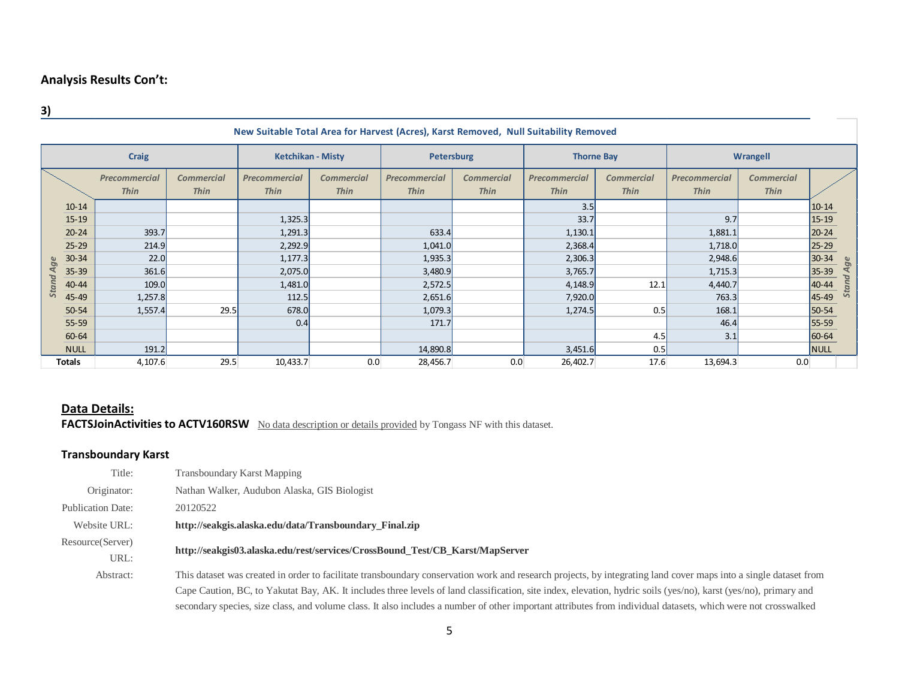**3)**

| $\frac{3}{2}$ |                                                                                      |                                     |                                  |                              |                                  |                                     |                                  |                                     |                                  |                              |                                  |           |       |
|---------------|--------------------------------------------------------------------------------------|-------------------------------------|----------------------------------|------------------------------|----------------------------------|-------------------------------------|----------------------------------|-------------------------------------|----------------------------------|------------------------------|----------------------------------|-----------|-------|
|               | New Suitable Total Area for Harvest (Acres), Karst Removed, Null Suitability Removed |                                     |                                  |                              |                                  |                                     |                                  |                                     |                                  |                              |                                  |           |       |
| <b>Craig</b>  |                                                                                      |                                     | <b>Ketchikan - Misty</b>         |                              | <b>Petersburg</b>                |                                     | <b>Thorne Bay</b>                |                                     | Wrangell                         |                              |                                  |           |       |
|               |                                                                                      | <b>Precommercial</b><br><b>Thin</b> | <b>Commercial</b><br><b>Thin</b> | Precommercial<br><b>Thin</b> | <b>Commercial</b><br><b>Thin</b> | <b>Precommercial</b><br><b>Thin</b> | <b>Commercial</b><br><b>Thin</b> | <b>Precommercial</b><br><b>Thin</b> | <b>Commercial</b><br><b>Thin</b> | Precommercial<br><b>Thin</b> | <b>Commercial</b><br><b>Thin</b> |           |       |
|               | $10 - 14$                                                                            |                                     |                                  |                              |                                  |                                     |                                  | 3.5                                 |                                  |                              |                                  | $10 - 14$ |       |
|               | $15 - 19$                                                                            |                                     |                                  | 1,325.3                      |                                  |                                     |                                  | 33.7                                |                                  | 9.7                          |                                  | $15 - 19$ |       |
|               | $20 - 24$                                                                            | 393.7                               |                                  | 1,291.3                      |                                  | 633.4                               |                                  | 1,130.1                             |                                  | 1,881.1                      |                                  | $20 - 24$ |       |
|               | $25 - 29$                                                                            | 214.9                               |                                  | 2,292.9                      |                                  | 1,041.0                             |                                  | 2,368.4                             |                                  | 1,718.0                      |                                  | $25 - 29$ |       |
| ge            | $30 - 34$                                                                            | 22.0                                |                                  | 1,177.3                      |                                  | 1,935.3                             |                                  | 2,306.3                             |                                  | 2,948.6                      |                                  | $30 - 34$ |       |
| ₹             | $35 - 39$                                                                            | 361.6                               |                                  | 2,075.0                      |                                  | 3,480.9                             |                                  | 3,765.7                             |                                  | 1,715.3                      |                                  | 35-39     | Age   |
| Stand         | 40-44                                                                                | 109.0                               |                                  | 1,481.0                      |                                  | 2,572.5                             |                                  | 4,148.9                             | 12.1                             | 4,440.7                      |                                  | 40-44     | Stand |
|               | 45-49                                                                                | 1,257.8                             |                                  | 112.5                        |                                  | 2,651.6                             |                                  | 7,920.0                             |                                  | 763.3                        |                                  | 45-49     |       |
|               | $50 - 54$                                                                            | 1,557.4                             | 29.5                             | 678.0                        |                                  | 1,079.3                             |                                  | 1,274.5                             | 0.5                              | 168.1                        |                                  | 50-54     |       |
|               | 55-59                                                                                |                                     |                                  | 0.4                          |                                  | 171.7                               |                                  |                                     |                                  | 46.4                         |                                  | 55-59     |       |
|               | 60-64                                                                                |                                     |                                  |                              |                                  |                                     |                                  |                                     | 4.5                              | 3.1                          |                                  | 60-64     |       |
|               | <b>NULL</b>                                                                          | 191.2                               |                                  |                              |                                  | 14,890.8                            |                                  | 3,451.6                             | 0.5                              |                              |                                  | NULL      |       |
|               | Totals                                                                               | 4,107.6                             | 29.5                             | 10,433.7                     | 0.0                              | 28,456.7                            | 0.0                              | 26,402.7                            | 17.6                             | 13,694.3                     | 0.0                              |           |       |

# **Data Details:**

**FACTSJoinActivities to ACTV160RSW** No data description or details provided by Tongass NF with this dataset.

## **Transboundary Karst**

| Title:                   | Transboundary Karst Mapping                                                                                                                                      |
|--------------------------|------------------------------------------------------------------------------------------------------------------------------------------------------------------|
| Originator:              | Nathan Walker, Audubon Alaska, GIS Biologist                                                                                                                     |
| <b>Publication Date:</b> | 20120522                                                                                                                                                         |
| Website URL:             | http://seakgis.alaska.edu/data/Transboundary Final.zip                                                                                                           |
| Resource(Server)         | http://seakgis03.alaska.edu/rest/services/CrossBound Test/CB Karst/MapServer                                                                                     |
| URL:                     |                                                                                                                                                                  |
| Abstract:                | This dataset was created in order to facilitate transboundary conservation work and research projects, by integrating land cover maps into a single dataset from |
|                          | Cape Caution, BC, to Yakutat Bay, AK. It includes three levels of land classification, site index, elevation, hydric soils (yes/no), karst (yes/no), primary and |
|                          | secondary species, size class, and volume class. It also includes a number of other important attributes from individual datasets, which were not crosswalked    |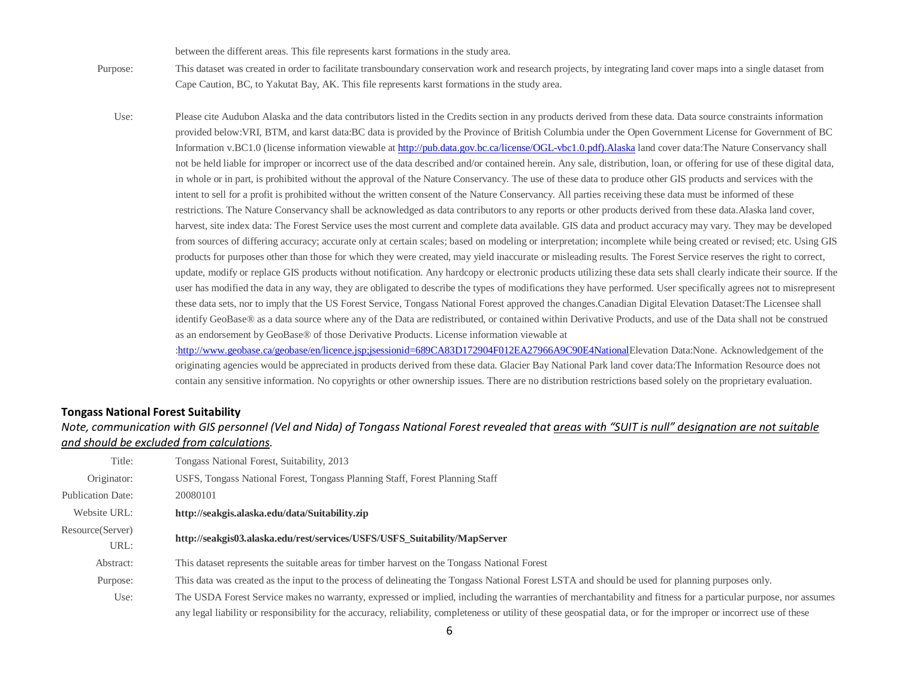between the different areas. This file represents karst formations in the study area.

- Purpose: This dataset was created in order to facilitate transboundary conservation work and research projects, by integrating land cover maps into a single dataset from Cape Caution, BC, to Yakutat Bay, AK. This file represents karst formations in the study area.
	- Use: Please cite Audubon Alaska and the data contributors listed in the Credits section in any products derived from these data. Data source constraints information provided below:VRI, BTM, and karst data:BC data is provided by the Province of British Columbia under the Open Government License for Government of BC Information v.BC1.0 (license information viewable at [http://pub.data.gov.bc.ca/license/OGL-vbc1.0.pdf\).Alaska](http://pub.data.gov.bc.ca/license/OGL-vbc1.0.pdf).Alaska) land cover data:The Nature Conservancy shall not be held liable for improper or incorrect use of the data described and/or contained herein. Any sale, distribution, loan, or offering for use of these digital data, in whole or in part, is prohibited without the approval of the Nature Conservancy. The use of these data to produce other GIS products and services with the intent to sell for a profit is prohibited without the written consent of the Nature Conservancy. All parties receiving these data must be informed of these restrictions. The Nature Conservancy shall be acknowledged as data contributors to any reports or other products derived from these data.Alaska land cover, harvest, site index data: The Forest Service uses the most current and complete data available. GIS data and product accuracy may vary. They may be developed from sources of differing accuracy; accurate only at certain scales; based on modeling or interpretation; incomplete while being created or revised; etc. Using GIS products for purposes other than those for which they were created, may yield inaccurate or misleading results. The Forest Service reserves the right to correct, update, modify or replace GIS products without notification. Any hardcopy or electronic products utilizing these data sets shall clearly indicate their source. If the user has modified the data in any way, they are obligated to describe the types of modifications they have performed. User specifically agrees not to misrepresent these data sets, nor to imply that the US Forest Service, Tongass National Forest approved the changes.Canadian Digital Elevation Dataset:The Licensee shall identify GeoBase® as a data source where any of the Data are redistributed, or contained within Derivative Products, and use of the Data shall not be construed as an endorsement by GeoBase® of those Derivative Products. License information viewable at [:http://www.geobase.ca/geobase/en/licence.jsp;jsessionid=689CA83D172904F012EA27966A9C90E4NationalE](http://www.geobase.ca/geobase/en/licence.jsp;jsessionid=689CA83D172904F012EA27966A9C90E4National)levation Data:None. Acknowledgement of the

originating agencies would be appreciated in products derived from these data. Glacier Bay National Park land cover data:The Information Resource does not contain any sensitive information. No copyrights or other ownership issues. There are no distribution restrictions based solely on the proprietary evaluation.

### **Tongass National Forest Suitability**

*Note, communication with GIS personnel (Vel and Nida) of Tongass National Forest revealed that areas with "SUIT is null" designation are not suitable and should be excluded from calculations.*

| Title:                   | Tongass National Forest, Suitability, 2013                                                                                                                           |
|--------------------------|----------------------------------------------------------------------------------------------------------------------------------------------------------------------|
| Originator:              | USFS, Tongass National Forest, Tongass Planning Staff, Forest Planning Staff                                                                                         |
| <b>Publication Date:</b> | 20080101                                                                                                                                                             |
| Website URL:             | http://seakgis.alaska.edu/data/Suitability.zip                                                                                                                       |
| Resource(Server)<br>URL: | http://seakgis03.alaska.edu/rest/services/USFS/USFS Suitability/MapServer                                                                                            |
| Abstract:                | This dataset represents the suitable areas for timber harvest on the Tongass National Forest                                                                         |
| Purpose:                 | This data was created as the input to the process of delineating the Tongass National Forest LSTA and should be used for planning purposes only.                     |
| Use:                     | The USDA Forest Service makes no warranty, expressed or implied, including the warranties of merchantability and fitness for a particular purpose, nor assumes       |
|                          | any legal liability or responsibility for the accuracy, reliability, completeness or utility of these geospatial data, or for the improper or incorrect use of these |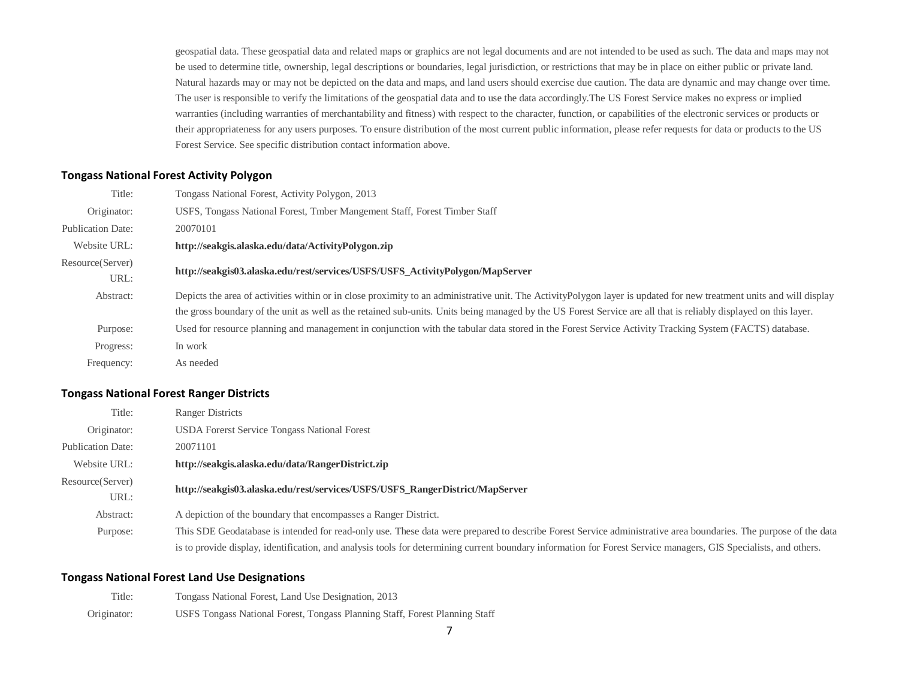geospatial data. These geospatial data and related maps or graphics are not legal documents and are not intended to be used as such. The data and maps may not be used to determine title, ownership, legal descriptions or boundaries, legal jurisdiction, or restrictions that may be in place on either public or private land. Natural hazards may or may not be depicted on the data and maps, and land users should exercise due caution. The data are dynamic and may change over time. The user is responsible to verify the limitations of the geospatial data and to use the data accordingly.The US Forest Service makes no express or implied warranties (including warranties of merchantability and fitness) with respect to the character, function, or capabilities of the electronic services or products or their appropriateness for any users purposes. To ensure distribution of the most current public information, please refer requests for data or products to the US Forest Service. See specific distribution contact information above.

## **Tongass National Forest Activity Polygon**

| Title:                   | Tongass National Forest, Activity Polygon, 2013                                                                                                                      |
|--------------------------|----------------------------------------------------------------------------------------------------------------------------------------------------------------------|
| Originator:              | USFS, Tongass National Forest, Tmber Mangement Staff, Forest Timber Staff                                                                                            |
| <b>Publication Date:</b> | 20070101                                                                                                                                                             |
| Website URL:             | http://seakgis.alaska.edu/data/ActivityPolygon.zip                                                                                                                   |
| Resource(Server)         | http://seakgis03.alaska.edu/rest/services/USFS/USFS ActivityPolygon/MapServer                                                                                        |
| URL:                     |                                                                                                                                                                      |
| Abstract:                | Depicts the area of activities within or in close proximity to an administrative unit. The ActivityPolygon layer is updated for new treatment units and will display |
|                          | the gross boundary of the unit as well as the retained sub-units. Units being managed by the US Forest Service are all that is reliably displayed on this layer.     |
| Purpose:                 | Used for resource planning and management in conjunction with the tabular data stored in the Forest Service Activity Tracking System (FACTS) database.               |
| Progress:                | In work                                                                                                                                                              |
| Frequency:               | As needed                                                                                                                                                            |

### **Tongass National Forest Ranger Districts**

| Title:                   | <b>Ranger Districts</b>                                                                                                                                          |
|--------------------------|------------------------------------------------------------------------------------------------------------------------------------------------------------------|
| Originator:              | <b>USDA</b> Forerst Service Tongass National Forest                                                                                                              |
| <b>Publication Date:</b> | 20071101                                                                                                                                                         |
| Website URL:             | http://seakgis.alaska.edu/data/RangerDistrict.zip                                                                                                                |
| Resource (Server)        | http://seakgis03.alaska.edu/rest/services/USFS/USFS RangerDistrict/MapServer                                                                                     |
| URL:                     |                                                                                                                                                                  |
| Abstract:                | A depiction of the boundary that encompasses a Ranger District.                                                                                                  |
| Purpose:                 | This SDE Geodatabase is intended for read-only use. These data were prepared to describe Forest Service administrative area boundaries. The purpose of the data  |
|                          | is to provide display, identification, and analysis tools for determining current boundary information for Forest Service managers, GIS Specialists, and others. |

### **Tongass National Forest Land Use Designations**

| Title:      | Tongass National Forest, Land Use Designation, 2013                         |
|-------------|-----------------------------------------------------------------------------|
| Originator: | USFS Tongass National Forest, Tongass Planning Staff, Forest Planning Staff |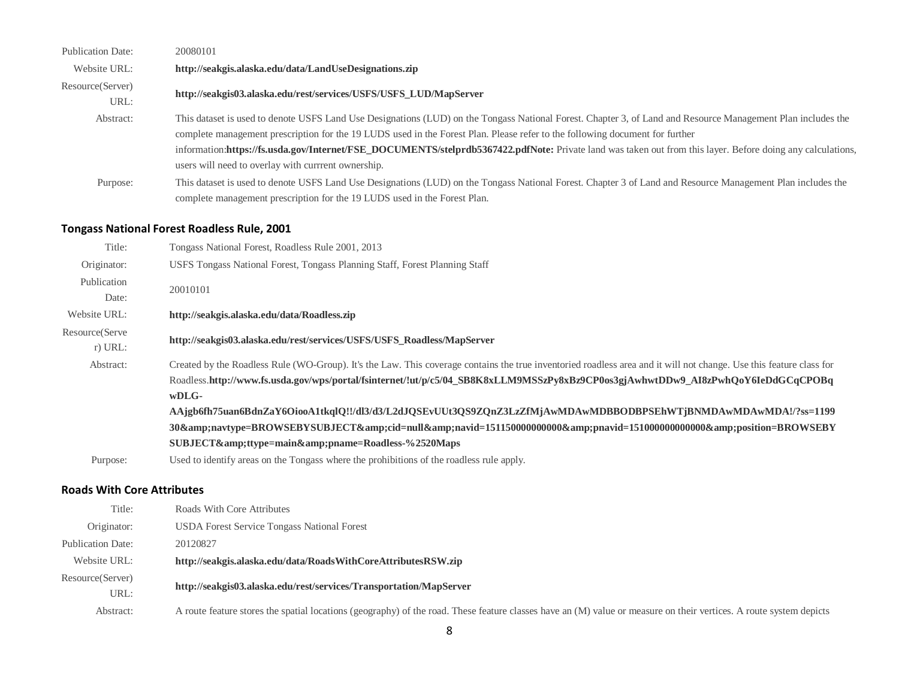| <b>Publication Date:</b> | 20080101                                                                                                                                                     |
|--------------------------|--------------------------------------------------------------------------------------------------------------------------------------------------------------|
| Website URL:             | http://seakgis.alaska.edu/data/LandUseDesignations.zip                                                                                                       |
| Resource(Server)         | http://seakgis03.alaska.edu/rest/services/USFS/USFS_LUD/MapServer                                                                                            |
| URL:                     |                                                                                                                                                              |
| Abstract:                | This dataset is used to denote USFS Land Use Designations (LUD) on the Tongass National Forest. Chapter 3, of Land and Resource Management Plan includes the |
|                          | complete management prescription for the 19 LUDS used in the Forest Plan. Please refer to the following document for further                                 |
|                          | information:https://fs.usda.gov/Internet/FSE_DOCUMENTS/stelprdb5367422.pdfNote: Private land was taken out from this layer. Before doing any calculations,   |
|                          | users will need to overlay with currrent ownership.                                                                                                          |
| Purpose:                 | This dataset is used to denote USFS Land Use Designations (LUD) on the Tongass National Forest. Chapter 3 of Land and Resource Management Plan includes the  |
|                          | complete management prescription for the 19 LUDS used in the Forest Plan.                                                                                    |

# **Tongass National Forest Roadless Rule, 2001**

| Title:         | Tongass National Forest, Roadless Rule 2001, 2013                                                                                                                   |
|----------------|---------------------------------------------------------------------------------------------------------------------------------------------------------------------|
| Originator:    | USFS Tongass National Forest, Tongass Planning Staff, Forest Planning Staff                                                                                         |
| Publication    | 20010101                                                                                                                                                            |
| Date:          |                                                                                                                                                                     |
| Website URL:   | http://seakgis.alaska.edu/data/Roadless.zip                                                                                                                         |
| Resource(Serve | http://seakgis03.alaska.edu/rest/services/USFS/USFS Roadless/MapServer                                                                                              |
| $r)$ URL:      |                                                                                                                                                                     |
| Abstract:      | Created by the Roadless Rule (WO-Group). It's the Law. This coverage contains the true inventoried roadless area and it will not change. Use this feature class for |
|                | Roadless.http://www.fs.usda.gov/wps/portal/fsinternet/!ut/p/c5/04_SB8K8xLLM9MSSzPy8xBz9CP0os3gjAwhwtDDw9_AI8zPwhQoY6IeDdGCqCPOBq                                    |
|                | $wDLG-$                                                                                                                                                             |
|                | AAjgb6fh75uan6BdnZaY6OiooA1tkqlQ!!/dl3/d3/L2dJQSEvUUt3QS9ZQnZ3LzZfMjAwMDAwMDBBODBPSEhWTjBNMDAwMDAwMDA!/?ss=1199                                                     |
|                | 30&navtype=BROWSEBYSUBJECT&cid=null&navid=15115000000000&pnavid=15100000000000&position=BROWSEBY                                                                    |
|                | SUBJECT&ttype=main&pname=Roadless-%2520Maps                                                                                                                         |
| Purpose:       | Used to identify areas on the Tongass where the prohibitions of the roadless rule apply.                                                                            |

## **Roads With Core Attributes**

| Title:                   | Roads With Core Attributes                                                                                                                                         |
|--------------------------|--------------------------------------------------------------------------------------------------------------------------------------------------------------------|
| Originator:              | <b>USDA Forest Service Tongass National Forest</b>                                                                                                                 |
| <b>Publication Date:</b> | 20120827                                                                                                                                                           |
| Website URL:             | http://seakgis.alaska.edu/data/RoadsWithCoreAttributesRSW.zip                                                                                                      |
| Resource(Server)         | http://seakgis03.alaska.edu/rest/services/Transportation/MapServer                                                                                                 |
| URL:                     |                                                                                                                                                                    |
| Abstract:                | A route feature stores the spatial locations (geography) of the road. These feature classes have an (M) value or measure on their vertices. A route system depicts |
|                          |                                                                                                                                                                    |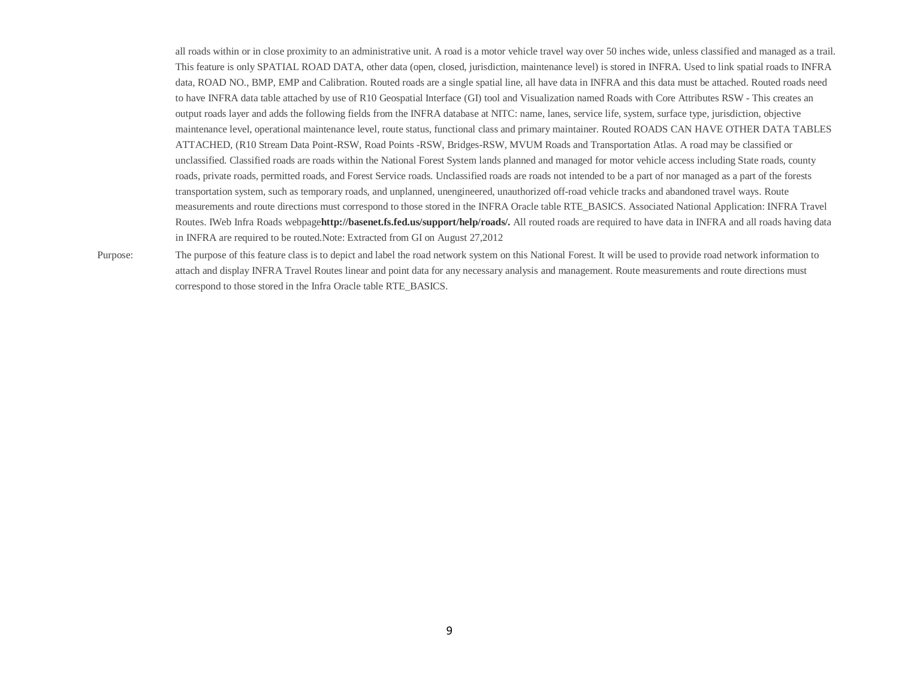all roads within or in close proximity to an administrative unit. A road is a motor vehicle travel way over 50 inches wide, unless classified and managed as a trail. This feature is only SPATIAL ROAD DATA, other data (open, closed, jurisdiction, maintenance level) is stored in INFRA. Used to link spatial roads to INFRA data, ROAD NO., BMP, EMP and Calibration. Routed roads are a single spatial line, all have data in INFRA and this data must be attached. Routed roads need to have INFRA data table attached by use of R10 Geospatial Interface (GI) tool and Visualization named Roads with Core Attributes RSW - This creates an output roads layer and adds the following fields from the INFRA database at NITC: name, lanes, service life, system, surface type, jurisdiction, objective maintenance level, operational maintenance level, route status, functional class and primary maintainer. Routed ROADS CAN HAVE OTHER DATA TABLES ATTACHED, (R10 Stream Data Point-RSW, Road Points -RSW, Bridges-RSW, MVUM Roads and Transportation Atlas. A road may be classified or unclassified. Classified roads are roads within the National Forest System lands planned and managed for motor vehicle access including State roads, county roads, private roads, permitted roads, and Forest Service roads. Unclassified roads are roads not intended to be a part of nor managed as a part of the forests transportation system, such as temporary roads, and unplanned, unengineered, unauthorized off-road vehicle tracks and abandoned travel ways. Route measurements and route directions must correspond to those stored in the INFRA Oracle table RTE\_BASICS. Associated National Application: INFRA Travel Routes. IWeb Infra Roads webpage**[http://basenet.fs.fed.us/support/help/roads/.](http://basenet.fs.fed.us/support/help/roads/)** All routed roads are required to have data in INFRA and all roads having data in INFRA are required to be routed.Note: Extracted from GI on August 27,2012

Purpose: The purpose of this feature class is to depict and label the road network system on this National Forest. It will be used to provide road network information to attach and display INFRA Travel Routes linear and point data for any necessary analysis and management. Route measurements and route directions must correspond to those stored in the Infra Oracle table RTE\_BASICS.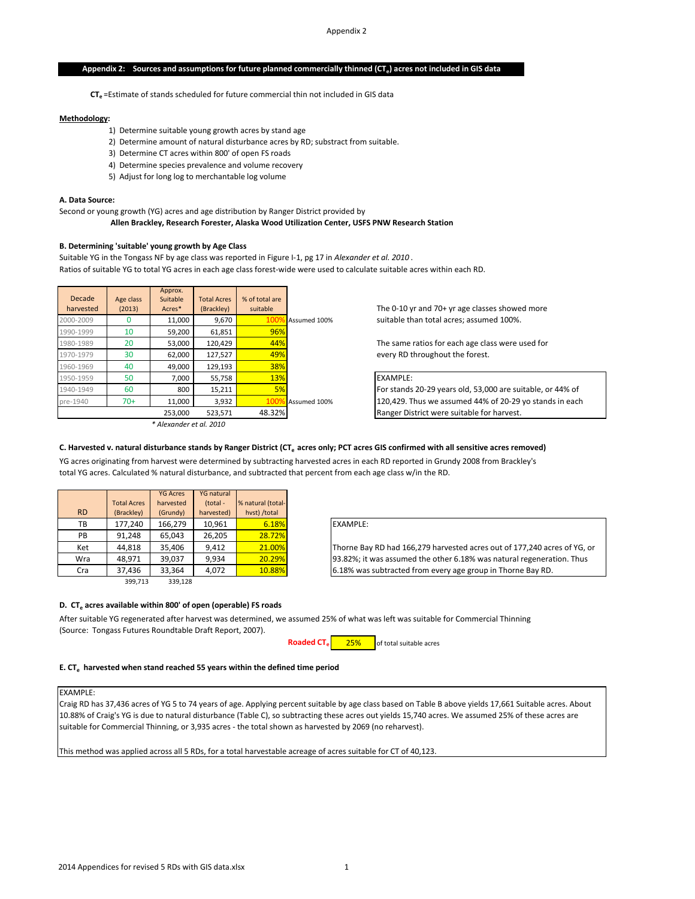### Appendix 2: Sources and assumptions for future planned commercially thinned (CT<sub>e</sub>) acres not included in GIS data

CT<sub>e</sub> =Estimate of stands scheduled for future commercial thin not included in GIS data

#### **Methodology:**

- 1) Determine suitable young growth acres by stand age
- 2) Determine amount of natural disturbance acres by RD; substract from suitable.
- 3) Determine CT acres within 800' of open FS roads
- 4) Determine species prevalence and volume recovery
- 5) Adjust for long log to merchantable log volume

#### **A. Data Source:**

Second or young growth (YG) acres and age distribution by Ranger District provided by

 **Allen Brackley, Research Forester, Alaska Wood Utilization Center, USFS PNW Research Station**

### **B. Determining 'suitable' young growth by Age Class**

Suitable YG in the Tongass NF by age class was reported in Figure I-1, pg 17 in *Alexander et al. 2010* .

Ratios of suitable YG to total YG acres in each age class forest-wide were used to calculate suitable acres within each RD.

|           |           | Approx.                 |                    |                |              |                   |
|-----------|-----------|-------------------------|--------------------|----------------|--------------|-------------------|
| Decade    | Age class | Suitable                | <b>Total Acres</b> | % of total are |              |                   |
| harvested | (2013)    | Acres*                  | (Brackley)         | suitable       |              | The $0-10y$       |
| 2000-2009 |           | 11,000                  | 9.670              | 1009           | Assumed 100% | suitable th       |
| 1990-1999 | 10        | 59,200                  | 61,851             | 96%            |              |                   |
| 1980-1989 | 20        | 53,000                  | 120,429            | 44%            |              | The same          |
| 1970-1979 | 30        | 62,000                  | 127,527            | 49%            |              | every RD t        |
| 1960-1969 | 40        | 49,000                  | 129,193            | 38%            |              |                   |
| 1950-1959 | 50        | 7.000                   | 55,758             | 13%            |              | <b>EXAMPLE:</b>   |
| 1940-1949 | 60        | 800                     | 15,211             | 5%             |              | For stands        |
| pre-1940  | $70+$     | 11,000                  | 3,932              | 1009           | Assumed 100% | 120.429. T        |
|           |           | 253,000                 | 523,571            | 48.32%         |              | <b>Ranger Dis</b> |
|           |           | * Alexander et al. 2010 |                    |                |              |                   |

The 0-10 yr and 70+ yr age classes showed more suitable than total acres; assumed 100%.

The same ratios for each age class were used for every RD throughout the forest.

# For stands 20-29 years old, 53,000 are suitable, or 44% of

120,429. Thus we assumed 44% of 20-29 yo stands in each Ranger District were suitable for harvest.

#### C. Harvested v. natural disturbance stands by Ranger District (CT<sub>e</sub> acres only; PCT acres GIS confirmed with all sensitive acres removed)

YG acres originating from harvest were determined by subtracting harvested acres in each RD reported in Grundy 2008 from Brackley's total YG acres. Calculated % natural disturbance, and subtracted that percent from each age class w/in the RD.

|           |                    | <b>YG Acres</b> | <b>YG natural</b> |                   |
|-----------|--------------------|-----------------|-------------------|-------------------|
|           | <b>Total Acres</b> | harvested       | (total -          | % natural (total- |
| <b>RD</b> | (Brackley)         | (Grundy)        | harvested)        | hvst) /total      |
| ТB        | 177,240            | 166,279         | 10,961            | 6.18%             |
| PB        | 91,248             | 65,043          | 26,205            | 28.72%            |
| Ket       | 44.818             | 35,406          | 9,412             | 21.00%            |
| Wra       | 48,971             | 39,037          | 9,934             | 20.29%            |
| Cra       | 37,436             | 33,364          | 4.072             | 10.88%            |
|           | 399,713            | 339,128         |                   |                   |

### EXAMPLE:

Thorne Bay RD had 166,279 harvested acres out of 177,240 acres of YG, or 93.82%; it was assumed the other 6.18% was natural regeneration. Thus 6.18% was subtracted from every age group in Thorne Bay RD.

#### **D. CT<sub>e</sub> acres available within 800' of open (operable) FS roads**

After suitable YG regenerated after harvest was determined, we assumed 25% of what was left was suitable for Commercial Thinning (Source: Tongass Futures Roundtable Draft Report, 2007).



### **E. CTe harvested when stand reached 55 years within the defined time period**

#### EXAMPLE:

Craig RD has 37,436 acres of YG 5 to 74 years of age. Applying percent suitable by age class based on Table B above yields 17,661 Suitable acres. About 10.88% of Craig's YG is due to natural disturbance (Table C), so subtracting these acres out yields 15,740 acres. We assumed 25% of these acres are suitable for Commercial Thinning, or 3,935 acres - the total shown as harvested by 2069 (no reharvest).

This method was applied across all 5 RDs, for a total harvestable acreage of acres suitable for CT of 40,123.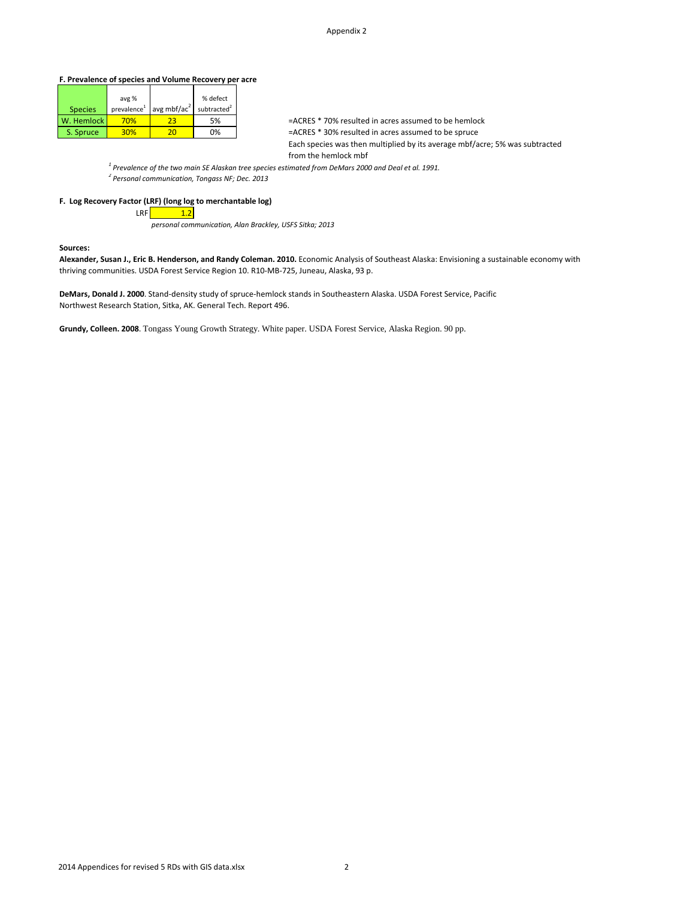### **F. Prevalence of species and Volume Recovery per acre**

|                | avg %      |                                                 | % defect   |
|----------------|------------|-------------------------------------------------|------------|
| <b>Species</b> |            | prevalence <sup>1</sup> avg mbf/ac <sup>2</sup> | subtracted |
| W. Hemlock     | <b>70%</b> | 23                                              | .5%        |
| S. Spruce      | 30%        | ,,,                                             | በ%         |

=ACRES \* 70% resulted in acres assumed to be hemlock =ACRES \* 30% resulted in acres assumed to be spruce Each species was then multiplied by its average mbf/acre; 5% was subtracted from the hemlock mbf

*<sup>1</sup> Prevalence of the two main SE Alaskan tree species estimated from DeMars 2000 and Deal et al. 1991.*

*<sup>2</sup> Personal communication, Tongass NF; Dec. 2013*

### **F. Log Recovery Factor (LRF) (long log to merchantable log)**

 $LRF$  1.2

*personal communication, Alan Brackley, USFS Sitka; 2013*

#### **Sources:**

**Alexander, Susan J., Eric B. Henderson, and Randy Coleman. 2010.** Economic Analysis of Southeast Alaska: Envisioning a sustainable economy with thriving communities. USDA Forest Service Region 10. R10-MB-725, Juneau, Alaska, 93 p.

**DeMars, Donald J. 2000**. Stand-density study of spruce-hemlock stands in Southeastern Alaska. USDA Forest Service, Pacific Northwest Research Station, Sitka, AK. General Tech. Report 496.

**Grundy, Colleen. 2008**. Tongass Young Growth Strategy. White paper. USDA Forest Service, Alaska Region. 90 pp.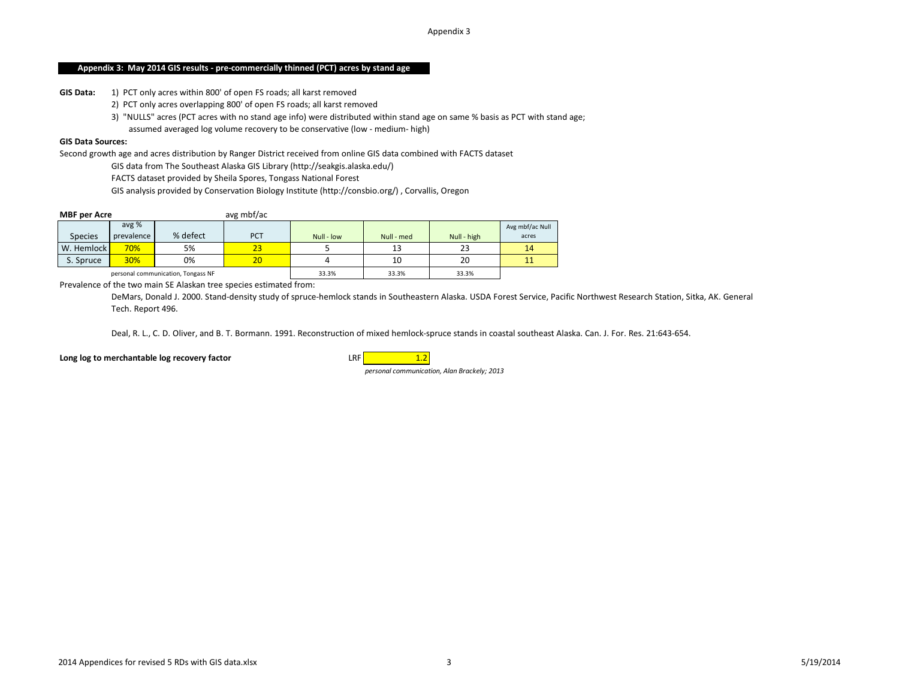### **Appendix 3: May 2014 GIS results - pre-commercially thinned (PCT) acres by stand age**

**GIS Data:** 1) PCT only acres within 800' of open FS roads; all karst removed

- 2) PCT only acres overlapping 800' of open FS roads; all karst removed
- 3) "NULLS" acres (PCT acres with no stand age info) were distributed within stand age on same % basis as PCT with stand age;

assumed averaged log volume recovery to be conservative (low - medium- high)

### **GIS Data Sources:**

Second growth age and acres distribution by Ranger District received from online GIS data combined with FACTS dataset

GIS data from The Southeast Alaska GIS Library (http://seakgis.alaska.edu/)

FACTS dataset provided by Sheila Spores, Tongass National Forest

GIS analysis provided by Conservation Biology Institute (http://consbio.org/) , Corvallis, Oregon

| <b>MBF per Acre</b> |                     |                                    | avg mbf/ac |            |            |             |                          |
|---------------------|---------------------|------------------------------------|------------|------------|------------|-------------|--------------------------|
| <b>Species</b>      | avg %<br>prevalence | % defect                           | <b>PCT</b> | Null - low | Null - med | Null - high | Avg mbf/ac Null<br>acres |
| W. Hemlock          | 70%                 | 5%                                 | 23         |            |            | 23          | 14                       |
| S. Spruce           | <b>30%</b>          | 0%                                 | 20         |            | 10         | 20          |                          |
|                     |                     | personal communication, Tongass NF |            | 33.3%      | 33.3%      | 33.3%       |                          |

Prevalence of the two main SE Alaskan tree species estimated from:

DeMars, Donald J. 2000. Stand-density study of spruce-hemlock stands in Southeastern Alaska. USDA Forest Service, Pacific Northwest Research Station, Sitka, AK. General Tech. Report 496.

Deal, R. L., C. D. Oliver, and B. T. Bormann. 1991. Reconstruction of mixed hemlock-spruce stands in coastal southeast Alaska. Can. J. For. Res. 21:643-654.

**Long log to merchantable log recovery factor LRF** 1.2

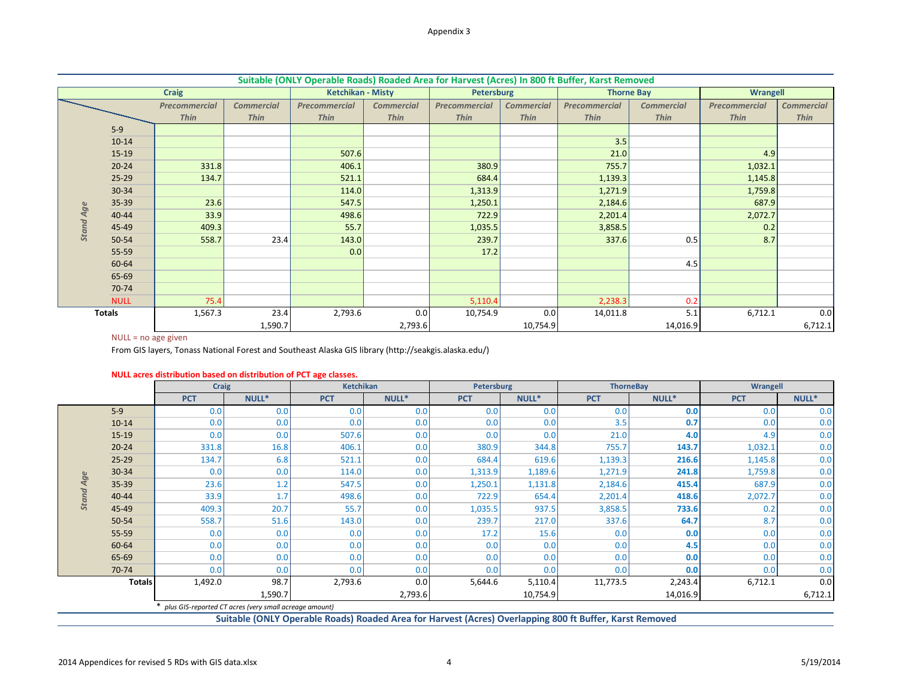|                  |               |                      |                   | Suitable (ONLY Operable Roads) Roaded Area for Harvest (Acres) In 800 ft Buffer, Karst Removed |                   |               |                   |                      |                   |                 |                   |
|------------------|---------------|----------------------|-------------------|------------------------------------------------------------------------------------------------|-------------------|---------------|-------------------|----------------------|-------------------|-----------------|-------------------|
|                  |               | <b>Craig</b>         |                   | <b>Ketchikan - Misty</b>                                                                       |                   | Petersburg    |                   |                      | <b>Thorne Bay</b> | <b>Wrangell</b> |                   |
|                  |               | <b>Precommercial</b> | <b>Commercial</b> | Precommercial                                                                                  | <b>Commercial</b> | Precommercial | <b>Commercial</b> | <b>Precommercial</b> | <b>Commercial</b> | Precommercial   | <b>Commercial</b> |
|                  |               | <b>Thin</b>          | <b>Thin</b>       | <b>Thin</b>                                                                                    | <b>Thin</b>       | <b>Thin</b>   | <b>Thin</b>       | <b>Thin</b>          | <b>Thin</b>       | <b>Thin</b>     | <b>Thin</b>       |
|                  | $5-9$         |                      |                   |                                                                                                |                   |               |                   |                      |                   |                 |                   |
|                  | $10 - 14$     |                      |                   |                                                                                                |                   |               |                   | 3.5                  |                   |                 |                   |
|                  | $15-19$       |                      |                   | 507.6                                                                                          |                   |               |                   | 21.0                 |                   | 4.9             |                   |
|                  | $20 - 24$     | 331.8                |                   | 406.1                                                                                          |                   | 380.9         |                   | 755.7                |                   | 1,032.1         |                   |
|                  | $25-29$       | 134.7                |                   | 521.1                                                                                          |                   | 684.4         |                   | 1,139.3              |                   | 1,145.8         |                   |
|                  | 30-34         |                      |                   | 114.0                                                                                          |                   | 1,313.9       |                   | 1,271.9              |                   | 1,759.8         |                   |
|                  | 35-39         | 23.6                 |                   | 547.5                                                                                          |                   | 1,250.1       |                   | 2,184.6              |                   | 687.9           |                   |
|                  | 40-44         | 33.9                 |                   | 498.6                                                                                          |                   | 722.9         |                   | 2,201.4              |                   | 2,072.7         |                   |
| <b>Stand Age</b> | 45-49         | 409.3                |                   | 55.7                                                                                           |                   | 1,035.5       |                   | 3,858.5              |                   | 0.2             |                   |
|                  | 50-54         | 558.7                | 23.4              | 143.0                                                                                          |                   | 239.7         |                   | 337.6                | 0.5               | 8.7             |                   |
|                  | 55-59         |                      |                   | 0.0                                                                                            |                   | 17.2          |                   |                      |                   |                 |                   |
|                  | 60-64         |                      |                   |                                                                                                |                   |               |                   |                      | 4.5               |                 |                   |
|                  | 65-69         |                      |                   |                                                                                                |                   |               |                   |                      |                   |                 |                   |
|                  | 70-74         |                      |                   |                                                                                                |                   |               |                   |                      |                   |                 |                   |
|                  | <b>NULL</b>   | 75.4                 |                   |                                                                                                |                   | 5,110.4       |                   | 2,238.3              | 0.2               |                 |                   |
|                  | <b>Totals</b> | 1,567.3              | 23.4              | 2,793.6                                                                                        | 0.0               | 10,754.9      | 0.0               | 14,011.8             | 5.1               | 6,712.1         | 0.0               |
|                  |               |                      | 1,590.7           |                                                                                                | 2,793.6           |               | 10,754.9          |                      | 14,016.9          |                 | 6,712.1           |

## NULL = no age given

| NULL acres distribution based on distribution of PCT age classes. |  |  |  |  |
|-------------------------------------------------------------------|--|--|--|--|
|-------------------------------------------------------------------|--|--|--|--|

|                  | <b>JJ-JJ</b>          | 23.U                                                              |         | ر. ، +د                                                                                               |         | ⊥،د∪د⊥     |          | 5,104.0                                                                                                 |          | 001.5      |         |
|------------------|-----------------------|-------------------------------------------------------------------|---------|-------------------------------------------------------------------------------------------------------|---------|------------|----------|---------------------------------------------------------------------------------------------------------|----------|------------|---------|
| <b>Stand Age</b> | $40 - 44$             | 33.9                                                              |         | 498.6                                                                                                 |         | 722.9      |          | 2,201.4                                                                                                 |          | 2,072.7    |         |
|                  | 45-49                 | 409.3                                                             |         | 55.7                                                                                                  |         | 1,035.5    |          | 3,858.5                                                                                                 |          | 0.2        |         |
|                  | 50-54                 | 558.7                                                             | 23.4    | 143.0                                                                                                 |         | 239.7      |          | 337.6                                                                                                   | 0.5      | 8.7        |         |
|                  | 55-59                 |                                                                   |         | 0.0                                                                                                   |         | 17.2       |          |                                                                                                         |          |            |         |
|                  | 60-64                 |                                                                   |         |                                                                                                       |         |            |          |                                                                                                         | 4.5      |            |         |
|                  | 65-69                 |                                                                   |         |                                                                                                       |         |            |          |                                                                                                         |          |            |         |
|                  | 70-74                 |                                                                   |         |                                                                                                       |         |            |          |                                                                                                         |          |            |         |
|                  | <b>NULL</b>           | 75.4                                                              |         |                                                                                                       |         | 5,110.4    |          | 2,238.3                                                                                                 | 0.2      |            |         |
|                  | <b>Totals</b>         | 1,567.3                                                           | 23.4    | 2,793.6                                                                                               | 0.0     | 10,754.9   | 0.0      | 14,011.8                                                                                                | 5.1      | 6,712.1    | 0.0     |
|                  |                       |                                                                   | 1,590.7 |                                                                                                       | 2,793.6 |            | 10,754.9 |                                                                                                         | 14,016.9 |            | 6,712.1 |
|                  | $NULL = no$ age given |                                                                   |         |                                                                                                       |         |            |          |                                                                                                         |          |            |         |
|                  |                       |                                                                   |         | From GIS layers, Tonass National Forest and Southeast Alaska GIS library (http://seakgis.alaska.edu/) |         |            |          |                                                                                                         |          |            |         |
|                  |                       |                                                                   |         |                                                                                                       |         |            |          |                                                                                                         |          |            |         |
|                  |                       | NULL acres distribution based on distribution of PCT age classes. |         |                                                                                                       |         |            |          |                                                                                                         |          |            |         |
|                  |                       | <b>Craig</b>                                                      |         | <b>Ketchikan</b>                                                                                      |         | Petersburg |          | <b>ThorneBay</b>                                                                                        |          | Wrangell   |         |
|                  |                       | <b>PCT</b>                                                        | NULL*   | <b>PCT</b>                                                                                            | NULL*   | <b>PCT</b> | NULL*    | <b>PCT</b>                                                                                              | NULL*    | <b>PCT</b> | NULL*   |
|                  | $5-9$                 | 0.0                                                               | 0.0     | 0.0                                                                                                   | 0.0     | 0.0        | 0.0      | 0.0                                                                                                     | 0.0      | 0.0        | 0.0     |
|                  | $10-14$               | 0.0                                                               | 0.0     | 0.0                                                                                                   | 0.0     | 0.0        | 0.0      | 3.5                                                                                                     | 0.7      | 0.0        | 0.0     |
|                  | $15-19$               | 0.0                                                               | 0.0     | 507.6                                                                                                 | 0.0     | 0.0        | 0.0      | 21.0                                                                                                    | 4.0      | 4.9        | 0.0     |
|                  | $20 - 24$             | 331.8                                                             | 16.8    | 406.1                                                                                                 | 0.0     | 380.9      | 344.8    | 755.7                                                                                                   | 143.7    | 1,032.1    | 0.0     |
|                  | $25-29$               | 134.7                                                             | 6.8     | 521.1                                                                                                 | 0.0     | 684.4      | 619.6    | 1,139.3                                                                                                 | 216.6    | 1,145.8    | 0.0     |
|                  | 30-34                 | 0.0                                                               | 0.0     | 114.0                                                                                                 | 0.0     | 1,313.9    | 1,189.6  | 1,271.9                                                                                                 | 241.8    | 1,759.8    | 0.0     |
| <b>Stand Age</b> | 35-39                 | 23.6                                                              | 1.2     | 547.5                                                                                                 | 0.0     | 1,250.1    | 1,131.8  | 2,184.6                                                                                                 | 415.4    | 687.9      | 0.0     |
|                  | 40-44                 | 33.9                                                              | 1.7     | 498.6                                                                                                 | 0.0     | 722.9      | 654.4    | 2,201.4                                                                                                 | 418.6    | 2,072.7    | 0.0     |
|                  | 45-49                 | 409.3                                                             | 20.7    | 55.7                                                                                                  | 0.0     | 1,035.5    | 937.5    | 3,858.5                                                                                                 | 733.6    | 0.2        | 0.0     |
|                  | 50-54                 | 558.7                                                             | 51.6    | 143.0                                                                                                 | 0.0     | 239.7      | 217.0    | 337.6                                                                                                   | 64.7     | 8.7        | 0.0     |
|                  | 55-59                 | 0.0                                                               | 0.0     | 0.0                                                                                                   | 0.0     | 17.2       | 15.6     | 0.0                                                                                                     | 0.0      | 0.0        | 0.0     |
|                  | 60-64                 | 0.0                                                               | 0.0     | 0.0                                                                                                   | 0.0     | 0.0        | 0.0      | 0.0                                                                                                     | 4.5      | 0.0        | 0.0     |
|                  | 65-69                 | 0.0                                                               | 0.0     | 0.0                                                                                                   | 0.0     | 0.0        | 0.0      | 0.0                                                                                                     | 0.0      | 0.0        | 0.0     |
|                  | 70-74                 | 0.0                                                               | 0.0     | 0.0                                                                                                   | 0.0     | 0.0        | 0.0      | 0.0                                                                                                     | 0.0      | 0.0        | 0.0     |
|                  | <b>Totals</b>         | 1,492.0                                                           | 98.7    | 2,793.6                                                                                               | 0.0     | 5,644.6    | 5,110.4  | 11,773.5                                                                                                | 2,243.4  | 6,712.1    | 0.0     |
|                  |                       |                                                                   | 1,590.7 |                                                                                                       | 2,793.6 |            | 10,754.9 |                                                                                                         | 14,016.9 |            | 6,712.1 |
|                  |                       | * plus GIS-reported CT acres (very small acreage amount)          |         |                                                                                                       |         |            |          |                                                                                                         |          |            |         |
|                  |                       |                                                                   |         |                                                                                                       |         |            |          | Suitable (ONLY Operable Roads) Roaded Area for Harvest (Acres) Overlanning 800 ft Buffer, Karst Removed |          |            |         |

**Suitable (ONLY Operable Roads) Roaded Area for Harvest (Acres) Overlapping 800 ft Buffer, Karst Removed**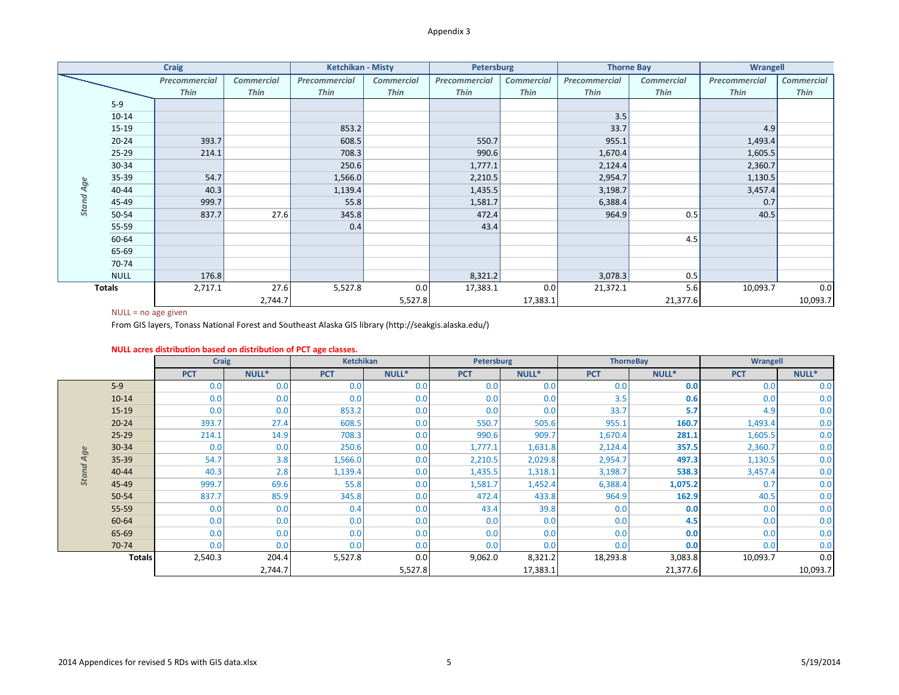| <b>Craig</b> |               |               | <b>Ketchikan - Misty</b> |               | <b>Petersburg</b> |               | <b>Thorne Bay</b> |               | <b>Wrangell</b>   |               |                   |
|--------------|---------------|---------------|--------------------------|---------------|-------------------|---------------|-------------------|---------------|-------------------|---------------|-------------------|
|              |               | Precommercial | <b>Commercial</b>        | Precommercial | <b>Commercial</b> | Precommercial | <b>Commercial</b> | Precommercial | <b>Commercial</b> | Precommercial | <b>Commercial</b> |
|              |               | Thin          | <b>Thin</b>              | <b>Thin</b>   | <b>Thin</b>       | <b>Thin</b>   | <b>Thin</b>       | <b>Thin</b>   | <b>Thin</b>       | <b>Thin</b>   | Thin              |
|              | $5-9$         |               |                          |               |                   |               |                   |               |                   |               |                   |
|              | $10 - 14$     |               |                          |               |                   |               |                   | 3.5           |                   |               |                   |
|              | 15-19         |               |                          | 853.2         |                   |               |                   | 33.7          |                   | 4.9           |                   |
|              | $20 - 24$     | 393.7         |                          | 608.5         |                   | 550.7         |                   | 955.1         |                   | 1,493.4       |                   |
|              | $25-29$       | 214.1         |                          | 708.3         |                   | 990.6         |                   | 1,670.4       |                   | 1,605.5       |                   |
|              | $30 - 34$     |               |                          | 250.6         |                   | 1,777.1       |                   | 2,124.4       |                   | 2,360.7       |                   |
|              | $35 - 39$     | 54.7          |                          | 1,566.0       |                   | 2,210.5       |                   | 2,954.7       |                   | 1,130.5       |                   |
| Age          | 40-44         | 40.3          |                          | 1,139.4       |                   | 1,435.5       |                   | 3,198.7       |                   | 3,457.4       |                   |
| <b>Stand</b> | 45-49         | 999.7         |                          | 55.8          |                   | 1,581.7       |                   | 6,388.4       |                   | 0.7           |                   |
|              | 50-54         | 837.7         | 27.6                     | 345.8         |                   | 472.4         |                   | 964.9         | 0.5               | 40.5          |                   |
|              | 55-59         |               |                          | 0.4           |                   | 43.4          |                   |               |                   |               |                   |
|              | 60-64         |               |                          |               |                   |               |                   |               | 4.5               |               |                   |
|              | 65-69         |               |                          |               |                   |               |                   |               |                   |               |                   |
|              | 70-74         |               |                          |               |                   |               |                   |               |                   |               |                   |
|              | <b>NULL</b>   | 176.8         |                          |               |                   | 8,321.2       |                   | 3,078.3       | 0.5               |               |                   |
|              | <b>Totals</b> | 2,717.1       | 27.6                     | 5,527.8       | 0.0               | 17,383.1      | 0.0               | 21,372.1      | 5.6               | 10,093.7      | 0.0               |
|              |               |               | 2,744.7                  |               | 5,527.8           |               | 17,383.1          |               | 21,377.6          |               | 10,093.7          |

|                  | <b>JJ-JJ</b>          | J4.7                                                              |         | ∪י∩חיל                                                                                                |         | 2,210.9    |          | 2,994.1          |          | ביסכדיד    |          |
|------------------|-----------------------|-------------------------------------------------------------------|---------|-------------------------------------------------------------------------------------------------------|---------|------------|----------|------------------|----------|------------|----------|
|                  | 40-44                 | 40.3                                                              |         | 1,139.4                                                                                               |         | 1,435.5    |          | 3,198.7          |          | 3,457.4    |          |
| <b>Stand Age</b> | 45-49                 | 999.7                                                             |         | 55.8                                                                                                  |         | 1,581.7    |          | 6,388.4          |          | 0.7        |          |
|                  | 50-54                 | 837.7                                                             | 27.6    | 345.8                                                                                                 |         | 472.4      |          | 964.9            | 0.5      | 40.5       |          |
|                  | 55-59                 |                                                                   |         | 0.4                                                                                                   |         | 43.4       |          |                  |          |            |          |
|                  | 60-64                 |                                                                   |         |                                                                                                       |         |            |          |                  | 4.5      |            |          |
|                  | 65-69                 |                                                                   |         |                                                                                                       |         |            |          |                  |          |            |          |
|                  | 70-74                 |                                                                   |         |                                                                                                       |         |            |          |                  |          |            |          |
|                  | <b>NULL</b>           | 176.8                                                             |         |                                                                                                       |         | 8,321.2    |          | 3,078.3          | 0.5      |            |          |
|                  | <b>Totals</b>         | 2,717.1                                                           | 27.6    | 5,527.8                                                                                               | 0.0     | 17,383.1   | 0.0      | 21,372.1         | 5.6      | 10,093.7   | 0.0      |
|                  |                       |                                                                   | 2,744.7 |                                                                                                       | 5,527.8 |            | 17,383.1 |                  | 21,377.6 |            | 10,093.7 |
|                  | $NULL = no$ age given |                                                                   |         |                                                                                                       |         |            |          |                  |          |            |          |
|                  |                       |                                                                   |         | From GIS layers, Tonass National Forest and Southeast Alaska GIS library (http://seakgis.alaska.edu/) |         |            |          |                  |          |            |          |
|                  |                       |                                                                   |         |                                                                                                       |         |            |          |                  |          |            |          |
|                  |                       | NULL acres distribution based on distribution of PCT age classes. |         |                                                                                                       |         |            |          |                  |          |            |          |
|                  |                       | <b>Craig</b>                                                      |         | Ketchikan                                                                                             |         | Petersburg |          | <b>ThorneBay</b> |          | Wrangell   |          |
|                  |                       | <b>PCT</b>                                                        | NULL*   | <b>PCT</b>                                                                                            | NULL*   | <b>PCT</b> | NULL*    | <b>PCT</b>       | NULL*    | <b>PCT</b> | NULL*    |
|                  |                       |                                                                   |         |                                                                                                       |         |            |          |                  |          |            |          |
|                  | $5-9$                 | 0.0                                                               | 0.0     | 0.0                                                                                                   | 0.0     | 0.0        | 0.0      | 0.0              | 0.0      | 0.0        | 0.0      |
|                  | $10 - 14$             | 0.0                                                               | 0.0     | 0.0                                                                                                   | 0.0     | 0.0        | 0.0      | 3.5              | 0.6      | 0.0        | 0.0      |
|                  | $15-19$               | 0.0                                                               | 0.0     | 853.2                                                                                                 | 0.0     | 0.0        | 0.0      | 33.7             | 5.7      | 4.9        | 0.0      |
|                  | $20 - 24$             | 393.7                                                             | 27.4    | 608.5                                                                                                 | 0.0     | 550.7      | 505.6    | 955.1            | 160.7    | 1,493.4    | 0.0      |
|                  | $25 - 29$             | 214.1                                                             | 14.9    | 708.3                                                                                                 | 0.0     | 990.6      | 909.7    | 1,670.4          | 281.1    | 1,605.5    | 0.0      |
|                  | 30-34                 | 0.0                                                               | 0.0     | 250.6                                                                                                 | 0.0     | 1,777.1    | 1,631.8  | 2,124.4          | 357.5    | 2,360.7    | 0.0      |
|                  | 35-39                 | 54.7                                                              | 3.8     | 1,566.0                                                                                               | 0.0     | 2,210.5    | 2,029.8  | 2,954.7          | 497.3    | 1,130.5    | 0.0      |
|                  | $40 - 44$             | 40.3                                                              | 2.8     | 1,139.4                                                                                               | 0.0     | 1,435.5    | 1,318.1  | 3,198.7          | 538.3    | 3,457.4    | 0.0      |
| <b>Stand Age</b> | 45-49                 | 999.7                                                             | 69.6    | 55.8                                                                                                  | 0.0     | 1,581.7    | 1,452.4  | 6,388.4          | 1,075.2  | 0.7        | 0.0      |
|                  | 50-54                 | 837.7                                                             | 85.9    | 345.8                                                                                                 | 0.0     | 472.4      | 433.8    | 964.9            | 162.9    | 40.5       | 0.0      |
|                  | 55-59                 | 0.0                                                               | 0.0     | 0.4                                                                                                   | 0.0     | 43.4       | 39.8     | 0.0              | 0.0      | 0.0        | 0.0      |
|                  | 60-64                 | 0.0                                                               | 0.0     | 0.0                                                                                                   | 0.0     | 0.0        | 0.0      | 0.0              | 4.5      | 0.0        | 0.0      |
|                  | 65-69                 | 0.0                                                               | 0.0     | 0.0                                                                                                   | 0.0     | 0.0        | 0.0      | 0.0              | 0.0      | 0.0        | 0.0      |
|                  | 70-74                 | 0.0                                                               | 0.0     | 0.0                                                                                                   | 0.0     | 0.0        | 0.0      | 0.0              | 0.0      | 0.0        | 0.0      |
|                  | <b>Totals</b>         | 2,540.3                                                           | 204.4   | 5,527.8                                                                                               | 0.0     | 9,062.0    | 8,321.2  | 18,293.8         | 3,083.8  | 10,093.7   | 0.0      |

### **NULL acres distribution based on distribution of PCT age classes.**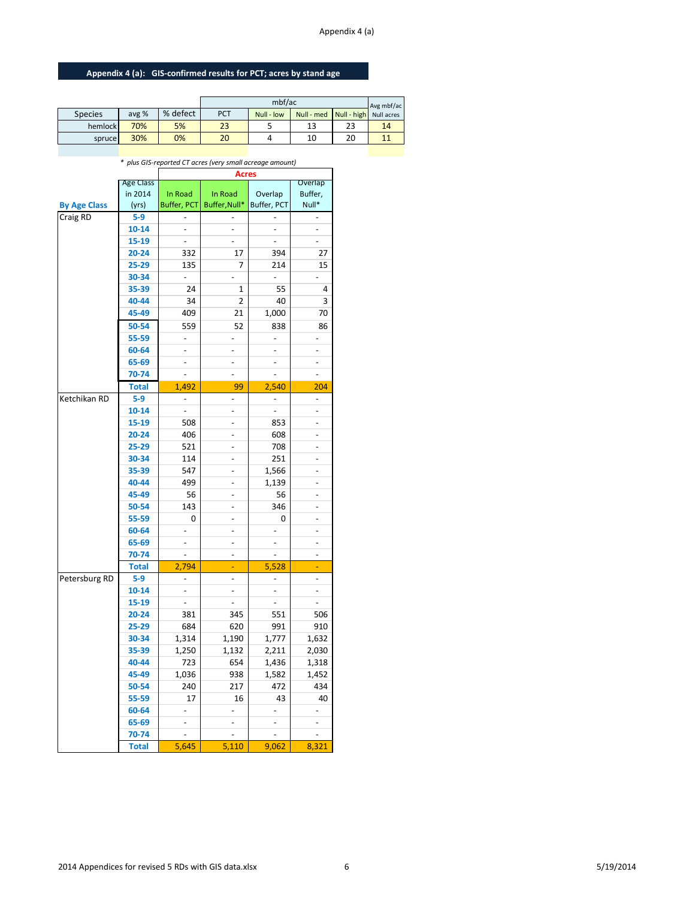## Appendix 4 (a)

# **Appendix 4 (a): GIS-confirmed results for PCT; acres by stand age**

|                |       |          |     | Avg mbf/ac |            |                        |    |
|----------------|-------|----------|-----|------------|------------|------------------------|----|
| <b>Species</b> | avg % | % defect | PCT | Null - low | Null - med | Null - high Null acres |    |
| hemlock        | 70%   | 5%       | 23  |            | 13         | 23                     | 14 |
| spruce         | 30%   | 0%       | 20  |            | 10         | 20                     |    |

|                     |                  |                          | *  plus GIS-reported CT acres (very small acreage amount) |                          |                          |
|---------------------|------------------|--------------------------|-----------------------------------------------------------|--------------------------|--------------------------|
|                     | <b>Age Class</b> |                          | Acres                                                     |                          | Overlap                  |
|                     | in 2014          | In Road                  | In Road                                                   | Overlap                  | Buffer,                  |
| <b>By Age Class</b> | (yrs)            | Buffer, PCT              | Buffer, Null*                                             | Buffer, PCT              | Null*                    |
| Craig RD            | $5-9$            |                          |                                                           |                          |                          |
|                     | $10 - 14$        |                          | $\overline{a}$                                            |                          |                          |
|                     | 15-19            | $\frac{1}{2}$            | ÷.                                                        | $\overline{a}$           | $\overline{a}$           |
|                     | $20 - 24$        | 332                      | 17                                                        | 394                      | 27                       |
|                     | 25-29            | 135                      | 7                                                         | 214                      | 15                       |
|                     | 30-34            | $\overline{a}$           |                                                           |                          |                          |
|                     | 35-39            | 24                       | 1                                                         | 55                       | 4                        |
|                     | 40-44            | 34                       | 2                                                         | 40                       | 3                        |
|                     |                  | 409                      | 21                                                        |                          | 70                       |
|                     | 45-49            |                          |                                                           | 1,000                    |                          |
|                     | 50-54            | 559                      | 52                                                        | 838                      | 86                       |
|                     | 55-59            | $\overline{\phantom{0}}$ | $\overline{a}$                                            | $\overline{\phantom{a}}$ | $\overline{a}$           |
|                     | 60-64            | ÷,                       | ÷,                                                        | $\overline{a}$           | $\overline{\phantom{0}}$ |
|                     | 65-69            | $\frac{1}{2}$            | $\frac{1}{2}$                                             | $\overline{\phantom{a}}$ | $\overline{\phantom{a}}$ |
|                     | 70-74            | $\overline{a}$           | $\overline{a}$                                            | $\overline{a}$           | $\overline{a}$           |
|                     | <b>Total</b>     | 1,492                    | 99                                                        | 2,540                    | 204                      |
| Ketchikan RD        | $5-9$            | $\overline{\phantom{a}}$ | $\overline{a}$                                            | $\overline{a}$           | $\overline{a}$           |
|                     | $10 - 14$        | ÷.                       | ÷,                                                        |                          | $\overline{a}$           |
|                     | 15-19            | 508                      | ÷,                                                        | 853                      | $\overline{a}$           |
|                     | $20 - 24$        | 406                      |                                                           | 608                      |                          |
|                     | 25-29            | 521                      |                                                           | 708                      | $\overline{a}$           |
|                     | 30-34            | 114                      |                                                           | 251                      |                          |
|                     | 35-39            | 547                      | ÷,                                                        | 1,566                    | $\overline{a}$           |
|                     | 40-44            | 499                      |                                                           | 1,139                    |                          |
|                     | 45-49            | 56                       | $\overline{\phantom{a}}$                                  | 56                       | $\overline{a}$           |
|                     | 50-54            | 143                      | ÷,                                                        | 346                      | $\overline{a}$           |
|                     | 55-59            | 0                        | $\qquad \qquad \blacksquare$                              | 0                        | $\overline{\phantom{0}}$ |
|                     | 60-64            |                          | $\qquad \qquad \blacksquare$                              |                          | $\overline{\phantom{0}}$ |
|                     | 65-69            | $\overline{\phantom{a}}$ | $\overline{\phantom{a}}$                                  | $\overline{\phantom{a}}$ | $\overline{\phantom{0}}$ |
|                     | 70-74            | ÷,                       | ٠                                                         |                          | $\overline{a}$           |
|                     | <b>Total</b>     | 2,794                    | ÷                                                         | 5,528                    | ÷,                       |
| Petersburg RD       | $5-9$            | $\overline{\phantom{a}}$ | $\overline{\phantom{a}}$                                  | $\blacksquare$           | $\overline{\phantom{0}}$ |
|                     | $10 - 14$        | $\overline{\phantom{a}}$ | $\overline{\phantom{a}}$                                  | $\overline{a}$           | $\overline{\phantom{0}}$ |
|                     | 15-19            | ÷,                       | ÷,                                                        | $\blacksquare$           | $\overline{\phantom{a}}$ |
|                     | $20 - 24$        | 381                      | 345                                                       | 551                      | 506                      |
|                     | 25-29            | 684                      | 620                                                       | 991                      | 910                      |
|                     | 30-34            | 1,314                    | 1,190                                                     | 1,777                    | 1,632                    |
|                     | 35-39            | 1,250                    | 1,132                                                     | 2,211                    | 2,030                    |
|                     | 40-44            | 723                      | 654                                                       | 1,436                    | 1,318                    |
|                     | 45-49            | 1,036                    | 938                                                       | 1,582                    | 1,452                    |
|                     | 50-54            | 240                      | 217                                                       | 472                      | 434                      |
|                     | 55-59            | 17                       | 16                                                        | 43                       | 40                       |
|                     | 60-64            |                          |                                                           |                          |                          |
|                     | 65-69            |                          |                                                           |                          |                          |
|                     | 70-74            |                          |                                                           |                          |                          |
|                     | <b>Total</b>     | 5,645                    | 5,110                                                     | 9,062                    | 8,321                    |
|                     |                  |                          |                                                           |                          |                          |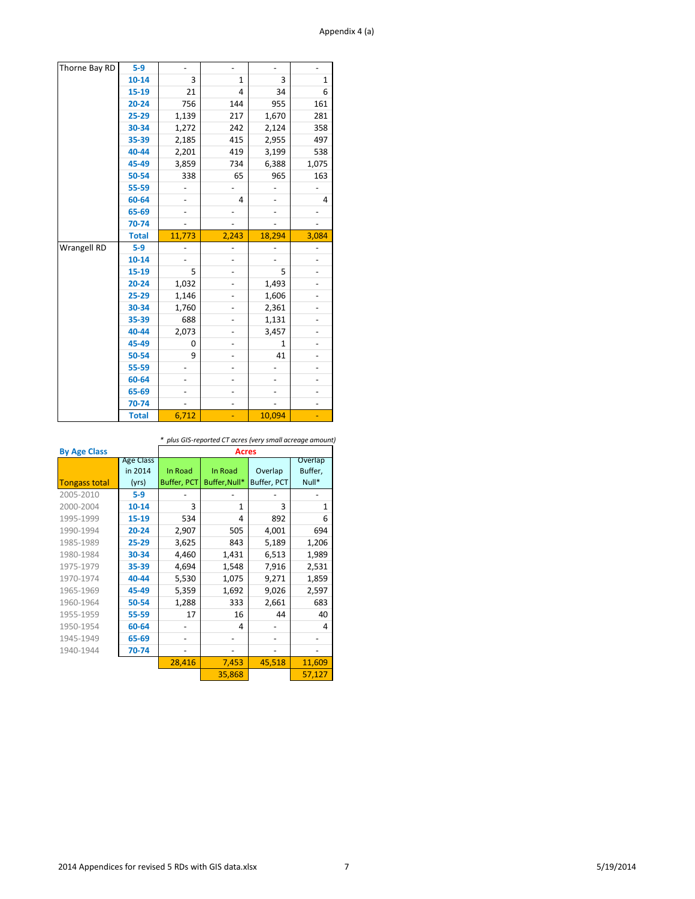## Appendix 4 (a)

| Thorne Bay RD | $5-9$        | ÷,                       | $\overline{\phantom{0}}$ | $\overline{\phantom{a}}$     |              |
|---------------|--------------|--------------------------|--------------------------|------------------------------|--------------|
|               | $10 - 14$    | 3                        | $\mathbf{1}$             | 3                            | $\mathbf{1}$ |
|               | 15-19        | 21                       | 4                        | 34                           | 6            |
|               | $20 - 24$    | 756                      | 144                      | 955                          | 161          |
|               | 25-29        | 1,139                    | 217                      | 1,670                        | 281          |
|               | 30-34        | 1,272                    | 242                      | 2,124                        | 358          |
|               | 35-39        | 2,185                    | 415                      | 2,955                        | 497          |
|               | 40-44        | 2,201                    | 419                      | 3,199                        | 538          |
|               | 45-49        | 3,859                    | 734                      | 6,388                        | 1,075        |
|               | 50-54        | 338                      | 65                       | 965                          | 163          |
|               | 55-59        | $\overline{\phantom{0}}$ | $\overline{\phantom{0}}$ | $\qquad \qquad \blacksquare$ |              |
|               | 60-64        |                          | 4                        |                              | 4            |
|               | 65-69        |                          |                          |                              |              |
|               | 70-74        |                          |                          |                              |              |
|               | <b>Total</b> | 11,773                   | 2,243                    | 18,294                       | 3,084        |
|               |              |                          |                          |                              |              |
| Wrangell RD   | $5-9$        |                          |                          |                              |              |
|               | $10 - 14$    |                          |                          |                              |              |
|               | 15-19        | 5                        | -                        | 5                            |              |
|               | $20 - 24$    | 1,032                    | -                        | 1,493                        |              |
|               | 25-29        | 1,146                    |                          | 1,606                        |              |
|               | 30-34        | 1,760                    |                          | 2,361                        |              |
|               | 35-39        | 688                      |                          | 1,131                        |              |
|               | 40-44        | 2,073                    | -                        | 3,457                        |              |
|               | 45-49        | 0                        | -                        | $\mathbf{1}$                 |              |
|               | 50-54        | 9                        | -                        | 41                           |              |
|               | 55-59        |                          |                          |                              |              |
|               | 60-64        |                          | $\overline{\phantom{0}}$ |                              |              |
|               | 65-69        |                          | -                        |                              |              |
|               | 70-74        |                          | $\overline{\phantom{0}}$ |                              |              |

*\* plus GIS-reported CT acres (very small acreage amount)*

| <b>By Age Class</b>  |                                      | <b>Acres</b>                  |                          |                        |                             |  |  |  |  |
|----------------------|--------------------------------------|-------------------------------|--------------------------|------------------------|-----------------------------|--|--|--|--|
| <b>Tongass total</b> | <b>Age Class</b><br>in 2014<br>(yrs) | In Road<br><b>Buffer, PCT</b> | In Road<br>Buffer, Null* | Overlap<br>Buffer, PCT | Overlap<br>Buffer,<br>Null* |  |  |  |  |
| 2005-2010            | $5-9$                                |                               |                          |                        |                             |  |  |  |  |
| 2000-2004            | $10 - 14$                            | 3                             | 1                        | 3                      | $\mathbf{1}$                |  |  |  |  |
| 1995-1999            | 15-19                                | 534                           | 4                        | 892                    | 6                           |  |  |  |  |
| 1990-1994            | $20 - 24$                            | 2,907                         | 505                      | 4,001                  | 694                         |  |  |  |  |
| 1985-1989            | $25 - 29$                            | 3,625                         | 843                      | 5,189                  | 1,206                       |  |  |  |  |
| 1980-1984            | 30-34                                | 4,460                         | 1,431                    | 6,513                  | 1,989                       |  |  |  |  |
| 1975-1979            | 35-39                                | 4,694                         | 1,548                    | 7,916                  | 2,531                       |  |  |  |  |
| 1970-1974            | 40-44                                | 5,530                         | 1,075                    | 9,271                  | 1,859                       |  |  |  |  |
| 1965-1969            | 45-49                                | 5,359                         | 1,692                    | 9,026                  | 2,597                       |  |  |  |  |
| 1960-1964            | 50-54                                | 1,288                         | 333                      | 2,661                  | 683                         |  |  |  |  |
| 1955-1959            | 55-59                                | 17                            | 16                       | 44                     | 40                          |  |  |  |  |
| 1950-1954            | 60-64                                |                               | 4                        |                        | 4                           |  |  |  |  |
| 1945-1949            | 65-69                                |                               |                          |                        |                             |  |  |  |  |
| 1940-1944            | 70-74                                |                               |                          |                        |                             |  |  |  |  |
|                      |                                      | 28,416                        | 7,453                    | 45,518                 | 11,609                      |  |  |  |  |
|                      |                                      |                               | 35,868                   |                        | 57,127                      |  |  |  |  |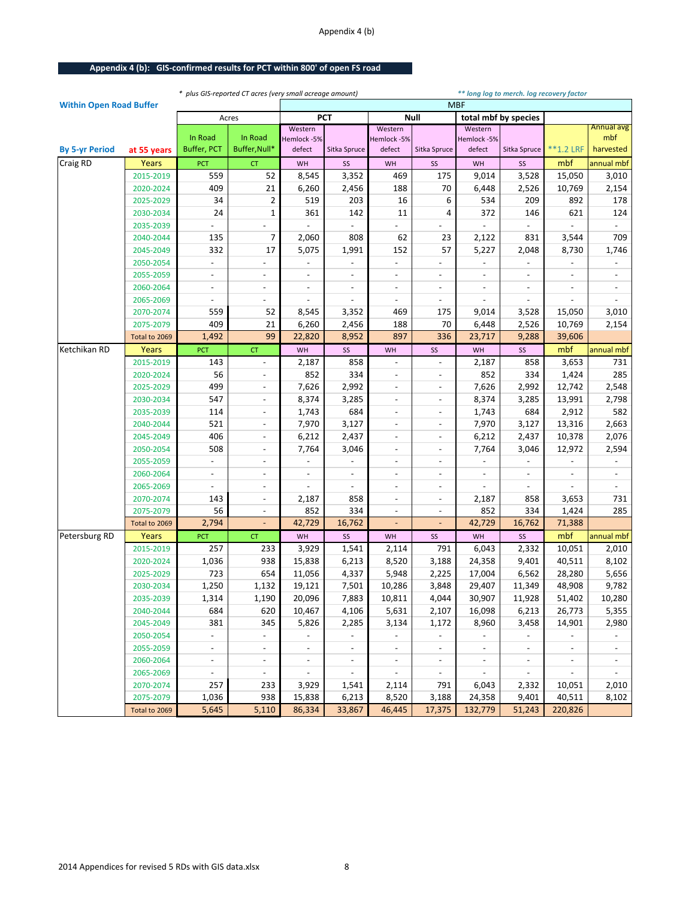## Appendix 4 (b)

# **Appendix 4 (b): GIS-confirmed results for PCT within 800' of open FS road**

|                                |               |                          |                          | * plus GIS-reported CT acres (very small acreage amount)<br>** long log to merch. log recovery factor |                          |                          |                          |                          |                          |                          |                          |
|--------------------------------|---------------|--------------------------|--------------------------|-------------------------------------------------------------------------------------------------------|--------------------------|--------------------------|--------------------------|--------------------------|--------------------------|--------------------------|--------------------------|
| <b>Within Open Road Buffer</b> |               |                          |                          |                                                                                                       |                          |                          |                          | <b>MBF</b>               |                          |                          |                          |
|                                |               |                          | Acres                    |                                                                                                       | <b>PCT</b>               |                          | Null                     |                          | total mbf by species     |                          |                          |
|                                |               | In Road                  | In Road                  | Western                                                                                               |                          | Western                  |                          | Western                  |                          |                          | Annual avg<br>mbf        |
| <b>By 5-yr Period</b>          | at 55 years   | Buffer, PCT              | Buffer, Null*            | Hemlock-5%<br>defect                                                                                  | Sitka Spruce             | Hemlock -5%<br>defect    | Sitka Spruce             | Hemlock -5%<br>defect    | Sitka Spruce             | **1.2 LRF                | harvested                |
| Craig RD                       | Years         | PCT                      | <b>CT</b>                | WH                                                                                                    | SS                       | WH                       | SS                       | WH                       | SS                       | mbf                      | annual mbf               |
|                                | 2015-2019     | 559                      | 52                       | 8,545                                                                                                 | 3,352                    | 469                      | 175                      | 9,014                    | 3,528                    | 15,050                   | 3,010                    |
|                                | 2020-2024     | 409                      | 21                       | 6,260                                                                                                 | 2,456                    | 188                      | 70                       | 6,448                    | 2,526                    | 10,769                   | 2,154                    |
|                                | 2025-2029     | 34                       | 2                        | 519                                                                                                   | 203                      | 16                       | 6                        | 534                      | 209                      | 892                      | 178                      |
|                                | 2030-2034     | 24                       | $\mathbf 1$              | 361                                                                                                   | 142                      | 11                       | 4                        | 372                      | 146                      | 621                      | 124                      |
|                                | 2035-2039     |                          |                          |                                                                                                       |                          |                          |                          |                          |                          |                          |                          |
|                                | 2040-2044     | 135                      | 7                        | 2,060                                                                                                 | 808                      | 62                       | 23                       | 2,122                    | 831                      | 3,544                    | 709                      |
|                                | 2045-2049     | 332                      | 17                       | 5,075                                                                                                 | 1,991                    | 152                      | 57                       | 5,227                    | 2,048                    | 8,730                    | 1,746                    |
|                                | 2050-2054     |                          |                          |                                                                                                       |                          |                          |                          |                          |                          |                          |                          |
|                                | 2055-2059     | $\overline{\phantom{a}}$ | $\overline{\phantom{a}}$ | $\blacksquare$                                                                                        | $\overline{\phantom{a}}$ | $\overline{\phantom{a}}$ | $\overline{\phantom{a}}$ | $\overline{\phantom{a}}$ | $\blacksquare$           | $\overline{\phantom{a}}$ | $\overline{\phantom{a}}$ |
|                                | 2060-2064     | $\overline{\phantom{a}}$ | $\overline{\phantom{a}}$ | $\overline{\phantom{a}}$                                                                              | $\overline{\phantom{a}}$ | $\overline{\phantom{a}}$ | $\overline{\phantom{a}}$ | $\overline{\phantom{a}}$ | $\overline{\phantom{a}}$ | $\overline{\phantom{a}}$ |                          |
|                                | 2065-2069     |                          |                          |                                                                                                       |                          |                          | $\overline{\phantom{a}}$ | $\overline{\phantom{a}}$ |                          |                          |                          |
|                                | 2070-2074     | 559                      | 52                       | 8,545                                                                                                 | 3,352                    | 469                      | 175                      | 9,014                    | 3,528                    | 15,050                   | 3,010                    |
|                                | 2075-2079     | 409                      | 21                       | 6,260                                                                                                 | 2,456                    | 188                      | 70                       | 6,448                    | 2,526                    | 10,769                   | 2,154                    |
|                                | Total to 2069 | 1,492                    | 99                       | 22,820                                                                                                | 8,952                    | 897                      | 336                      | 23,717                   | 9,288                    | 39,606                   |                          |
| Ketchikan RD                   | Years         | PCT                      | CT                       | WH                                                                                                    | SS                       | WH                       | SS                       | WH                       | SS                       | mbf                      | annual mbf               |
|                                | 2015-2019     | 143                      | $\overline{\phantom{a}}$ | 2,187                                                                                                 | 858                      |                          | $\overline{\phantom{a}}$ | 2,187                    | 858                      | 3,653                    | 731                      |
|                                | 2020-2024     | 56                       | $\centerdot$             | 852                                                                                                   | 334                      | $\qquad \qquad -$        | $\overline{\phantom{a}}$ | 852                      | 334                      | 1,424                    | 285                      |
|                                | 2025-2029     | 499                      | $\overline{\phantom{a}}$ | 7,626                                                                                                 | 2,992                    | $\overline{\phantom{a}}$ | $\overline{\phantom{a}}$ | 7,626                    | 2,992                    | 12,742                   | 2,548                    |
|                                | 2030-2034     | 547                      | $\overline{\phantom{a}}$ | 8,374                                                                                                 | 3,285                    |                          | $\overline{\phantom{a}}$ | 8,374                    | 3,285                    | 13,991                   | 2,798                    |
|                                | 2035-2039     | 114                      | $\overline{\phantom{a}}$ | 1,743                                                                                                 | 684                      | $\overline{\phantom{a}}$ | $\overline{\phantom{a}}$ | 1,743                    | 684                      | 2,912                    | 582                      |
|                                | 2040-2044     | 521                      | $\overline{\phantom{a}}$ | 7,970                                                                                                 | 3,127                    | $\blacksquare$           | $\overline{\phantom{a}}$ | 7,970                    | 3,127                    | 13,316                   | 2,663                    |
|                                | 2045-2049     | 406                      | $\overline{\phantom{a}}$ | 6,212                                                                                                 | 2,437                    | $\overline{\phantom{a}}$ | $\overline{\phantom{a}}$ | 6,212                    | 2,437                    | 10,378                   | 2,076                    |
|                                | 2050-2054     | 508                      | $\overline{\phantom{a}}$ | 7,764                                                                                                 | 3,046                    | $\overline{\phantom{a}}$ | $\overline{\phantom{a}}$ | 7,764                    | 3,046                    | 12,972                   | 2,594                    |
|                                | 2055-2059     |                          | $\overline{\phantom{a}}$ |                                                                                                       |                          | $\overline{\phantom{a}}$ | $\overline{\phantom{a}}$ |                          |                          |                          |                          |
|                                | 2060-2064     |                          | $\overline{\phantom{a}}$ |                                                                                                       |                          | $\overline{\phantom{a}}$ | $\overline{\phantom{a}}$ |                          | $\overline{\phantom{a}}$ |                          |                          |
|                                | 2065-2069     | $\overline{\phantom{a}}$ | $\overline{\phantom{a}}$ | $\blacksquare$                                                                                        | $\blacksquare$           | $\overline{\phantom{a}}$ | $\overline{\phantom{a}}$ | $\blacksquare$           | $\blacksquare$           | $\overline{\phantom{a}}$ | $\blacksquare$           |
|                                | 2070-2074     | 143                      | $\overline{\phantom{a}}$ | 2,187                                                                                                 | 858                      | $\overline{\phantom{a}}$ | $\overline{\phantom{a}}$ | 2,187                    | 858                      | 3,653                    | 731                      |
|                                | 2075-2079     | 56                       | $\centerdot$             | 852                                                                                                   | 334                      |                          |                          | 852                      | 334                      | 1,424                    | 285                      |
|                                | Total to 2069 | 2,794                    |                          | 42,729                                                                                                | 16,762                   |                          |                          | 42,729                   | 16,762                   | 71,388                   |                          |
| Petersburg RD                  | Years         | PCT                      | CT                       | WH                                                                                                    | SS                       | WH                       | SS                       | WH                       | SS                       | mbf                      | annual mbf               |
|                                | 2015-2019     | 257                      | 233                      | 3,929                                                                                                 | 1,541                    | 2,114                    | 791                      | 6,043                    | 2,332                    | 10,051                   | 2,010                    |
|                                | 2020-2024     | 1,036                    | 938                      | 15,838                                                                                                | 6,213                    | 8,520                    | 3,188                    | 24,358                   | 9,401                    | 40,511                   | 8,102                    |
|                                | 2025-2029     | 723                      | 654                      | 11,056                                                                                                | 4,337                    | 5,948                    | 2,225                    | 17,004                   | 6,562                    | 28,280                   | 5,656                    |
|                                | 2030-2034     | 1,250                    | 1,132                    | 19,121                                                                                                | 7,501                    | 10,286                   | 3,848                    | 29,407                   | 11,349                   | 48,908                   | 9,782                    |
|                                | 2035-2039     | 1,314                    | 1,190                    | 20,096                                                                                                | 7,883                    | 10,811                   | 4,044                    | 30,907                   | 11,928                   | 51,402                   | 10,280                   |
|                                | 2040-2044     | 684                      | 620                      | 10,467                                                                                                | 4,106                    | 5,631                    | 2,107                    | 16,098                   | 6,213                    | 26,773                   | 5,355                    |
|                                | 2045-2049     | 381                      | 345                      | 5,826                                                                                                 | 2,285                    | 3,134                    | 1,172                    | 8,960                    | 3,458                    | 14,901                   | 2,980                    |
|                                | 2050-2054     | $\overline{\phantom{a}}$ | $\overline{\phantom{a}}$ |                                                                                                       | $\overline{\phantom{a}}$ | $\blacksquare$           | $\overline{\phantom{a}}$ | $\blacksquare$           | $\overline{\phantom{a}}$ |                          | $\overline{\phantom{a}}$ |
|                                | 2055-2059     | $\overline{\phantom{a}}$ | $\overline{\phantom{a}}$ | $\overline{\phantom{a}}$                                                                              | $\overline{\phantom{a}}$ | $\blacksquare$           | $\overline{\phantom{a}}$ | $\overline{\phantom{a}}$ | $\overline{\phantom{a}}$ | $\overline{\phantom{a}}$ | $\overline{\phantom{a}}$ |
|                                | 2060-2064     | $\overline{\phantom{a}}$ | $\overline{\phantom{a}}$ | $\overline{\phantom{a}}$                                                                              | $\overline{\phantom{a}}$ | $\overline{\phantom{a}}$ | $\overline{\phantom{a}}$ | $\overline{\phantom{a}}$ | $\overline{\phantom{a}}$ | $\overline{\phantom{a}}$ | $\overline{\phantom{a}}$ |
|                                | 2065-2069     | $\blacksquare$           | $\overline{\phantom{a}}$ |                                                                                                       | $\overline{\phantom{a}}$ | $\sim$                   | $\overline{\phantom{a}}$ |                          |                          |                          |                          |
|                                | 2070-2074     | 257                      | 233                      | 3,929                                                                                                 | 1,541                    | 2,114                    | 791                      | 6,043                    | 2,332                    | 10,051                   | 2,010                    |
|                                | 2075-2079     | 1,036                    | 938                      | 15,838                                                                                                | 6,213                    | 8,520                    | 3,188                    | 24,358                   | 9,401                    | 40,511                   | 8,102                    |
|                                | Total to 2069 | 5,645                    | 5,110                    | 86,334                                                                                                | 33,867                   | 46,445                   | 17,375                   | 132,779                  | 51,243                   | 220,826                  |                          |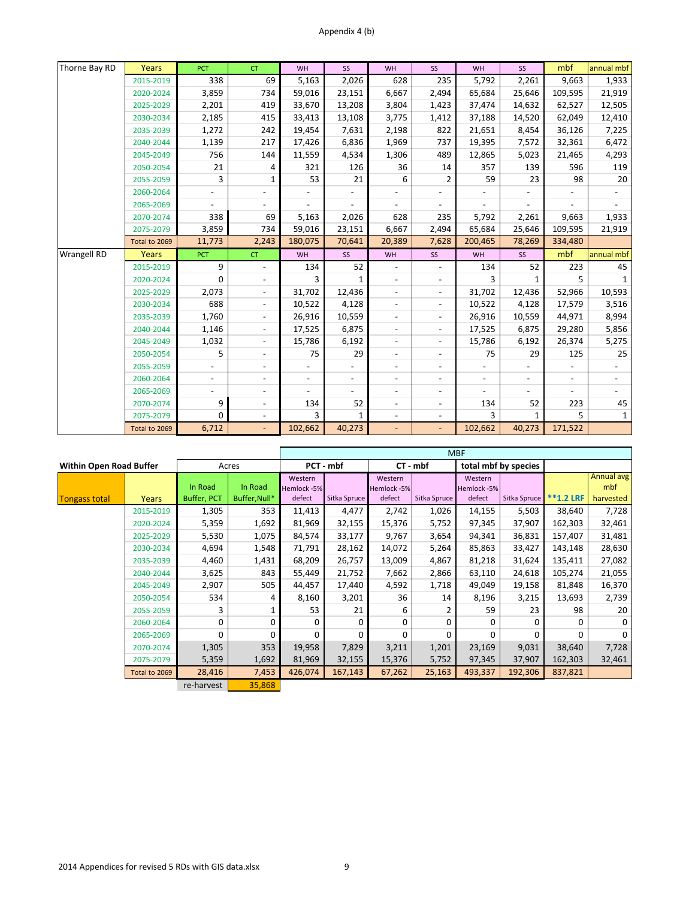| Thorne Bay RD      | Years         | <b>PCT</b>               | <b>CT</b>                | WH      | SS                       | WH                       | SS                       | WH                       | SS                       | mbf                      | annual mbf   |
|--------------------|---------------|--------------------------|--------------------------|---------|--------------------------|--------------------------|--------------------------|--------------------------|--------------------------|--------------------------|--------------|
|                    | 2015-2019     | 338                      | 69                       | 5,163   | 2,026                    | 628                      | 235                      | 5,792                    | 2,261                    | 9,663                    | 1,933        |
|                    | 2020-2024     | 3,859                    | 734                      | 59,016  | 23,151                   | 6,667                    | 2,494                    | 65,684                   | 25,646                   | 109,595                  | 21,919       |
|                    | 2025-2029     | 2,201                    | 419                      | 33,670  | 13,208                   | 3,804                    | 1,423                    | 37,474                   | 14,632                   | 62,527                   | 12,505       |
|                    | 2030-2034     | 2,185                    | 415                      | 33,413  | 13,108                   | 3,775                    | 1,412                    | 37,188                   | 14,520                   | 62,049                   | 12,410       |
|                    | 2035-2039     | 1,272                    | 242                      | 19,454  | 7,631                    | 2,198                    | 822                      | 21,651                   | 8,454                    | 36,126                   | 7,225        |
|                    | 2040-2044     | 1,139                    | 217                      | 17,426  | 6,836                    | 1,969                    | 737                      | 19,395                   | 7,572                    | 32,361                   | 6,472        |
|                    | 2045-2049     | 756                      | 144                      | 11,559  | 4,534                    | 1,306                    | 489                      | 12,865                   | 5,023                    | 21,465                   | 4,293        |
|                    | 2050-2054     | 21                       | 4                        | 321     | 126                      | 36                       | 14                       | 357                      | 139                      | 596                      | 119          |
|                    | 2055-2059     | 3                        | 1                        | 53      | 21                       | 6                        | $\overline{2}$           | 59                       | 23                       | 98                       | 20           |
|                    | 2060-2064     |                          |                          |         |                          |                          |                          |                          |                          |                          |              |
|                    | 2065-2069     |                          |                          |         |                          |                          |                          |                          |                          |                          |              |
|                    | 2070-2074     | 338                      | 69                       | 5,163   | 2,026                    | 628                      | 235                      | 5,792                    | 2,261                    | 9,663                    | 1,933        |
|                    | 2075-2079     | 3,859                    | 734                      | 59,016  | 23,151                   | 6,667                    | 2,494                    | 65,684                   | 25,646                   | 109,595                  | 21,919       |
|                    | Total to 2069 | 11,773                   | 2,243                    | 180,075 | 70,641                   | 20,389                   | 7,628                    | 200,465                  | 78,269                   | 334,480                  |              |
|                    |               |                          |                          |         |                          |                          |                          |                          |                          |                          |              |
| <b>Wrangell RD</b> | Years         | <b>PCT</b>               | <b>CT</b>                | WH      | SS                       | WH                       | SS                       | WH                       | SS                       | mbf                      | annual mbf   |
|                    | 2015-2019     | 9                        | $\overline{a}$           | 134     | 52                       | $\overline{\phantom{a}}$ | $\overline{a}$           | 134                      | 52                       | 223                      | 45           |
|                    | 2020-2024     | 0                        | $\overline{a}$           | 3       | $\mathbf{1}$             | $\overline{\phantom{a}}$ | $\overline{\phantom{a}}$ | 3                        | 1                        | 5                        | $\mathbf{1}$ |
|                    | 2025-2029     | 2,073                    | $\overline{\phantom{a}}$ | 31,702  | 12,436                   | $\overline{\phantom{a}}$ | $\overline{\phantom{a}}$ | 31,702                   | 12,436                   | 52,966                   | 10,593       |
|                    | 2030-2034     | 688                      | $\blacksquare$           | 10,522  | 4,128                    | $\overline{\phantom{a}}$ | $\overline{\phantom{a}}$ | 10,522                   | 4,128                    | 17,579                   | 3,516        |
|                    | 2035-2039     | 1,760                    | $\blacksquare$           | 26,916  | 10,559                   | $\overline{\phantom{a}}$ | $\overline{\phantom{a}}$ | 26,916                   | 10,559                   | 44,971                   | 8,994        |
|                    | 2040-2044     | 1,146                    | $\overline{\phantom{a}}$ | 17,525  | 6,875                    | $\overline{\phantom{a}}$ | $\overline{\phantom{a}}$ | 17,525                   | 6,875                    | 29,280                   | 5,856        |
|                    | 2045-2049     | 1,032                    | $\overline{\phantom{a}}$ | 15,786  | 6,192                    | $\overline{\phantom{a}}$ | $\overline{\phantom{a}}$ | 15,786                   | 6,192                    | 26,374                   | 5,275        |
|                    | 2050-2054     | 5                        | $\overline{a}$           | 75      | 29                       | $\overline{\phantom{a}}$ | $\overline{\phantom{a}}$ | 75                       | 29                       | 125                      | 25           |
|                    | 2055-2059     |                          | $\overline{\phantom{a}}$ |         |                          | $\overline{\phantom{a}}$ | $\overline{\phantom{a}}$ |                          |                          |                          |              |
|                    | 2060-2064     | $\overline{\phantom{a}}$ | $\overline{\phantom{a}}$ |         | $\overline{\phantom{a}}$ | $\overline{\phantom{a}}$ | $\overline{\phantom{a}}$ | $\overline{\phantom{a}}$ | $\overline{\phantom{a}}$ | $\overline{\phantom{a}}$ |              |
|                    | 2065-2069     | $\frac{1}{2}$            | $\overline{a}$           |         |                          | $\overline{\phantom{a}}$ | $\overline{\phantom{a}}$ |                          |                          |                          |              |
|                    | 2070-2074     | 9                        | $\overline{\phantom{a}}$ | 134     | 52                       | $\overline{\phantom{a}}$ | $\overline{\phantom{a}}$ | 134                      | 52                       | 223                      | 45           |
|                    | 2075-2079     | 0                        |                          | 3       | 1                        | $\overline{\phantom{a}}$ |                          | 3                        | 1                        | 5                        | $\mathbf{1}$ |

|                                |               |             |               | <b>MBF</b>  |              |             |              |              |                      |             |            |
|--------------------------------|---------------|-------------|---------------|-------------|--------------|-------------|--------------|--------------|----------------------|-------------|------------|
| <b>Within Open Road Buffer</b> |               |             | Acres         |             | PCT - mbf    |             | CT - mbf     |              | total mbf by species |             |            |
|                                |               |             |               | Western     |              | Western     |              | Western      |                      |             | Annual avg |
|                                |               | In Road     | In Road       | Hemlock -5% |              | Hemlock -5% |              | Hemlock -5%  |                      |             | mbf        |
| <b>Tongass total</b>           | Years         | Buffer, PCT | Buffer, Null* | defect      | Sitka Spruce | defect      | Sitka Spruce | defect       | Sitka Spruce         | $**1.2$ LRF | harvested  |
|                                | 2015-2019     | 1,305       | 353           | 11,413      | 4,477        | 2,742       | 1,026        | 14,155       | 5,503                | 38,640      | 7,728      |
|                                | 2020-2024     | 5,359       | 1,692         | 81,969      | 32,155       | 15,376      | 5,752        | 97,345       | 37,907               | 162,303     | 32,461     |
|                                | 2025-2029     | 5,530       | 1,075         | 84,574      | 33,177       | 9,767       | 3,654        | 94,341       | 36,831               | 157,407     | 31,481     |
|                                | 2030-2034     | 4,694       | 1,548         | 71,791      | 28,162       | 14,072      | 5,264        | 85,863       | 33,427               | 143,148     | 28,630     |
|                                | 2035-2039     | 4,460       | 1,431         | 68,209      | 26,757       | 13,009      | 4,867        | 81,218       | 31,624               | 135,411     | 27,082     |
|                                | 2040-2044     | 3,625       | 843           | 55,449      | 21,752       | 7,662       | 2,866        | 63,110       | 24,618               | 105,274     | 21,055     |
|                                | 2045-2049     | 2,907       | 505           | 44,457      | 17,440       | 4,592       | 1,718        | 49,049       | 19,158               | 81,848      | 16,370     |
|                                | 2050-2054     | 534         | 4             | 8,160       | 3,201        | 36          | 14           | 8,196        | 3,215                | 13,693      | 2,739      |
|                                | 2055-2059     | 3           |               | 53          | 21           | 6           | 2            | 59           | 23                   | 98          | 20         |
|                                | 2060-2064     | $\Omega$    | 0             | $\Omega$    | $\Omega$     | $\Omega$    | $\Omega$     | 0            | O                    | O           | 0          |
|                                | 2065-2069     | $\Omega$    | $\Omega$      | $\Omega$    | $\Omega$     | $\Omega$    | <sup>0</sup> | <sup>0</sup> | $\Omega$             | 0           | $\Omega$   |
|                                | 2070-2074     | 1,305       | 353           | 19,958      | 7,829        | 3,211       | 1,201        | 23,169       | 9,031                | 38,640      | 7,728      |
|                                | 2075-2079     | 5,359       | 1,692         | 81,969      | 32,155       | 15,376      | 5,752        | 97,345       | 37,907               | 162,303     | 32,461     |
|                                | Total to 2069 | 28,416      | 7,453         | 426,074     | 167,143      | 67,262      | 25,163       | 493,337      | 192,306              | 837,821     |            |
|                                |               | re-harvest  | 35,868        |             |              |             |              |              |                      |             |            |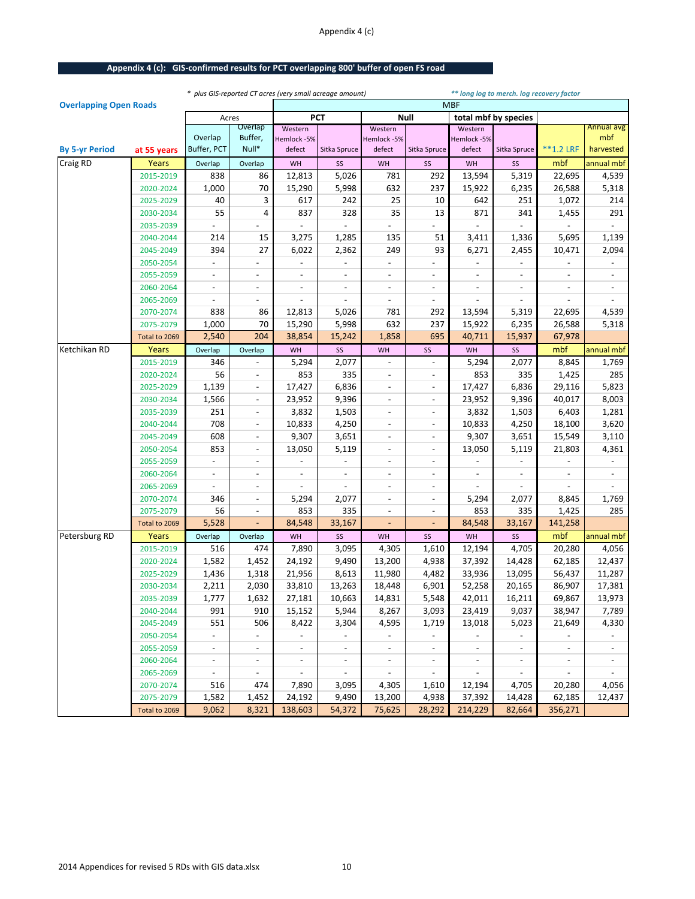## Appendix 4 (c)

## **Appendix 4 (c): GIS-confirmed results for PCT overlapping 800' buffer of open FS road**

|                               |               |                          |                          |                          | * plus GIS-reported CT acres (very small acreage amount) |                          |                              |                       | ** long log to merch. log recovery factor |                          |                          |
|-------------------------------|---------------|--------------------------|--------------------------|--------------------------|----------------------------------------------------------|--------------------------|------------------------------|-----------------------|-------------------------------------------|--------------------------|--------------------------|
| <b>Overlapping Open Roads</b> |               |                          |                          |                          |                                                          |                          |                              | <b>MBF</b>            |                                           |                          |                          |
|                               |               | Acres                    |                          |                          | <b>PCT</b>                                               |                          | <b>Null</b>                  |                       | total mbf by species                      |                          |                          |
|                               |               | Overlap                  | Overlap<br>Buffer,       | Western                  |                                                          | Western<br>Hemlock-5%    |                              | Western               |                                           |                          | <b>Annual avg</b><br>mbf |
| <b>By 5-yr Period</b>         | at 55 years   | Buffer, PCT              | Null*                    | Hemlock -5%<br>defect    | Sitka Spruce                                             | defect                   | Sitka Spruce                 | Hemlock -5%<br>defect | Sitka Spruce                              | $*$ $*$ 1.2 LRF          | harvested                |
| <b>Craig RD</b>               | Years         | Overlap                  | Overlap                  | WH                       | SS                                                       | WH                       | SS                           | WH                    | SS                                        | mbf                      | annual mbf               |
|                               | 2015-2019     | 838                      | 86                       | 12,813                   | 5,026                                                    | 781                      | 292                          | 13,594                | 5,319                                     | 22,695                   | 4,539                    |
|                               | 2020-2024     | 1,000                    | 70                       | 15,290                   | 5,998                                                    | 632                      | 237                          | 15,922                | 6,235                                     | 26,588                   | 5,318                    |
|                               | 2025-2029     | 40                       | 3                        | 617                      | 242                                                      | 25                       | 10                           | 642                   | 251                                       | 1,072                    | 214                      |
|                               | 2030-2034     | 55                       | 4                        | 837                      | 328                                                      | 35                       | 13                           | 871                   | 341                                       | 1,455                    | 291                      |
|                               | 2035-2039     |                          |                          |                          |                                                          |                          |                              |                       |                                           |                          |                          |
|                               | 2040-2044     | 214                      | 15                       | 3,275                    | 1,285                                                    | 135                      | 51                           | 3,411                 | 1,336                                     | 5,695                    | 1,139                    |
|                               | 2045-2049     | 394                      | 27                       | 6,022                    | 2,362                                                    | 249                      | 93                           | 6,271                 | 2,455                                     | 10,471                   | 2,094                    |
|                               | 2050-2054     |                          |                          |                          |                                                          |                          |                              |                       |                                           |                          |                          |
|                               | 2055-2059     | $\overline{\phantom{a}}$ | $\overline{\phantom{a}}$ | $\overline{\phantom{a}}$ | $\overline{\phantom{a}}$                                 | $\overline{\phantom{a}}$ | $\overline{\phantom{a}}$     | $\overline{a}$        | $\overline{\phantom{a}}$                  | $\overline{\phantom{a}}$ | $\overline{\phantom{a}}$ |
|                               | 2060-2064     |                          | $\overline{\phantom{a}}$ | $\overline{\phantom{a}}$ |                                                          | $\overline{\phantom{a}}$ | $\overline{\phantom{a}}$     |                       |                                           |                          |                          |
|                               | 2065-2069     |                          |                          |                          |                                                          |                          | $\overline{a}$               |                       |                                           |                          |                          |
|                               | 2070-2074     | 838                      | 86                       | 12,813                   | 5,026                                                    | 781                      | 292                          | 13,594                | 5,319                                     | 22,695                   | 4,539                    |
|                               | 2075-2079     | 1,000                    | 70                       | 15,290                   | 5,998                                                    | 632                      | 237                          | 15,922                | 6,235                                     | 26,588                   | 5,318                    |
|                               | Total to 2069 | 2,540                    | 204                      | 38,854                   | 15,242                                                   | 1,858                    | 695                          | 40,711                | 15,937                                    | 67,978                   |                          |
| Ketchikan RD                  | Years         | Overlap                  | Overlap                  | WH                       | SS                                                       | WH                       | SS                           | WH                    | SS                                        | mbf                      | annual mbf               |
|                               | 2015-2019     | 346                      |                          | 5,294                    | 2,077                                                    | $\overline{a}$           | $\overline{\phantom{a}}$     | 5,294                 | 2,077                                     | 8,845                    | 1,769                    |
|                               | 2020-2024     | 56                       | $\overline{\phantom{a}}$ | 853                      | 335                                                      | $\overline{\phantom{a}}$ | $\overline{a}$               | 853                   | 335                                       | 1,425                    | 285                      |
|                               | 2025-2029     | 1,139                    | $\overline{\phantom{a}}$ | 17,427                   | 6,836                                                    | $\overline{\phantom{a}}$ | $\overline{\phantom{a}}$     | 17,427                | 6,836                                     | 29,116                   | 5,823                    |
|                               | 2030-2034     | 1,566                    | $\overline{\phantom{a}}$ | 23,952                   | 9,396                                                    | $\overline{\phantom{a}}$ | $\overline{\phantom{a}}$     | 23,952                | 9,396                                     | 40,017                   | 8,003                    |
|                               | 2035-2039     | 251                      | $\overline{\phantom{a}}$ | 3,832                    | 1,503                                                    | $\overline{\phantom{a}}$ | $\overline{\phantom{a}}$     | 3,832                 | 1,503                                     | 6,403                    | 1,281                    |
|                               | 2040-2044     | 708                      | $\overline{\phantom{a}}$ | 10,833                   | 4,250                                                    | $\overline{\phantom{a}}$ | $\blacksquare$               | 10,833                | 4,250                                     | 18,100                   | 3,620                    |
|                               | 2045-2049     | 608                      | $\overline{\phantom{a}}$ | 9,307                    | 3,651                                                    | $\overline{\phantom{a}}$ | $\qquad \qquad \blacksquare$ | 9,307                 | 3,651                                     | 15,549                   | 3,110                    |
|                               | 2050-2054     | 853                      | $\overline{\phantom{0}}$ | 13,050                   | 5,119                                                    | $\overline{\phantom{a}}$ | $\overline{\phantom{a}}$     | 13,050                | 5,119                                     | 21,803                   | 4,361                    |
|                               | 2055-2059     | $\overline{a}$           | $\overline{\phantom{a}}$ |                          | $\overline{\phantom{a}}$                                 | $\overline{a}$           | $\blacksquare$               |                       | $\overline{\phantom{a}}$                  |                          | $\overline{\phantom{a}}$ |
|                               | 2060-2064     |                          | $\overline{\phantom{0}}$ |                          |                                                          | $\overline{\phantom{a}}$ | $\qquad \qquad \blacksquare$ |                       |                                           |                          |                          |
|                               | 2065-2069     |                          | $\overline{\phantom{a}}$ | $\overline{\phantom{0}}$ | $\overline{\phantom{a}}$                                 | $\overline{\phantom{a}}$ | $\blacksquare$               |                       |                                           |                          |                          |
|                               | 2070-2074     | 346                      | $\overline{\phantom{a}}$ | 5,294                    | 2,077                                                    | $\overline{a}$           | $\blacksquare$               | 5,294                 | 2,077                                     | 8,845                    | 1,769                    |
|                               | 2075-2079     | 56                       | $\overline{\phantom{a}}$ | 853                      | 335                                                      | $\overline{a}$           | $\overline{a}$               | 853                   | 335                                       | 1,425                    | 285                      |
|                               | Total to 2069 | 5,528                    | ÷,                       | 84,548                   | 33,167                                                   | L,                       | $\overline{\phantom{a}}$     | 84,548                | 33,167                                    | 141,258                  |                          |
| Petersburg RD                 | Years         | Overlap                  | Overlap                  | WH                       | SS                                                       | WH                       | SS                           | WH                    | SS                                        | mbf                      | annual mbf               |
|                               | 2015-2019     | 516                      | 474                      | 7,890                    | 3,095                                                    | 4,305                    | 1,610                        | 12,194                | 4,705                                     | 20,280                   | 4,056                    |
|                               | 2020-2024     | 1,582                    | 1,452                    | 24,192                   | 9,490                                                    | 13,200                   | 4,938                        | 37,392                | 14,428                                    | 62,185                   | 12,437                   |
|                               | 2025-2029     | 1,436                    | 1,318                    | 21,956                   | 8,613                                                    | 11,980                   | 4,482                        | 33,936                | 13,095                                    | 56,437                   | 11,287                   |
|                               | 2030-2034     | 2,211                    | 2,030                    | 33,810                   | 13,263                                                   | 18,448                   | 6,901                        | 52,258                | 20,165                                    | 86,907                   | 17,381                   |
|                               | 2035-2039     | 1,777                    | 1,632                    | 27,181                   | 10,663                                                   | 14,831                   | 5,548                        | 42,011                | 16,211                                    | 69,867                   | 13,973                   |
|                               | 2040-2044     | 991                      | 910                      | 15,152                   | 5,944                                                    | 8,267                    | 3,093                        | 23,419                | 9,037                                     | 38,947                   | 7,789                    |
|                               | 2045-2049     | 551                      | 506                      | 8,422                    | 3,304                                                    | 4,595                    | 1,719                        | 13,018                | 5,023                                     | 21,649                   | 4,330                    |
|                               | 2050-2054     | $\overline{\phantom{a}}$ | $\overline{\phantom{a}}$ | $\blacksquare$           | $\sim$                                                   | $\omega$                 | $\sim$                       | $\sim$                | $\sim$                                    | $\sim$                   | $\overline{\phantom{a}}$ |
|                               | 2055-2059     | $\overline{\phantom{a}}$ | $\overline{\phantom{a}}$ | $\sim$                   | $\overline{\phantom{a}}$                                 | $\sim$                   | $\overline{\phantom{a}}$     | $\sim$                | $ \,$                                     |                          | $\overline{\phantom{a}}$ |
|                               | 2060-2064     | $\overline{\phantom{a}}$ | $\overline{\phantom{a}}$ | $\blacksquare$           | $\blacksquare$                                           | $\blacksquare$           | $\blacksquare$               | $\sim$                | $\overline{\phantom{a}}$                  | $\sim$                   |                          |
|                               | 2065-2069     | $\sim$                   | $\sim$                   | $\sim$                   | $\sim$                                                   | $\sim$                   | $\sim$                       | $\sim$                | $\sim$                                    | $\sim$                   | $\sim$                   |
|                               | 2070-2074     | 516                      | 474                      | 7,890                    | 3,095                                                    | 4,305                    | 1,610                        | 12,194                | 4,705                                     | 20,280                   | 4,056                    |
|                               | 2075-2079     | 1,582                    | 1,452                    | 24,192                   | 9,490                                                    | 13,200                   | 4,938                        | 37,392                | 14,428                                    | 62,185                   | 12,437                   |
|                               | Total to 2069 | 9,062                    | 8,321                    | 138,603                  | 54,372                                                   | 75,625                   | 28,292                       | 214,229               | 82,664                                    | 356,271                  |                          |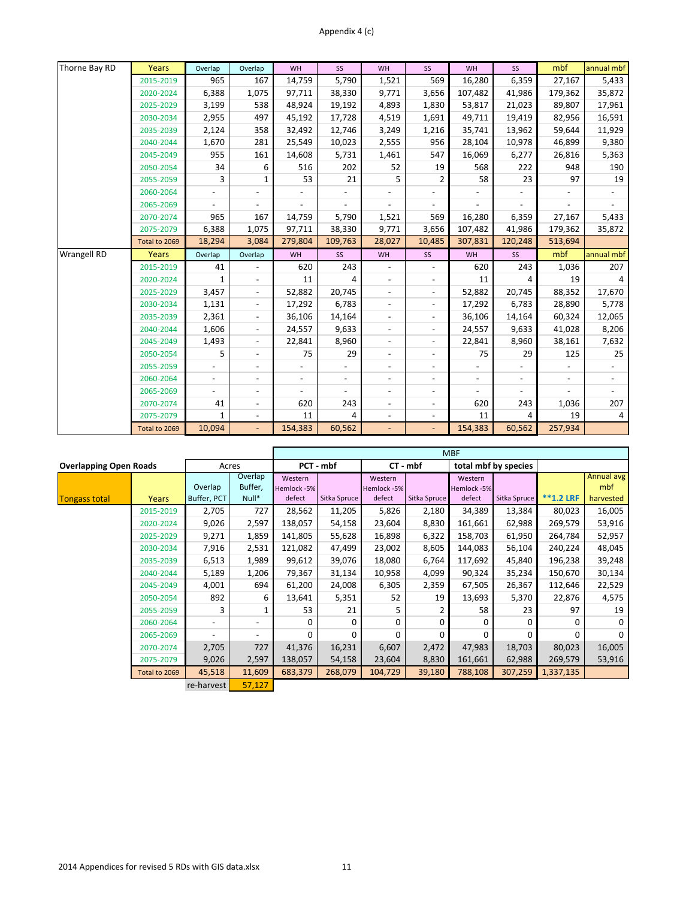| Thorne Bay RD      | <b>Years</b>  | Overlap                  | Overlap                  | WH                       | SS                       | <b>WH</b>                | SS                       | WH                       | SS      | mbf     | annual mbf     |
|--------------------|---------------|--------------------------|--------------------------|--------------------------|--------------------------|--------------------------|--------------------------|--------------------------|---------|---------|----------------|
|                    | 2015-2019     | 965                      | 167                      | 14,759                   | 5,790                    | 1,521                    | 569                      | 16,280                   | 6,359   | 27,167  | 5,433          |
|                    | 2020-2024     | 6,388                    | 1,075                    | 97,711                   | 38,330                   | 9,771                    | 3,656                    | 107,482                  | 41,986  | 179,362 | 35,872         |
|                    | 2025-2029     | 3,199                    | 538                      | 48,924                   | 19,192                   | 4,893                    | 1,830                    | 53,817                   | 21,023  | 89,807  | 17,961         |
|                    | 2030-2034     | 2,955                    | 497                      | 45,192                   | 17,728                   | 4,519                    | 1,691                    | 49,711                   | 19,419  | 82,956  | 16,591         |
|                    | 2035-2039     | 2,124                    | 358                      | 32,492                   | 12,746                   | 3,249                    | 1,216                    | 35,741                   | 13,962  | 59,644  | 11,929         |
|                    | 2040-2044     | 1,670                    | 281                      | 25,549                   | 10,023                   | 2,555                    | 956                      | 28,104                   | 10,978  | 46,899  | 9,380          |
|                    | 2045-2049     | 955                      | 161                      | 14,608                   | 5,731                    | 1,461                    | 547                      | 16,069                   | 6,277   | 26,816  | 5,363          |
|                    | 2050-2054     | 34                       | 6                        | 516                      | 202                      | 52                       | 19                       | 568                      | 222     | 948     | 190            |
|                    | 2055-2059     | 3                        | 1                        | 53                       | 21                       | 5                        | 2                        | 58                       | 23      | 97      | 19             |
|                    | 2060-2064     |                          |                          |                          |                          |                          |                          |                          |         |         |                |
|                    | 2065-2069     |                          |                          |                          |                          |                          |                          |                          |         |         |                |
|                    | 2070-2074     | 965                      | 167                      | 14,759                   | 5,790                    | 1,521                    | 569                      | 16,280                   | 6,359   | 27,167  | 5,433          |
|                    | 2075-2079     | 6,388                    | 1,075                    | 97,711                   | 38,330                   | 9,771                    | 3,656                    | 107,482                  | 41,986  | 179,362 | 35,872         |
|                    | Total to 2069 | 18,294                   | 3,084                    | 279,804                  | 109,763                  | 28,027                   | 10,485                   | 307,831                  | 120,248 | 513,694 |                |
|                    |               |                          |                          |                          |                          |                          |                          |                          |         |         |                |
| <b>Wrangell RD</b> | Years         | Overlap                  | Overlap                  | WH                       | SS                       | WH                       | SS                       | WH                       | SS      | mbf     | annual mbf     |
|                    | 2015-2019     | 41                       |                          | 620                      | 243                      |                          |                          | 620                      | 243     | 1,036   | 207            |
|                    | 2020-2024     | $\mathbf{1}$             | $\overline{\phantom{a}}$ | 11                       | 4                        |                          | $\overline{\phantom{a}}$ | 11                       |         | 19      | 4              |
|                    | 2025-2029     | 3,457                    | $\overline{\phantom{a}}$ | 52,882                   | 20,745                   | $\overline{\phantom{a}}$ | $\blacksquare$           | 52,882                   | 20,745  | 88,352  | 17,670         |
|                    | 2030-2034     | 1,131                    | $\overline{\phantom{a}}$ | 17,292                   | 6,783                    |                          | $\overline{\phantom{a}}$ | 17,292                   | 6,783   | 28,890  | 5,778          |
|                    | 2035-2039     | 2,361                    | $\overline{\phantom{a}}$ | 36,106                   | 14,164                   | $\overline{\phantom{a}}$ | $\overline{\phantom{a}}$ | 36,106                   | 14,164  | 60,324  | 12,065         |
|                    | 2040-2044     | 1,606                    | $\overline{\phantom{a}}$ | 24,557                   | 9,633                    |                          | $\blacksquare$           | 24,557                   | 9,633   | 41,028  | 8,206          |
|                    | 2045-2049     | 1,493                    | $\overline{\phantom{a}}$ | 22,841                   | 8,960                    | $\overline{\phantom{a}}$ | $\overline{\phantom{a}}$ | 22,841                   | 8,960   | 38,161  | 7,632          |
|                    | 2050-2054     | 5                        | $\overline{\phantom{a}}$ | 75                       | 29                       |                          | $\overline{\phantom{a}}$ | 75                       | 29      | 125     | 25             |
|                    | 2055-2059     |                          | $\overline{\phantom{a}}$ |                          |                          |                          | $\overline{\phantom{a}}$ |                          |         |         |                |
|                    | 2060-2064     | $\overline{\phantom{a}}$ | $\overline{\phantom{a}}$ | $\overline{\phantom{a}}$ | $\overline{\phantom{a}}$ | $\overline{\phantom{a}}$ | $\overline{a}$           | $\overline{\phantom{a}}$ |         |         |                |
|                    | 2065-2069     |                          | $\overline{\phantom{a}}$ |                          |                          | $\overline{\phantom{a}}$ |                          |                          |         |         |                |
|                    | 2070-2074     | 41                       | $\overline{\phantom{a}}$ | 620                      | 243                      | $\overline{\phantom{a}}$ | $\overline{\phantom{a}}$ | 620                      | 243     | 1,036   | 207            |
|                    | 2075-2079     |                          | $\overline{\phantom{a}}$ | 11                       | 4                        | $\overline{\phantom{a}}$ |                          | 11                       |         | 19      | $\overline{4}$ |

|                               |               |                          |          |             |              |             |              | <b>MBF</b>  |                      |                  |            |
|-------------------------------|---------------|--------------------------|----------|-------------|--------------|-------------|--------------|-------------|----------------------|------------------|------------|
| <b>Overlapping Open Roads</b> |               |                          | Acres    |             | PCT - mbf    |             | $CT - mbf$   |             | total mbf by species |                  |            |
|                               |               |                          | Overlap  | Western     |              | Western     |              | Western     |                      |                  | Annual avg |
|                               |               | Overlap                  | Buffer,  | Hemlock -5% |              | Hemlock -5% |              | Hemlock -5% |                      |                  | mbf        |
| <b>Tongass total</b>          | Years         | Buffer, PCT              | $Null^*$ | defect      | Sitka Spruce | defect      | Sitka Spruce | defect      | Sitka Spruce         | <b>**1.2 LRF</b> | harvested  |
|                               | 2015-2019     | 2,705                    | 727      | 28,562      | 11,205       | 5,826       | 2,180        | 34,389      | 13,384               | 80,023           | 16,005     |
|                               | 2020-2024     | 9,026                    | 2,597    | 138,057     | 54,158       | 23,604      | 8,830        | 161,661     | 62,988               | 269,579          | 53,916     |
|                               | 2025-2029     | 9,271                    | 1,859    | 141,805     | 55,628       | 16,898      | 6,322        | 158,703     | 61,950               | 264,784          | 52,957     |
|                               | 2030-2034     | 7,916                    | 2,531    | 121,082     | 47,499       | 23,002      | 8,605        | 144,083     | 56,104               | 240,224          | 48,045     |
|                               | 2035-2039     | 6,513                    | 1,989    | 99,612      | 39,076       | 18,080      | 6,764        | 117,692     | 45,840               | 196,238          | 39,248     |
|                               | 2040-2044     | 5,189                    | 1,206    | 79,367      | 31,134       | 10,958      | 4,099        | 90,324      | 35,234               | 150,670          | 30,134     |
|                               | 2045-2049     | 4,001                    | 694      | 61,200      | 24,008       | 6,305       | 2,359        | 67,505      | 26,367               | 112,646          | 22,529     |
|                               | 2050-2054     | 892                      | 6        | 13,641      | 5,351        | 52          | 19           | 13,693      | 5,370                | 22,876           | 4,575      |
|                               | 2055-2059     | 3                        |          | 53          | 21           | 5           |              | 58          | 23                   | 97               | 19         |
|                               | 2060-2064     | $\overline{\phantom{a}}$ |          | U           | $\Omega$     | $\Omega$    | 0            | O           | $\Omega$             | 0                | $\Omega$   |
|                               | 2065-2069     |                          |          | 0           | $\Omega$     | $\Omega$    | $\Omega$     | 0           | $\Omega$             | 0                |            |
|                               | 2070-2074     | 2,705                    | 727      | 41,376      | 16,231       | 6,607       | 2,472        | 47,983      | 18,703               | 80,023           | 16,005     |
|                               | 2075-2079     | 9,026                    | 2,597    | 138,057     | 54,158       | 23,604      | 8,830        | 161,661     | 62,988               | 269,579          | 53,916     |
|                               | Total to 2069 | 45,518                   | 11,609   | 683,379     | 268,079      | 104,729     | 39,180       | 788,108     | 307,259              | 1,337,135        |            |
|                               |               | re-harvest               | 57,127   |             |              |             |              |             |                      |                  |            |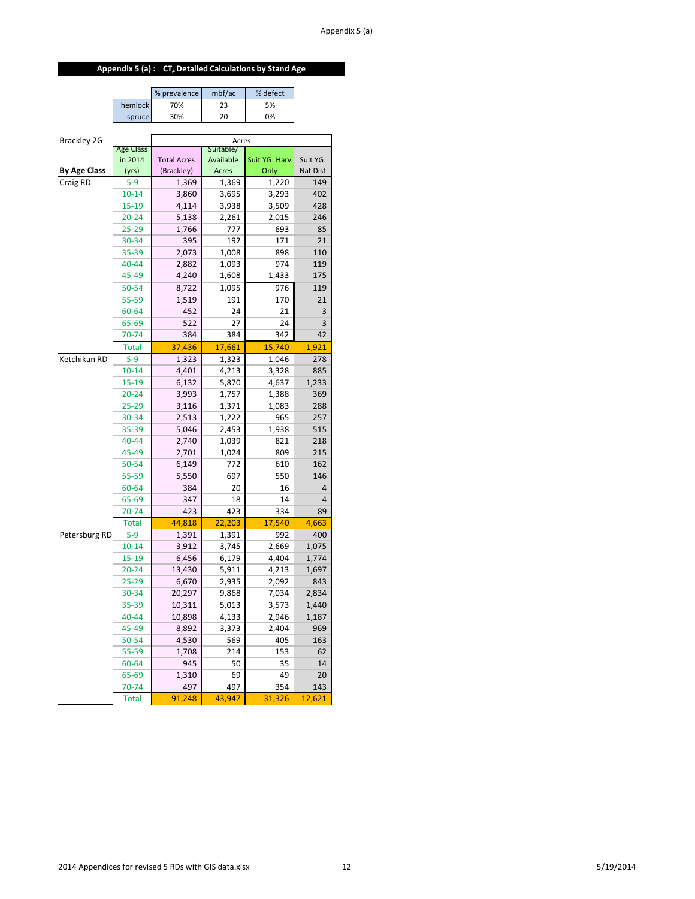# **Appendix 5 (a) : CTe Detailed Calculations by Stand Age**

|         | % prevalence | mbf/ac | % defect |
|---------|--------------|--------|----------|
| hemlock | 70%          | フス     | 5%       |
| spruce  | 30%          |        | ገ%       |

| Brackley 2G         |                  | Acres<br>Suitable/               |              |               |                      |  |  |  |  |
|---------------------|------------------|----------------------------------|--------------|---------------|----------------------|--|--|--|--|
|                     | <b>Age Class</b> |                                  |              |               |                      |  |  |  |  |
| <b>By Age Class</b> | in 2014          | <b>Total Acres</b><br>(Brackley) | Available    | Suit YG: Harv | Suit YG:<br>Nat Dist |  |  |  |  |
|                     | (yrs)<br>$5-9$   |                                  | <b>Acres</b> | Only          | 149                  |  |  |  |  |
| Craig RD            |                  | 1,369                            | 1,369        | 1,220         |                      |  |  |  |  |
|                     | $10 - 14$        | 3,860                            | 3,695        | 3,293         | 402<br>428           |  |  |  |  |
|                     | 15-19            | 4,114                            | 3,938        | 3,509         | 246                  |  |  |  |  |
|                     | 20-24            | 5,138                            | 2,261        | 2,015         | 85                   |  |  |  |  |
|                     | 25-29<br>30-34   | 1,766                            | 777<br>192   | 693<br>171    | 21                   |  |  |  |  |
|                     |                  | 395                              |              |               |                      |  |  |  |  |
|                     | 35-39<br>40-44   | 2,073                            | 1,008        | 898<br>974    | 110                  |  |  |  |  |
|                     |                  | 2,882                            | 1,093        |               | 119                  |  |  |  |  |
|                     | 45-49            | 4,240                            | 1,608        | 1,433         | 175                  |  |  |  |  |
|                     | 50-54            | 8,722                            | 1,095        | 976           | 119                  |  |  |  |  |
|                     | 55-59            | 1,519                            | 191          | 170           | 21                   |  |  |  |  |
|                     | 60-64            | 452                              | 24           | 21            | 3                    |  |  |  |  |
|                     | 65-69            | 522                              | 27           | 24            | 3                    |  |  |  |  |
|                     | 70-74            | 384                              | 384          | 342           | 42                   |  |  |  |  |
|                     | <b>Total</b>     | 37,436                           | 17,661       | 15,740        | 1,921                |  |  |  |  |
| Ketchikan RD        | $5-9$            | 1,323                            | 1,323        | 1,046         | 278                  |  |  |  |  |
|                     | $10 - 14$        | 4,401                            | 4,213        | 3,328         | 885                  |  |  |  |  |
|                     | 15-19            | 6,132                            | 5,870        | 4,637         | 1,233                |  |  |  |  |
|                     | $20 - 24$        | 3,993                            | 1,757        | 1,388         | 369                  |  |  |  |  |
|                     | 25-29            | 3,116                            | 1,371        | 1,083         | 288                  |  |  |  |  |
|                     | 30-34            | 2,513                            | 1,222        | 965           | 257                  |  |  |  |  |
|                     | 35-39            | 5,046                            | 2,453        | 1,938         | 515                  |  |  |  |  |
|                     | 40-44            | 2,740                            | 1,039        | 821           | 218                  |  |  |  |  |
|                     | 45-49            | 2,701                            | 1,024        | 809           | 215                  |  |  |  |  |
|                     | 50-54            | 6,149                            | 772          | 610           | 162                  |  |  |  |  |
|                     | 55-59            | 5,550                            | 697          | 550           | 146                  |  |  |  |  |
|                     | 60-64            | 384                              | 20           | 16            | 4                    |  |  |  |  |
|                     | 65-69            | 347                              | 18           | 14            | $\overline{4}$       |  |  |  |  |
|                     | 70-74            | 423                              | 423          | 334           | 89                   |  |  |  |  |
|                     | <b>Total</b>     | 44,818                           | 22,203       | 17,540        | 4,663                |  |  |  |  |
| Petersburg RD       | $5 - 9$          | 1,391                            | 1,391        | 992           | 400                  |  |  |  |  |
|                     | $10 - 14$        | 3,912                            | 3,745        | 2,669         | 1,075                |  |  |  |  |
|                     | $15 - 19$        | 6,456                            | 6,179        | 4,404         | 1,774                |  |  |  |  |
|                     | $20 - 24$        | 13,430                           | 5,911        | 4,213         | 1,697                |  |  |  |  |
|                     | 25-29            | 6,670                            | 2,935        | 2,092         | 843                  |  |  |  |  |
|                     | 30-34            | 20,297                           | 9,868        | 7,034         | 2,834                |  |  |  |  |
|                     | 35-39            | 10,311                           | 5,013        | 3,573         | 1,440                |  |  |  |  |
|                     | 40-44            | 10,898                           | 4,133        | 2,946         | 1,187                |  |  |  |  |
|                     | 45-49            | 8,892                            | 3,373        | 2,404         | 969                  |  |  |  |  |
|                     | 50-54            | 4,530                            | 569          | 405           | 163                  |  |  |  |  |
|                     | 55-59            | 1,708                            | 214          | 153           | 62                   |  |  |  |  |
|                     | 60-64            | 945                              | 50           | 35            | 14                   |  |  |  |  |
|                     | 65-69            | 1,310                            | 69           | 49            | 20                   |  |  |  |  |
|                     | 70-74            | 497                              | 497          | 354           | 143                  |  |  |  |  |
|                     | <b>Total</b>     | 91,248                           | 43,947       | 31,326        | 12,621               |  |  |  |  |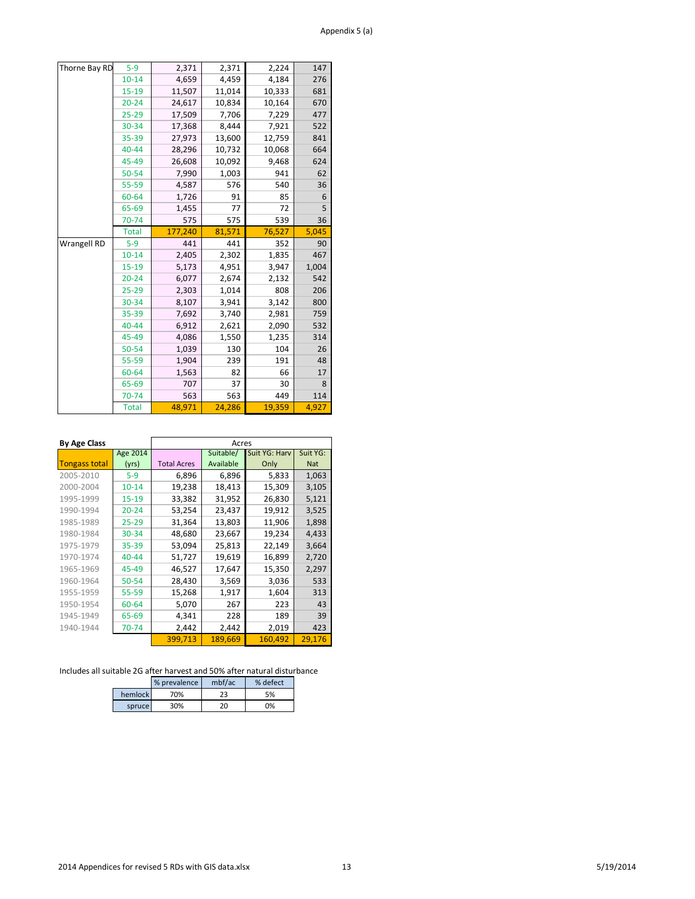| Thorne Bay RD      | $5-9$        | 2,371   | 2,371  | 2,224  | 147   |
|--------------------|--------------|---------|--------|--------|-------|
|                    | $10 - 14$    | 4,659   | 4,459  | 4,184  | 276   |
|                    | $15 - 19$    | 11,507  | 11,014 | 10,333 | 681   |
|                    | $20 - 24$    | 24,617  | 10,834 | 10,164 | 670   |
|                    | $25 - 29$    | 17,509  | 7,706  | 7,229  | 477   |
|                    | 30-34        | 17,368  | 8,444  | 7,921  | 522   |
|                    | 35-39        | 27,973  | 13,600 | 12,759 | 841   |
|                    | $40 - 44$    | 28,296  | 10,732 | 10,068 | 664   |
|                    | 45-49        | 26,608  | 10,092 | 9,468  | 624   |
|                    | 50-54        | 7,990   | 1,003  | 941    | 62    |
|                    | 55-59        | 4,587   | 576    | 540    | 36    |
|                    | 60-64        | 1,726   | 91     | 85     | 6     |
|                    | 65-69        | 1,455   | 77     | 72     | 5     |
|                    | 70-74        | 575     | 575    | 539    | 36    |
|                    | <b>Total</b> | 177,240 | 81,571 | 76,527 | 5,045 |
|                    |              |         |        |        |       |
| <b>Wrangell RD</b> | $5 - 9$      | 441     | 441    | 352    | 90    |
|                    | $10 - 14$    | 2,405   | 2,302  | 1,835  | 467   |
|                    | $15 - 19$    | 5,173   | 4,951  | 3,947  | 1,004 |
|                    | $20 - 24$    | 6,077   | 2,674  | 2,132  | 542   |
|                    | $25 - 29$    | 2,303   | 1,014  | 808    | 206   |
|                    | 30-34        | 8,107   | 3,941  | 3,142  | 800   |
|                    | 35-39        | 7,692   | 3,740  | 2,981  | 759   |
|                    | 40-44        | 6,912   | 2,621  | 2,090  | 532   |
|                    | 45-49        | 4,086   | 1,550  | 1,235  | 314   |
|                    | 50-54        | 1,039   | 130    | 104    | 26    |
|                    | 55-59        | 1,904   | 239    | 191    | 48    |
|                    | 60-64        | 1,563   | 82     | 66     | 17    |
|                    | 65-69        | 707     | 37     | 30     | 8     |
|                    | 70-74        | 563     | 563    | 449    | 114   |

| <b>By Age Class</b>  |                 |                    | Acres     |               |            |
|----------------------|-----------------|--------------------|-----------|---------------|------------|
|                      | <b>Age 2014</b> |                    | Suitable/ | Suit YG: Harv | Suit YG:   |
| <b>Tongass total</b> | (yrs)           | <b>Total Acres</b> | Available | Only          | <b>Nat</b> |
| 2005-2010            | $5-9$           | 6,896              | 6,896     | 5,833         | 1,063      |
| 2000-2004            | $10 - 14$       | 19,238             | 18,413    | 15,309        | 3,105      |
| 1995-1999            | $15 - 19$       | 33,382             | 31,952    | 26,830        | 5,121      |
| 1990-1994            | $20 - 24$       | 53,254             | 23,437    | 19,912        | 3,525      |
| 1985-1989            | $25 - 29$       | 31,364             | 13,803    | 11,906        | 1,898      |
| 1980-1984            | 30-34           | 48,680             | 23,667    | 19,234        | 4,433      |
| 1975-1979            | $35 - 39$       | 53,094             | 25,813    | 22,149        | 3,664      |
| 1970-1974            | 40-44           | 51,727             | 19,619    | 16,899        | 2,720      |
| 1965-1969            | 45-49           | 46,527             | 17,647    | 15,350        | 2,297      |
| 1960-1964            | 50-54           | 28,430             | 3,569     | 3,036         | 533        |
| 1955-1959            | $55 - 59$       | 15,268             | 1,917     | 1,604         | 313        |
| 1950-1954            | 60-64           | 5,070              | 267       | 223           | 43         |
| 1945-1949            | 65-69           | 4,341              | 228       | 189           | 39         |
| 1940-1944            | 70-74           | 2,442              | 2,442     | 2,019         | 423        |
|                      |                 | 399,713            | 189,669   | 160,492       | 29.176     |

|         | % prevalence | mbf/ac | % defect |
|---------|--------------|--------|----------|
| hemlock | 70%          | つっ     | 5%       |
| spruce  | 30%          | 20     | 0%       |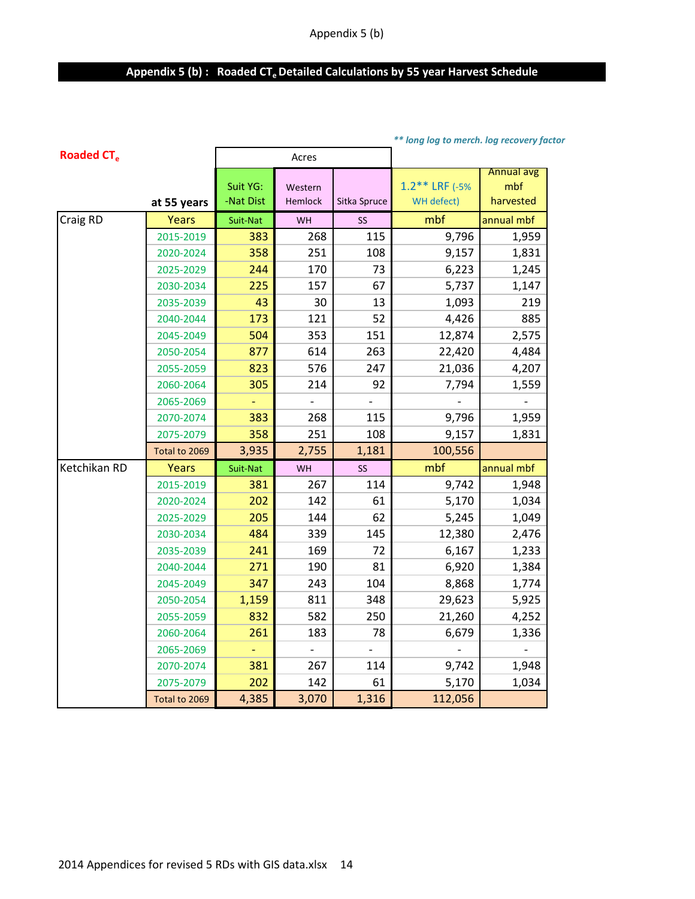# Appendix 5 (b) : Roaded CT<sub>e</sub> Detailed Calculations by 55 year Harvest Schedule

|                              |               |                       |                           |              | ** long log to merch. log recovery factor |                                       |
|------------------------------|---------------|-----------------------|---------------------------|--------------|-------------------------------------------|---------------------------------------|
| <b>Roaded CT<sub>e</sub></b> |               |                       | Acres                     |              |                                           |                                       |
|                              | at 55 years   | Suit YG:<br>-Nat Dist | Western<br><b>Hemlock</b> | Sitka Spruce | $1.2$ ** LRF (-5%<br>WH defect)           | <b>Annual avg</b><br>mbf<br>harvested |
| Craig RD                     | <b>Years</b>  | Suit-Nat              | WH                        | SS           | mbf                                       | annual mbf                            |
|                              | 2015-2019     | 383                   | 268                       | 115          | 9,796                                     | 1,959                                 |
|                              | 2020-2024     | 358                   | 251                       | 108          | 9,157                                     | 1,831                                 |
|                              | 2025-2029     | 244                   | 170                       | 73           | 6,223                                     | 1,245                                 |
|                              | 2030-2034     | 225                   | 157                       | 67           | 5,737                                     | 1,147                                 |
|                              | 2035-2039     | 43                    | 30                        | 13           | 1,093                                     | 219                                   |
|                              | 2040-2044     | 173                   | 121                       | 52           | 4,426                                     | 885                                   |
|                              | 2045-2049     | 504                   | 353                       | 151          | 12,874                                    | 2,575                                 |
|                              | 2050-2054     | 877                   | 614                       | 263          | 22,420                                    | 4,484                                 |
|                              | 2055-2059     | 823                   | 576                       | 247          | 21,036                                    | 4,207                                 |
|                              | 2060-2064     | 305                   | 214                       | 92           | 7,794                                     | 1,559                                 |
|                              | 2065-2069     |                       |                           |              |                                           |                                       |
|                              | 2070-2074     | 383                   | 268                       | 115          | 9,796                                     | 1,959                                 |
|                              | 2075-2079     | 358                   | 251                       | 108          | 9,157                                     | 1,831                                 |
|                              | Total to 2069 | 3,935                 | 2,755                     | 1,181        | 100,556                                   |                                       |
| Ketchikan RD                 | Years         | Suit-Nat              | WH                        | SS           | mbf                                       | annual mbf                            |
|                              | 2015-2019     | 381                   | 267                       | 114          | 9,742                                     | 1,948                                 |
|                              | 2020-2024     | 202                   | 142                       | 61           | 5,170                                     | 1,034                                 |
|                              | 2025-2029     | 205                   | 144                       | 62           | 5,245                                     | 1,049                                 |
|                              | 2030-2034     | 484                   | 339                       | 145          | 12,380                                    | 2,476                                 |
|                              | 2035-2039     | 241                   | 169                       | 72           | 6,167                                     | 1,233                                 |
|                              | 2040-2044     | 271                   | 190                       | 81           | 6,920                                     | 1,384                                 |
|                              | 2045-2049     | 347                   | 243                       | 104          | 8,868                                     | 1,774                                 |
|                              | 2050-2054     | 1,159                 | 811                       | 348          | 29,623                                    | 5,925                                 |
|                              | 2055-2059     | 832                   | 582                       | 250          | 21,260                                    | 4,252                                 |
|                              | 2060-2064     | 261                   | 183                       | 78           | 6,679                                     | 1,336                                 |
|                              | 2065-2069     |                       |                           |              |                                           |                                       |
|                              | 2070-2074     | 381                   | 267                       | 114          | 9,742                                     | 1,948                                 |
|                              | 2075-2079     | 202                   | 142                       | 61           | 5,170                                     | 1,034                                 |
|                              | Total to 2069 | 4,385                 | 3,070                     | 1,316        | 112,056                                   |                                       |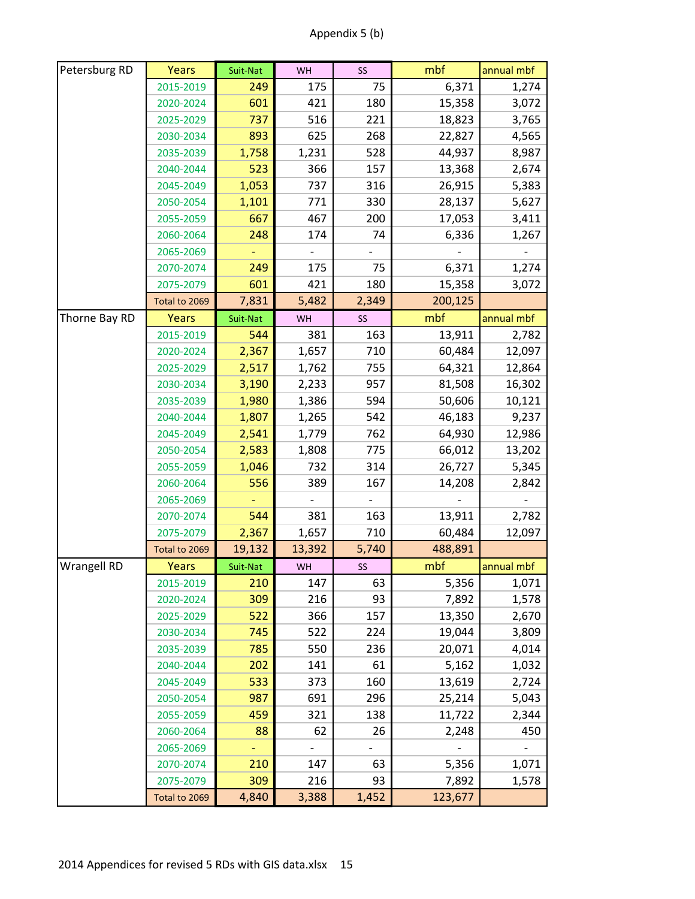| Appendix 5 (b) |  |
|----------------|--|
|----------------|--|

| 175<br>75<br>6,371<br>2015-2019<br>249<br>1,274<br>601<br>421<br>15,358<br>3,072<br>2020-2024<br>180<br>737<br>516<br>221<br>18,823<br>3,765<br>2025-2029<br>893<br>625<br>268<br>22,827<br>4,565<br>2030-2034<br>1,758<br>1,231<br>528<br>44,937<br>8,987<br>2035-2039<br>523<br>366<br>157<br>13,368<br>2,674<br>2040-2044<br>26,915<br>1,053<br>737<br>316<br>5,383<br>2045-2049<br>1,101<br>771<br>330<br>28,137<br>5,627<br>2050-2054<br>667<br>2055-2059<br>467<br>200<br>17,053<br>3,411<br>6,336<br>248<br>174<br>74<br>1,267<br>2060-2064<br>2065-2069<br>175<br>75<br>1,274<br>249<br>6,371<br>2070-2074<br>421<br>15,358<br>601<br>180<br>3,072<br>2075-2079<br>5,482<br>7,831<br>2,349<br>200,125<br>Total to 2069<br>Thorne Bay RD<br>mbf<br><b>Years</b><br>annual mbf<br>Suit-Nat<br>SS<br>WH<br>544<br>2015-2019<br>381<br>163<br>13,911<br>2,782<br>60,484<br>2,367<br>1,657<br>710<br>12,097<br>2020-2024 |
|-----------------------------------------------------------------------------------------------------------------------------------------------------------------------------------------------------------------------------------------------------------------------------------------------------------------------------------------------------------------------------------------------------------------------------------------------------------------------------------------------------------------------------------------------------------------------------------------------------------------------------------------------------------------------------------------------------------------------------------------------------------------------------------------------------------------------------------------------------------------------------------------------------------------------------|
|                                                                                                                                                                                                                                                                                                                                                                                                                                                                                                                                                                                                                                                                                                                                                                                                                                                                                                                             |
|                                                                                                                                                                                                                                                                                                                                                                                                                                                                                                                                                                                                                                                                                                                                                                                                                                                                                                                             |
|                                                                                                                                                                                                                                                                                                                                                                                                                                                                                                                                                                                                                                                                                                                                                                                                                                                                                                                             |
|                                                                                                                                                                                                                                                                                                                                                                                                                                                                                                                                                                                                                                                                                                                                                                                                                                                                                                                             |
|                                                                                                                                                                                                                                                                                                                                                                                                                                                                                                                                                                                                                                                                                                                                                                                                                                                                                                                             |
|                                                                                                                                                                                                                                                                                                                                                                                                                                                                                                                                                                                                                                                                                                                                                                                                                                                                                                                             |
|                                                                                                                                                                                                                                                                                                                                                                                                                                                                                                                                                                                                                                                                                                                                                                                                                                                                                                                             |
|                                                                                                                                                                                                                                                                                                                                                                                                                                                                                                                                                                                                                                                                                                                                                                                                                                                                                                                             |
|                                                                                                                                                                                                                                                                                                                                                                                                                                                                                                                                                                                                                                                                                                                                                                                                                                                                                                                             |
|                                                                                                                                                                                                                                                                                                                                                                                                                                                                                                                                                                                                                                                                                                                                                                                                                                                                                                                             |
|                                                                                                                                                                                                                                                                                                                                                                                                                                                                                                                                                                                                                                                                                                                                                                                                                                                                                                                             |
|                                                                                                                                                                                                                                                                                                                                                                                                                                                                                                                                                                                                                                                                                                                                                                                                                                                                                                                             |
|                                                                                                                                                                                                                                                                                                                                                                                                                                                                                                                                                                                                                                                                                                                                                                                                                                                                                                                             |
|                                                                                                                                                                                                                                                                                                                                                                                                                                                                                                                                                                                                                                                                                                                                                                                                                                                                                                                             |
|                                                                                                                                                                                                                                                                                                                                                                                                                                                                                                                                                                                                                                                                                                                                                                                                                                                                                                                             |
|                                                                                                                                                                                                                                                                                                                                                                                                                                                                                                                                                                                                                                                                                                                                                                                                                                                                                                                             |
|                                                                                                                                                                                                                                                                                                                                                                                                                                                                                                                                                                                                                                                                                                                                                                                                                                                                                                                             |
| 2,517<br>64,321<br>2025-2029<br>1,762<br>755<br>12,864                                                                                                                                                                                                                                                                                                                                                                                                                                                                                                                                                                                                                                                                                                                                                                                                                                                                      |
| 3,190<br>957<br>81,508<br>2,233<br>16,302<br>2030-2034                                                                                                                                                                                                                                                                                                                                                                                                                                                                                                                                                                                                                                                                                                                                                                                                                                                                      |
| 1,980<br>1,386<br>50,606<br>10,121<br>2035-2039<br>594                                                                                                                                                                                                                                                                                                                                                                                                                                                                                                                                                                                                                                                                                                                                                                                                                                                                      |
| 1,807<br>1,265<br>542<br>46,183<br>9,237<br>2040-2044                                                                                                                                                                                                                                                                                                                                                                                                                                                                                                                                                                                                                                                                                                                                                                                                                                                                       |
| 64,930<br>2,541<br>1,779<br>762<br>12,986<br>2045-2049                                                                                                                                                                                                                                                                                                                                                                                                                                                                                                                                                                                                                                                                                                                                                                                                                                                                      |
| 775<br>66,012<br>2,583<br>1,808<br>13,202<br>2050-2054                                                                                                                                                                                                                                                                                                                                                                                                                                                                                                                                                                                                                                                                                                                                                                                                                                                                      |
| 314<br>26,727<br>1,046<br>732<br>5,345<br>2055-2059                                                                                                                                                                                                                                                                                                                                                                                                                                                                                                                                                                                                                                                                                                                                                                                                                                                                         |
| 556<br>389<br>14,208<br>2060-2064<br>167<br>2,842                                                                                                                                                                                                                                                                                                                                                                                                                                                                                                                                                                                                                                                                                                                                                                                                                                                                           |
| 2065-2069                                                                                                                                                                                                                                                                                                                                                                                                                                                                                                                                                                                                                                                                                                                                                                                                                                                                                                                   |
| 544<br>381<br>13,911<br>2,782<br>2070-2074<br>163                                                                                                                                                                                                                                                                                                                                                                                                                                                                                                                                                                                                                                                                                                                                                                                                                                                                           |
| 710<br>2,367<br>1,657<br>60,484<br>2075-2079<br>12,097                                                                                                                                                                                                                                                                                                                                                                                                                                                                                                                                                                                                                                                                                                                                                                                                                                                                      |
| 5,740<br>19,132<br>488,891<br>Total to 2069<br>13,392                                                                                                                                                                                                                                                                                                                                                                                                                                                                                                                                                                                                                                                                                                                                                                                                                                                                       |
| mbf<br><b>Wrangell RD</b><br>Years<br>SS<br>Suit-Nat<br>WH<br>annual mbf                                                                                                                                                                                                                                                                                                                                                                                                                                                                                                                                                                                                                                                                                                                                                                                                                                                    |
| 210<br>147<br>63<br>5,356<br>1,071<br>2015-2019                                                                                                                                                                                                                                                                                                                                                                                                                                                                                                                                                                                                                                                                                                                                                                                                                                                                             |
| 93<br>309<br>216<br>7,892<br>2020-2024<br>1,578                                                                                                                                                                                                                                                                                                                                                                                                                                                                                                                                                                                                                                                                                                                                                                                                                                                                             |
| 522<br>366<br>157<br>13,350<br>2,670<br>2025-2029                                                                                                                                                                                                                                                                                                                                                                                                                                                                                                                                                                                                                                                                                                                                                                                                                                                                           |
| 745<br>522<br>19,044<br>2030-2034<br>224<br>3,809                                                                                                                                                                                                                                                                                                                                                                                                                                                                                                                                                                                                                                                                                                                                                                                                                                                                           |
| 785<br>550<br>236<br>20,071<br>4,014<br>2035-2039<br>61                                                                                                                                                                                                                                                                                                                                                                                                                                                                                                                                                                                                                                                                                                                                                                                                                                                                     |
| 202<br>141<br>5,162<br>2040-2044<br>1,032<br>533<br>373                                                                                                                                                                                                                                                                                                                                                                                                                                                                                                                                                                                                                                                                                                                                                                                                                                                                     |
| 13,619<br>2,724<br>2045-2049<br>160<br>296<br>691                                                                                                                                                                                                                                                                                                                                                                                                                                                                                                                                                                                                                                                                                                                                                                                                                                                                           |
| 25,214<br>987<br>5,043<br>2050-2054<br>459<br>321<br>138<br>2055-2059                                                                                                                                                                                                                                                                                                                                                                                                                                                                                                                                                                                                                                                                                                                                                                                                                                                       |
| 11,722<br>2,344<br>88<br>62<br>26<br>450                                                                                                                                                                                                                                                                                                                                                                                                                                                                                                                                                                                                                                                                                                                                                                                                                                                                                    |
| 2,248<br>2060-2064<br>2065-2069                                                                                                                                                                                                                                                                                                                                                                                                                                                                                                                                                                                                                                                                                                                                                                                                                                                                                             |
| 210<br>147<br>63<br>5,356<br>1,071<br>2070-2074                                                                                                                                                                                                                                                                                                                                                                                                                                                                                                                                                                                                                                                                                                                                                                                                                                                                             |
|                                                                                                                                                                                                                                                                                                                                                                                                                                                                                                                                                                                                                                                                                                                                                                                                                                                                                                                             |
| 3,388<br>4,840<br>1,452<br>123,677<br>Total to 2069                                                                                                                                                                                                                                                                                                                                                                                                                                                                                                                                                                                                                                                                                                                                                                                                                                                                         |
| 216<br>309<br>93<br>7,892<br>2075-2079<br>1,578                                                                                                                                                                                                                                                                                                                                                                                                                                                                                                                                                                                                                                                                                                                                                                                                                                                                             |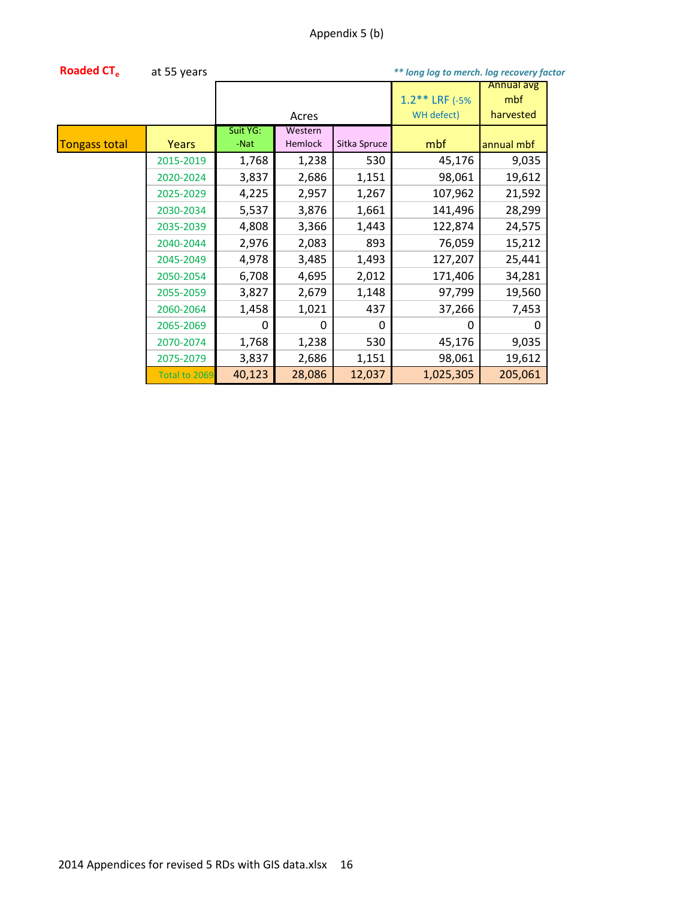| <b>Roaded CT.</b>    | at 55 years   |          |          |              | ** long log to merch. log recovery factor |            |  |
|----------------------|---------------|----------|----------|--------------|-------------------------------------------|------------|--|
|                      |               |          |          |              |                                           | Annual avg |  |
|                      |               |          |          |              | $1.2***$ LRF (-5%)                        | mbf        |  |
|                      | Acres         |          |          |              | WH defect)                                | harvested  |  |
|                      |               | Suit YG: | Western  |              |                                           |            |  |
| <b>Tongass total</b> | Years         | -Nat     | Hemlock  | Sitka Spruce | mbf                                       | annual mbf |  |
|                      | 2015-2019     | 1,768    | 1,238    | 530          | 45,176                                    | 9,035      |  |
|                      | 2020-2024     | 3,837    | 2,686    | 1,151        | 98,061                                    | 19,612     |  |
|                      | 2025-2029     | 4,225    | 2,957    | 1,267        | 107,962                                   | 21,592     |  |
|                      | 2030-2034     | 5,537    | 3,876    | 1,661        | 141,496                                   | 28,299     |  |
|                      | 2035-2039     | 4,808    | 3,366    | 1,443        | 122,874                                   | 24,575     |  |
|                      | 2040-2044     | 2,976    | 2,083    | 893          | 76,059                                    | 15,212     |  |
|                      | 2045-2049     | 4,978    | 3,485    | 1,493        | 127,207                                   | 25,441     |  |
|                      | 2050-2054     | 6,708    | 4,695    | 2,012        | 171,406                                   | 34,281     |  |
|                      | 2055-2059     | 3,827    | 2,679    | 1,148        | 97,799                                    | 19,560     |  |
|                      | 2060-2064     | 1,458    | 1,021    | 437          | 37,266                                    | 7,453      |  |
|                      | 2065-2069     | 0        | $\Omega$ | $\Omega$     | 0                                         | 0          |  |
|                      | 2070-2074     | 1,768    | 1,238    | 530          | 45,176                                    | 9,035      |  |
|                      | 2075-2079     | 3,837    | 2,686    | 1,151        | 98,061                                    | 19,612     |  |
|                      | Total to 2069 | 40,123   | 28,086   | 12,037       | 1,025,305                                 | 205,061    |  |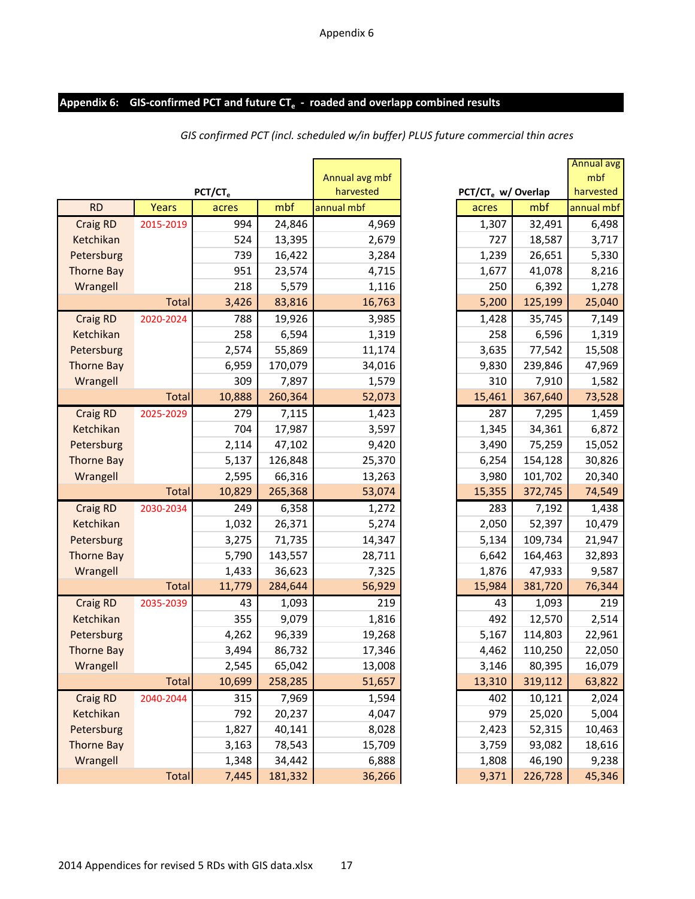# Appendix 6: GIS-confirmed PCT and future CT<sub>e</sub> - roaded and overlapp combined results

| harvested<br>PCT/CT <sub>e</sub><br>PCT/CT <sub>e</sub> w/ Overlap<br>mbf<br><b>RD</b><br>mbf<br>Years<br>annual mbf<br>acres<br>acres<br>24,846<br>32,491<br><b>Craig RD</b><br>2015-2019<br>994<br>4,969<br>1,307<br>524<br>13,395<br>Ketchikan<br>2,679<br>727<br>18,587<br>Petersburg<br>739<br>16,422<br>3,284<br>1,239<br>26,651<br><b>Thorne Bay</b><br>951<br>23,574<br>4,715<br>1,677<br>41,078<br>218<br>Wrangell<br>5,579<br>1,116<br>250<br>6,392<br>83,816<br>16,763<br>5,200<br>125,199<br><b>Total</b><br>3,426<br><b>Craig RD</b><br>2020-2024<br>19,926<br>3,985<br>35,745<br>788<br>1,428<br>258<br>6,594<br>1,319<br>258<br>Ketchikan<br>6,596<br>55,869<br>Petersburg<br>2,574<br>11,174<br>3,635<br>77,542<br><b>Thorne Bay</b><br>6,959<br>170,079<br>34,016<br>9,830<br>239,846<br>309<br>7,897<br>Wrangell<br>1,579<br>310<br>7,910<br>367,640<br>10,888<br>260,364<br>52,073<br>15,461<br><b>Total</b><br><b>Craig RD</b><br>2025-2029<br>279<br>7,115<br>287<br>1,423<br>7,295<br>704<br>17,987<br>3,597<br>1,345<br>Ketchikan<br>34,361<br>9,420<br>3,490<br>Petersburg<br>2,114<br>47,102<br>75,259<br><b>Thorne Bay</b><br>5,137<br>126,848<br>25,370<br>6,254<br>154,128<br>66,316<br>3,980<br>101,702<br>Wrangell<br>2,595<br>13,263<br>10,829<br>265,368<br>53,074<br>15,355<br>372,745<br><b>Total</b><br><b>Craig RD</b><br>249<br>6,358<br>1,272<br>283<br>2030-2034<br>7,192<br>1,032<br>26,371<br>5,274<br>52,397<br>Ketchikan<br>2,050<br>3,275<br>Petersburg<br>71,735<br>14,347<br>5,134<br>109,734<br><b>Thorne Bay</b><br>5,790<br>143,557<br>28,711<br>6,642<br>164,463<br>Wrangell<br>1,433<br>36,623<br>7,325<br>1,876<br>47,933<br>11,779<br>284,644<br>56,929<br>15,984<br>381,720<br>Total<br><b>Craig RD</b><br>2035-2039<br>219<br>43<br>1,093<br>1,093<br>43<br>9,079<br>Ketchikan<br>355<br>1,816<br>492<br>12,570<br>4,262<br>96,339<br>19,268<br>Petersburg<br>5,167<br>114,803<br>86,732<br>110,250<br><b>Thorne Bay</b><br>3,494<br>17,346<br>4,462<br>2,545<br>Wrangell<br>65,042<br>13,008<br>3,146<br>80,395<br>Total<br>10,699<br>258,285<br>51,657<br>13,310<br>319,112<br><b>Craig RD</b><br>2040-2044<br>315<br>7,969<br>10,121<br>1,594<br>402<br>20,237<br>979<br>Ketchikan<br>792<br>4,047<br>25,020<br>1,827<br>2,423<br>52,315<br>Petersburg<br>40,141<br>8,028<br><b>Thorne Bay</b><br>3,163<br>78,543<br>15,709<br>3,759<br>93,082<br>Wrangell<br>1,348<br>34,442<br>1,808<br>46,190<br>6,888 |       |       |         |                |       |         |
|---------------------------------------------------------------------------------------------------------------------------------------------------------------------------------------------------------------------------------------------------------------------------------------------------------------------------------------------------------------------------------------------------------------------------------------------------------------------------------------------------------------------------------------------------------------------------------------------------------------------------------------------------------------------------------------------------------------------------------------------------------------------------------------------------------------------------------------------------------------------------------------------------------------------------------------------------------------------------------------------------------------------------------------------------------------------------------------------------------------------------------------------------------------------------------------------------------------------------------------------------------------------------------------------------------------------------------------------------------------------------------------------------------------------------------------------------------------------------------------------------------------------------------------------------------------------------------------------------------------------------------------------------------------------------------------------------------------------------------------------------------------------------------------------------------------------------------------------------------------------------------------------------------------------------------------------------------------------------------------------------------------------------------------------------------------------------------------------------------------------------------------------------------------------------------------------------------------------------------------------------------------------------------------------------------------------------------------------------------------------------------------------------------------------------------------------------------------------|-------|-------|---------|----------------|-------|---------|
|                                                                                                                                                                                                                                                                                                                                                                                                                                                                                                                                                                                                                                                                                                                                                                                                                                                                                                                                                                                                                                                                                                                                                                                                                                                                                                                                                                                                                                                                                                                                                                                                                                                                                                                                                                                                                                                                                                                                                                                                                                                                                                                                                                                                                                                                                                                                                                                                                                                                     |       |       |         | Annual avg mbf |       |         |
|                                                                                                                                                                                                                                                                                                                                                                                                                                                                                                                                                                                                                                                                                                                                                                                                                                                                                                                                                                                                                                                                                                                                                                                                                                                                                                                                                                                                                                                                                                                                                                                                                                                                                                                                                                                                                                                                                                                                                                                                                                                                                                                                                                                                                                                                                                                                                                                                                                                                     |       |       |         |                |       |         |
|                                                                                                                                                                                                                                                                                                                                                                                                                                                                                                                                                                                                                                                                                                                                                                                                                                                                                                                                                                                                                                                                                                                                                                                                                                                                                                                                                                                                                                                                                                                                                                                                                                                                                                                                                                                                                                                                                                                                                                                                                                                                                                                                                                                                                                                                                                                                                                                                                                                                     |       |       |         |                |       |         |
|                                                                                                                                                                                                                                                                                                                                                                                                                                                                                                                                                                                                                                                                                                                                                                                                                                                                                                                                                                                                                                                                                                                                                                                                                                                                                                                                                                                                                                                                                                                                                                                                                                                                                                                                                                                                                                                                                                                                                                                                                                                                                                                                                                                                                                                                                                                                                                                                                                                                     |       |       |         |                |       |         |
|                                                                                                                                                                                                                                                                                                                                                                                                                                                                                                                                                                                                                                                                                                                                                                                                                                                                                                                                                                                                                                                                                                                                                                                                                                                                                                                                                                                                                                                                                                                                                                                                                                                                                                                                                                                                                                                                                                                                                                                                                                                                                                                                                                                                                                                                                                                                                                                                                                                                     |       |       |         |                |       |         |
|                                                                                                                                                                                                                                                                                                                                                                                                                                                                                                                                                                                                                                                                                                                                                                                                                                                                                                                                                                                                                                                                                                                                                                                                                                                                                                                                                                                                                                                                                                                                                                                                                                                                                                                                                                                                                                                                                                                                                                                                                                                                                                                                                                                                                                                                                                                                                                                                                                                                     |       |       |         |                |       |         |
|                                                                                                                                                                                                                                                                                                                                                                                                                                                                                                                                                                                                                                                                                                                                                                                                                                                                                                                                                                                                                                                                                                                                                                                                                                                                                                                                                                                                                                                                                                                                                                                                                                                                                                                                                                                                                                                                                                                                                                                                                                                                                                                                                                                                                                                                                                                                                                                                                                                                     |       |       |         |                |       |         |
|                                                                                                                                                                                                                                                                                                                                                                                                                                                                                                                                                                                                                                                                                                                                                                                                                                                                                                                                                                                                                                                                                                                                                                                                                                                                                                                                                                                                                                                                                                                                                                                                                                                                                                                                                                                                                                                                                                                                                                                                                                                                                                                                                                                                                                                                                                                                                                                                                                                                     |       |       |         |                |       |         |
|                                                                                                                                                                                                                                                                                                                                                                                                                                                                                                                                                                                                                                                                                                                                                                                                                                                                                                                                                                                                                                                                                                                                                                                                                                                                                                                                                                                                                                                                                                                                                                                                                                                                                                                                                                                                                                                                                                                                                                                                                                                                                                                                                                                                                                                                                                                                                                                                                                                                     |       |       |         |                |       |         |
|                                                                                                                                                                                                                                                                                                                                                                                                                                                                                                                                                                                                                                                                                                                                                                                                                                                                                                                                                                                                                                                                                                                                                                                                                                                                                                                                                                                                                                                                                                                                                                                                                                                                                                                                                                                                                                                                                                                                                                                                                                                                                                                                                                                                                                                                                                                                                                                                                                                                     |       |       |         |                |       |         |
|                                                                                                                                                                                                                                                                                                                                                                                                                                                                                                                                                                                                                                                                                                                                                                                                                                                                                                                                                                                                                                                                                                                                                                                                                                                                                                                                                                                                                                                                                                                                                                                                                                                                                                                                                                                                                                                                                                                                                                                                                                                                                                                                                                                                                                                                                                                                                                                                                                                                     |       |       |         |                |       |         |
|                                                                                                                                                                                                                                                                                                                                                                                                                                                                                                                                                                                                                                                                                                                                                                                                                                                                                                                                                                                                                                                                                                                                                                                                                                                                                                                                                                                                                                                                                                                                                                                                                                                                                                                                                                                                                                                                                                                                                                                                                                                                                                                                                                                                                                                                                                                                                                                                                                                                     |       |       |         |                |       |         |
|                                                                                                                                                                                                                                                                                                                                                                                                                                                                                                                                                                                                                                                                                                                                                                                                                                                                                                                                                                                                                                                                                                                                                                                                                                                                                                                                                                                                                                                                                                                                                                                                                                                                                                                                                                                                                                                                                                                                                                                                                                                                                                                                                                                                                                                                                                                                                                                                                                                                     |       |       |         |                |       |         |
|                                                                                                                                                                                                                                                                                                                                                                                                                                                                                                                                                                                                                                                                                                                                                                                                                                                                                                                                                                                                                                                                                                                                                                                                                                                                                                                                                                                                                                                                                                                                                                                                                                                                                                                                                                                                                                                                                                                                                                                                                                                                                                                                                                                                                                                                                                                                                                                                                                                                     |       |       |         |                |       |         |
|                                                                                                                                                                                                                                                                                                                                                                                                                                                                                                                                                                                                                                                                                                                                                                                                                                                                                                                                                                                                                                                                                                                                                                                                                                                                                                                                                                                                                                                                                                                                                                                                                                                                                                                                                                                                                                                                                                                                                                                                                                                                                                                                                                                                                                                                                                                                                                                                                                                                     |       |       |         |                |       |         |
|                                                                                                                                                                                                                                                                                                                                                                                                                                                                                                                                                                                                                                                                                                                                                                                                                                                                                                                                                                                                                                                                                                                                                                                                                                                                                                                                                                                                                                                                                                                                                                                                                                                                                                                                                                                                                                                                                                                                                                                                                                                                                                                                                                                                                                                                                                                                                                                                                                                                     |       |       |         |                |       |         |
|                                                                                                                                                                                                                                                                                                                                                                                                                                                                                                                                                                                                                                                                                                                                                                                                                                                                                                                                                                                                                                                                                                                                                                                                                                                                                                                                                                                                                                                                                                                                                                                                                                                                                                                                                                                                                                                                                                                                                                                                                                                                                                                                                                                                                                                                                                                                                                                                                                                                     |       |       |         |                |       |         |
|                                                                                                                                                                                                                                                                                                                                                                                                                                                                                                                                                                                                                                                                                                                                                                                                                                                                                                                                                                                                                                                                                                                                                                                                                                                                                                                                                                                                                                                                                                                                                                                                                                                                                                                                                                                                                                                                                                                                                                                                                                                                                                                                                                                                                                                                                                                                                                                                                                                                     |       |       |         |                |       |         |
|                                                                                                                                                                                                                                                                                                                                                                                                                                                                                                                                                                                                                                                                                                                                                                                                                                                                                                                                                                                                                                                                                                                                                                                                                                                                                                                                                                                                                                                                                                                                                                                                                                                                                                                                                                                                                                                                                                                                                                                                                                                                                                                                                                                                                                                                                                                                                                                                                                                                     |       |       |         |                |       |         |
|                                                                                                                                                                                                                                                                                                                                                                                                                                                                                                                                                                                                                                                                                                                                                                                                                                                                                                                                                                                                                                                                                                                                                                                                                                                                                                                                                                                                                                                                                                                                                                                                                                                                                                                                                                                                                                                                                                                                                                                                                                                                                                                                                                                                                                                                                                                                                                                                                                                                     |       |       |         |                |       |         |
|                                                                                                                                                                                                                                                                                                                                                                                                                                                                                                                                                                                                                                                                                                                                                                                                                                                                                                                                                                                                                                                                                                                                                                                                                                                                                                                                                                                                                                                                                                                                                                                                                                                                                                                                                                                                                                                                                                                                                                                                                                                                                                                                                                                                                                                                                                                                                                                                                                                                     |       |       |         |                |       |         |
|                                                                                                                                                                                                                                                                                                                                                                                                                                                                                                                                                                                                                                                                                                                                                                                                                                                                                                                                                                                                                                                                                                                                                                                                                                                                                                                                                                                                                                                                                                                                                                                                                                                                                                                                                                                                                                                                                                                                                                                                                                                                                                                                                                                                                                                                                                                                                                                                                                                                     |       |       |         |                |       |         |
|                                                                                                                                                                                                                                                                                                                                                                                                                                                                                                                                                                                                                                                                                                                                                                                                                                                                                                                                                                                                                                                                                                                                                                                                                                                                                                                                                                                                                                                                                                                                                                                                                                                                                                                                                                                                                                                                                                                                                                                                                                                                                                                                                                                                                                                                                                                                                                                                                                                                     |       |       |         |                |       |         |
|                                                                                                                                                                                                                                                                                                                                                                                                                                                                                                                                                                                                                                                                                                                                                                                                                                                                                                                                                                                                                                                                                                                                                                                                                                                                                                                                                                                                                                                                                                                                                                                                                                                                                                                                                                                                                                                                                                                                                                                                                                                                                                                                                                                                                                                                                                                                                                                                                                                                     |       |       |         |                |       |         |
|                                                                                                                                                                                                                                                                                                                                                                                                                                                                                                                                                                                                                                                                                                                                                                                                                                                                                                                                                                                                                                                                                                                                                                                                                                                                                                                                                                                                                                                                                                                                                                                                                                                                                                                                                                                                                                                                                                                                                                                                                                                                                                                                                                                                                                                                                                                                                                                                                                                                     |       |       |         |                |       |         |
|                                                                                                                                                                                                                                                                                                                                                                                                                                                                                                                                                                                                                                                                                                                                                                                                                                                                                                                                                                                                                                                                                                                                                                                                                                                                                                                                                                                                                                                                                                                                                                                                                                                                                                                                                                                                                                                                                                                                                                                                                                                                                                                                                                                                                                                                                                                                                                                                                                                                     |       |       |         |                |       |         |
|                                                                                                                                                                                                                                                                                                                                                                                                                                                                                                                                                                                                                                                                                                                                                                                                                                                                                                                                                                                                                                                                                                                                                                                                                                                                                                                                                                                                                                                                                                                                                                                                                                                                                                                                                                                                                                                                                                                                                                                                                                                                                                                                                                                                                                                                                                                                                                                                                                                                     |       |       |         |                |       |         |
|                                                                                                                                                                                                                                                                                                                                                                                                                                                                                                                                                                                                                                                                                                                                                                                                                                                                                                                                                                                                                                                                                                                                                                                                                                                                                                                                                                                                                                                                                                                                                                                                                                                                                                                                                                                                                                                                                                                                                                                                                                                                                                                                                                                                                                                                                                                                                                                                                                                                     |       |       |         |                |       |         |
|                                                                                                                                                                                                                                                                                                                                                                                                                                                                                                                                                                                                                                                                                                                                                                                                                                                                                                                                                                                                                                                                                                                                                                                                                                                                                                                                                                                                                                                                                                                                                                                                                                                                                                                                                                                                                                                                                                                                                                                                                                                                                                                                                                                                                                                                                                                                                                                                                                                                     |       |       |         |                |       |         |
|                                                                                                                                                                                                                                                                                                                                                                                                                                                                                                                                                                                                                                                                                                                                                                                                                                                                                                                                                                                                                                                                                                                                                                                                                                                                                                                                                                                                                                                                                                                                                                                                                                                                                                                                                                                                                                                                                                                                                                                                                                                                                                                                                                                                                                                                                                                                                                                                                                                                     |       |       |         |                |       |         |
|                                                                                                                                                                                                                                                                                                                                                                                                                                                                                                                                                                                                                                                                                                                                                                                                                                                                                                                                                                                                                                                                                                                                                                                                                                                                                                                                                                                                                                                                                                                                                                                                                                                                                                                                                                                                                                                                                                                                                                                                                                                                                                                                                                                                                                                                                                                                                                                                                                                                     |       |       |         |                |       |         |
|                                                                                                                                                                                                                                                                                                                                                                                                                                                                                                                                                                                                                                                                                                                                                                                                                                                                                                                                                                                                                                                                                                                                                                                                                                                                                                                                                                                                                                                                                                                                                                                                                                                                                                                                                                                                                                                                                                                                                                                                                                                                                                                                                                                                                                                                                                                                                                                                                                                                     |       |       |         |                |       |         |
|                                                                                                                                                                                                                                                                                                                                                                                                                                                                                                                                                                                                                                                                                                                                                                                                                                                                                                                                                                                                                                                                                                                                                                                                                                                                                                                                                                                                                                                                                                                                                                                                                                                                                                                                                                                                                                                                                                                                                                                                                                                                                                                                                                                                                                                                                                                                                                                                                                                                     |       |       |         |                |       |         |
|                                                                                                                                                                                                                                                                                                                                                                                                                                                                                                                                                                                                                                                                                                                                                                                                                                                                                                                                                                                                                                                                                                                                                                                                                                                                                                                                                                                                                                                                                                                                                                                                                                                                                                                                                                                                                                                                                                                                                                                                                                                                                                                                                                                                                                                                                                                                                                                                                                                                     |       |       |         |                |       |         |
|                                                                                                                                                                                                                                                                                                                                                                                                                                                                                                                                                                                                                                                                                                                                                                                                                                                                                                                                                                                                                                                                                                                                                                                                                                                                                                                                                                                                                                                                                                                                                                                                                                                                                                                                                                                                                                                                                                                                                                                                                                                                                                                                                                                                                                                                                                                                                                                                                                                                     |       |       |         |                |       |         |
|                                                                                                                                                                                                                                                                                                                                                                                                                                                                                                                                                                                                                                                                                                                                                                                                                                                                                                                                                                                                                                                                                                                                                                                                                                                                                                                                                                                                                                                                                                                                                                                                                                                                                                                                                                                                                                                                                                                                                                                                                                                                                                                                                                                                                                                                                                                                                                                                                                                                     |       |       |         |                |       |         |
|                                                                                                                                                                                                                                                                                                                                                                                                                                                                                                                                                                                                                                                                                                                                                                                                                                                                                                                                                                                                                                                                                                                                                                                                                                                                                                                                                                                                                                                                                                                                                                                                                                                                                                                                                                                                                                                                                                                                                                                                                                                                                                                                                                                                                                                                                                                                                                                                                                                                     |       |       |         |                |       |         |
|                                                                                                                                                                                                                                                                                                                                                                                                                                                                                                                                                                                                                                                                                                                                                                                                                                                                                                                                                                                                                                                                                                                                                                                                                                                                                                                                                                                                                                                                                                                                                                                                                                                                                                                                                                                                                                                                                                                                                                                                                                                                                                                                                                                                                                                                                                                                                                                                                                                                     |       |       |         |                |       |         |
|                                                                                                                                                                                                                                                                                                                                                                                                                                                                                                                                                                                                                                                                                                                                                                                                                                                                                                                                                                                                                                                                                                                                                                                                                                                                                                                                                                                                                                                                                                                                                                                                                                                                                                                                                                                                                                                                                                                                                                                                                                                                                                                                                                                                                                                                                                                                                                                                                                                                     | Total | 7,445 | 181,332 | 36,266         | 9,371 | 226,728 |

*GIS confirmed PCT (incl. scheduled w/in buffer) PLUS future commercial thin acres* 

|                           |                                |                 | <b>Annual avg</b> |
|---------------------------|--------------------------------|-----------------|-------------------|
| nual avg mbf<br>harvested | PCT/CT <sub>e</sub> w/ Overlap |                 | mbf<br>harvested  |
| ıal mbf                   | acres                          | mbf             | annual mbf        |
|                           |                                |                 |                   |
| 4,969                     | 1,307                          | 32,491          | 6,498             |
| 2,679                     | 727                            | 18,587          | 3,717             |
| 3,284                     | 1,239                          | 26,651          | 5,330             |
| 4,715<br>1,116            | 1,677                          | 41,078<br>6,392 | 8,216<br>1,278    |
| 16,763                    | 250<br>5,200                   | 125,199         | 25,040            |
|                           |                                |                 | 7,149             |
| 3,985<br>1,319            | 1,428<br>258                   | 35,745<br>6,596 | 1,319             |
| 11,174                    | 3,635                          | 77,542          | 15,508            |
| 34,016                    | 9,830                          | 239,846         | 47,969            |
| 1,579                     | 310                            | 7,910           | 1,582             |
| 52,073                    | 15,461                         | 367,640         | 73,528            |
| 1,423                     | 287                            | 7,295           | 1,459             |
| 3,597                     | 1,345                          | 34,361          | 6,872             |
| 9,420                     | 3,490                          | 75,259          | 15,052            |
| 25,370                    | 6,254                          | 154,128         | 30,826            |
| 13,263                    | 3,980                          | 101,702         | 20,340            |
| 53,074                    | 15,355                         | 372,745         | 74,549            |
| 1,272                     | 283                            | 7,192           | 1,438             |
| 5,274                     | 2,050                          | 52,397          | 10,479            |
| 14,347                    | 5,134                          | 109,734         | 21,947            |
| 28,711                    | 6,642                          | 164,463         | 32,893            |
| 7,325                     | 1,876                          | 47,933          | 9,587             |
| 56,929                    | 15,984                         | 381,720         | 76,344            |
| 219                       | 43                             | 1,093           | 219               |
| 1,816                     | 492                            | 12,570          | 2,514             |
| 19,268                    | 5,167                          | 114,803         | 22,961            |
| 17,346                    | 4,462                          | 110,250         | 22,050            |
| 13,008                    | 3,146                          | 80,395          | 16,079            |
| 51,657                    | 13,310                         | 319,112         | 63,822            |
| 1,594                     | 402                            | 10,121          | 2,024             |
| 4,047                     | 979                            | 25,020          | 5,004             |
| 8,028                     | 2,423                          | 52,315          | 10,463            |
| 15,709                    | 3,759                          | 93,082          | 18,616            |
| 6,888                     | 1,808                          | 46,190          | 9,238             |
| 36 266                    | 9371                           | 226728          | 45346             |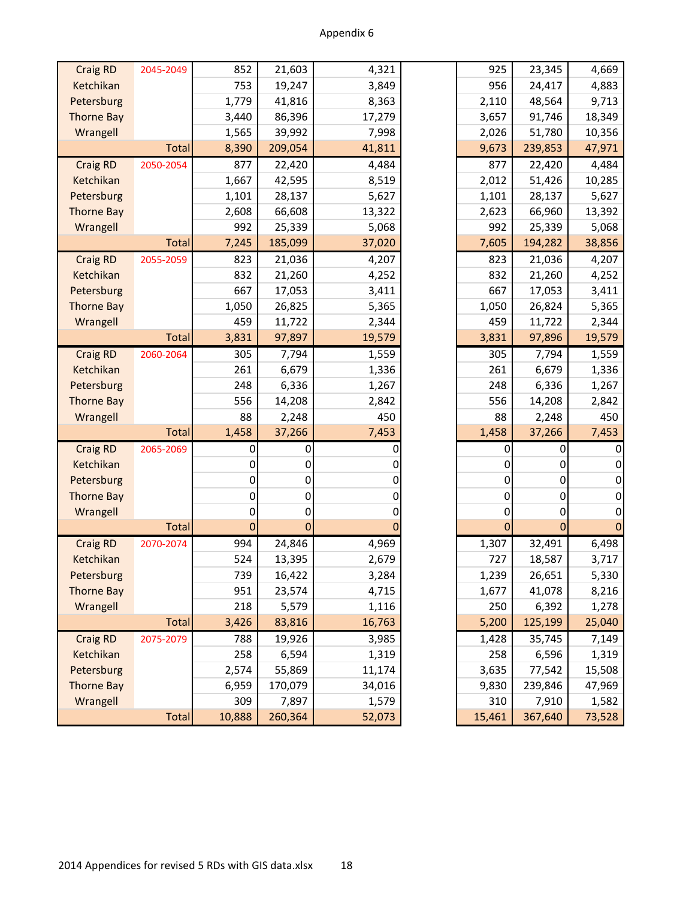| <b>Craig RD</b>   | 2045-2049    | 852            | 21,603       | 4,321  | 925    | 23,345                   | 4,669  |
|-------------------|--------------|----------------|--------------|--------|--------|--------------------------|--------|
| Ketchikan         |              | 753            | 19,247       | 3,849  | 956    | 24,417                   | 4,883  |
| Petersburg        |              | 1,779          | 41,816       | 8,363  | 2,110  | 48,564                   | 9,713  |
| <b>Thorne Bay</b> |              | 3,440          | 86,396       | 17,279 | 3,657  | 91,746                   | 18,349 |
| Wrangell          |              | 1,565          | 39,992       | 7,998  | 2,026  | 51,780                   | 10,356 |
|                   | <b>Total</b> | 8,390          | 209,054      | 41,811 | 9,673  | 239,853                  | 47,971 |
| <b>Craig RD</b>   | 2050-2054    | 877            | 22,420       | 4,484  | 877    | 22,420                   | 4,484  |
| Ketchikan         |              | 1,667          | 42,595       | 8,519  | 2,012  | 51,426                   | 10,285 |
| Petersburg        |              | 1,101          | 28,137       | 5,627  | 1,101  | 28,137                   | 5,627  |
| <b>Thorne Bay</b> |              | 2,608          | 66,608       | 13,322 | 2,623  | 66,960                   | 13,392 |
| Wrangell          |              | 992            | 25,339       | 5,068  | 992    | 25,339                   | 5,068  |
|                   | <b>Total</b> | 7,245          | 185,099      | 37,020 | 7,605  | 194,282                  | 38,856 |
| <b>Craig RD</b>   | 2055-2059    | 823            | 21,036       | 4,207  | 823    | 21,036                   | 4,207  |
| Ketchikan         |              | 832            | 21,260       | 4,252  | 832    | 21,260                   | 4,252  |
| Petersburg        |              | 667            | 17,053       | 3,411  | 667    | 17,053                   | 3,411  |
| <b>Thorne Bay</b> |              | 1,050          | 26,825       | 5,365  | 1,050  | 26,824                   | 5,365  |
| Wrangell          |              | 459            | 11,722       | 2,344  | 459    | 11,722                   | 2,344  |
|                   | <b>Total</b> | 3,831          | 97,897       | 19,579 | 3,831  | 97,896                   | 19,579 |
| <b>Craig RD</b>   | 2060-2064    | 305            | 7,794        | 1,559  | 305    | 7,794                    | 1,559  |
| Ketchikan         |              | 261            | 6,679        | 1,336  | 261    | 6,679                    | 1,336  |
| Petersburg        |              | 248            | 6,336        | 1,267  | 248    | 6,336                    | 1,267  |
| <b>Thorne Bay</b> |              | 556            | 14,208       | 2,842  | 556    | 14,208                   | 2,842  |
| Wrangell          |              | 88             | 2,248        | 450    | 88     | 2,248                    |        |
|                   | <b>Total</b> | 1,458          | 37,266       | 7,453  | 1,458  | 37,266                   | 7,453  |
| <b>Craig RD</b>   | 2065-2069    | 0              | 0            |        |        | 0<br>0                   |        |
| Ketchikan         |              | 0              | 0            | 0      |        | 0<br>0                   |        |
| Petersburg        |              | 0              | 0            | 0      |        | 0<br>0                   |        |
| <b>Thorne Bay</b> |              | 0              | 0            | 0      |        | 0<br>0                   |        |
| Wrangell          |              | 0              | 0            | 0      |        | 0<br>0                   |        |
|                   | <b>Total</b> | $\overline{0}$ | $\mathbf{0}$ |        |        | $\Omega$<br>$\mathbf{0}$ |        |
| <b>Craig RD</b>   | 2070-2074    | 994            | 24,846       | 4,969  | 1,307  | 32,491                   | 6,498  |
| Ketchikan         |              | 524            | 13,395       | 2,679  | 727    | 18,587                   | 3,717  |
| Petersburg        |              | 739            | 16,422       | 3,284  | 1,239  | 26,651                   | 5,330  |
| <b>Thorne Bay</b> |              | 951            | 23,574       | 4,715  | 1,677  | 41,078                   | 8,216  |
| Wrangell          |              | 218            | 5,579        | 1,116  | 250    | 6,392                    | 1,278  |
|                   | <b>Total</b> | 3,426          | 83,816       | 16,763 | 5,200  | 125,199                  | 25,040 |
| <b>Craig RD</b>   | 2075-2079    | 788            | 19,926       | 3,985  | 1,428  | 35,745                   | 7,149  |
| Ketchikan         |              | 258            | 6,594        | 1,319  | 258    | 6,596                    | 1,319  |
| Petersburg        |              | 2,574          | 55,869       | 11,174 | 3,635  | 77,542                   | 15,508 |
| <b>Thorne Bay</b> |              | 6,959          | 170,079      | 34,016 | 9,830  | 239,846                  | 47,969 |
| Wrangell          |              | 309            | 7,897        | 1,579  | 310    | 7,910                    | 1,582  |
|                   | Total        | 10,888         | 260,364      | 52,073 | 15,461 | 367,640                  | 73,528 |

| 925    | 23,345  | 4,669  |
|--------|---------|--------|
| 956    | 24,417  | 4,883  |
| 2,110  | 48,564  | 9,713  |
| 3,657  | 91,746  | 18,349 |
| 2,026  | 51,780  | 10,356 |
| 9,673  | 239,853 | 47,971 |
| 877    | 22,420  | 4,484  |
| 2,012  | 51,426  | 10,285 |
| 1,101  | 28,137  | 5,627  |
| 2,623  | 66,960  | 13,392 |
| 992    | 25,339  | 5,068  |
| 7,605  | 194,282 | 38,856 |
| 823    | 21,036  | 4,207  |
| 832    | 21,260  | 4,252  |
| 667    | 17,053  | 3,411  |
| 1,050  | 26,824  | 5,365  |
| 459    | 11,722  | 2,344  |
| 3,831  | 97,896  | 19,579 |
| 305    | 7,794   | 1,559  |
| 261    | 6,679   | 1,336  |
| 248    | 6,336   | 1,267  |
| 556    | 14,208  | 2,842  |
| 88     | 2,248   | 450    |
| 1,458  | 37,266  | 7,453  |
| 0      | 0       | 0      |
| 0      | 0       | 0      |
| 0      | 0       | 0      |
| 0      | 0       | 0      |
| 0      | 0       | 0      |
| 0      | 0       | 0      |
| 1,307  | 32,491  | 6,498  |
| 727    | 18,587  | 3,717  |
| 1,239  | 26,651  | 5,330  |
| 1,677  | 41,078  | 8,216  |
| 250    | 6,392   | 1,278  |
| 5,200  | 125,199 | 25,040 |
| 1,428  | 35,745  | 7,149  |
| 258    | 6,596   | 1,319  |
| 3,635  | 77,542  | 15,508 |
| 9,830  | 239,846 | 47,969 |
| 310    | 7,910   | 1,582  |
| 15,461 | 367,640 | 73,528 |